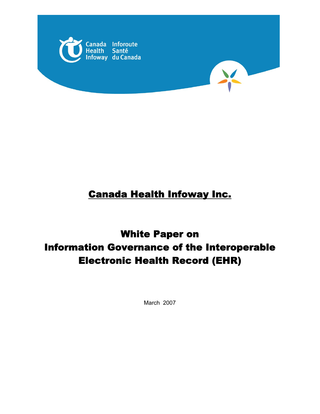



# Canada Health Infoway Inc.

# White Paper on Information Governance of the Interoperable Electronic Health Record (EHR)

March 2007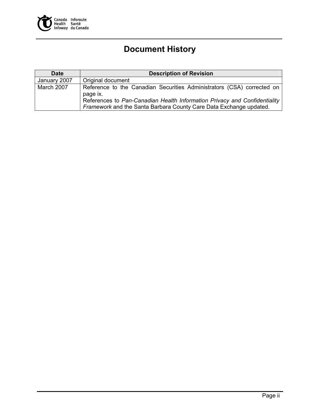

# **Document History**

| <b>Date</b>  | <b>Description of Revision</b>                                                                                                                  |
|--------------|-------------------------------------------------------------------------------------------------------------------------------------------------|
| January 2007 | Original document                                                                                                                               |
| March 2007   | Reference to the Canadian Securities Administrators (CSA) corrected on<br>page ix.                                                              |
|              | References to Pan-Canadian Health Information Privacy and Confidentiality<br>Framework and the Santa Barbara County Care Data Exchange updated. |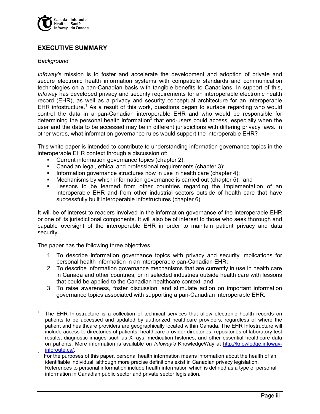

# **EXECUTIVE SUMMARY**

#### *Background*

*Infoway's* mission is to foster and accelerate the development and adoption of private and secure electronic health information systems with compatible standards and communication technologies on a pan-Canadian basis with tangible benefits to Canadians. In support of this, *Infoway* has developed privacy and security requirements for an interoperable electronic health record (EHR), as well as a privacy and security conceptual architecture for an interoperable EHR infostructure.<sup>1</sup> As a result of this work, questions began to surface regarding who would control the data in a pan-Canadian interoperable EHR and who would be responsible for determining the personal health information<sup>2</sup> that end-users could access, especially when the user and the data to be accessed may be in different jurisdictions with differing privacy laws. In other words, what information governance rules would support the interoperable EHR?

This white paper is intended to contribute to understanding information governance topics in the interoperable EHR context through a discussion of:

- **Current information governance topics (chapter 2);**
- Canadian legal, ethical and professional requirements (chapter 3);
- Information governance structures now in use in health care (chapter 4);
- Mechanisms by which information governance is carried out (chapter 5); and
- Lessons to be learned from other countries regarding the implementation of an interoperable EHR and from other industrial sectors outside of health care that have successfully built interoperable infostructures (chapter 6).

It will be of interest to readers involved in the information governance of the interoperable EHR or one of its jurisdictional components. It will also be of interest to those who seek thorough and capable oversight of the interoperable EHR in order to maintain patient privacy and data security.

The paper has the following three objectives:

- 1 To describe information governance topics with privacy and security implications for personal health information in an interoperable pan-Canadian EHR;
- 2 To describe information governance mechanisms that are currently in use in health care in Canada and other countries, or in selected industries outside health care with lessons that could be applied to the Canadian healthcare context; and
- 3 To raise awareness, foster discussion, and stimulate action on important information governance topics associated with supporting a pan-Canadian interoperable EHR.

<sup>-</sup>1 The EHR Infostructure is a collection of technical services that allow electronic health records on patients to be accessed and updated by authorized healthcare providers, regardless of where the patient and healthcare providers are geographically located within Canada. The EHR Infostructure will include access to directories of patients, healthcare provider directories, repositories of laboratory test results, diagnostic images such as X-rays, medication histories, and other essential healthcare data on patients. More information is available on *Infoway's* KnowledgeWay at http://knowledge.infoway $rac{inforoute.ca/}{2}$ 

For the purposes of this paper, personal health information means information about the health of an identifiable individual, although more precise definitions exist in Canadian privacy legislation. References to personal information include health information which is defined as a type of personal information in Canadian public sector and private sector legislation.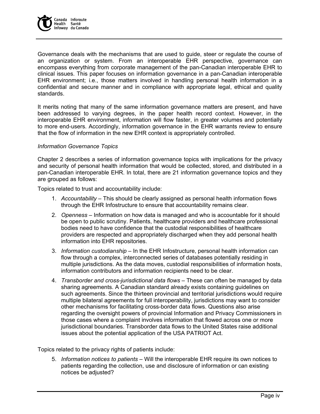

Governance deals with the mechanisms that are used to guide, steer or regulate the course of an organization or system. From an interoperable EHR perspective, governance can encompass everything from corporate management of the pan-Canadian interoperable EHR to clinical issues. This paper focuses on information governance in a pan-Canadian interoperable EHR environment; i.e., those matters involved in handling personal health information in a confidential and secure manner and in compliance with appropriate legal, ethical and quality standards.

It merits noting that many of the same information governance matters are present, and have been addressed to varying degrees, in the paper health record context. However, in the interoperable EHR environment, information will flow faster, in greater volumes and potentially to more end-users. Accordingly, information governance in the EHR warrants review to ensure that the flow of information in the new EHR context is appropriately controlled.

#### *Information Governance Topics*

Chapter 2 describes a series of information governance topics with implications for the privacy and security of personal health information that would be collected, stored, and distributed in a pan-Canadian interoperable EHR. In total, there are 21 information governance topics and they are grouped as follows:

Topics related to trust and accountability include:

- 1. *Accountability* This should be clearly assigned as personal health information flows through the EHR Infostructure to ensure that accountability remains clear.
- 2. *Openness* Information on how data is managed and who is accountable for it should be open to public scrutiny. Patients, healthcare providers and healthcare professional bodies need to have confidence that the custodial responsibilities of healthcare providers are respected and appropriately discharged when they add personal health information into EHR repositories.
- 3. *Information custodianship* In the EHR Infostructure, personal health information can flow through a complex, interconnected series of databases potentially residing in multiple jurisdictions. As the data moves, custodial responsibilities of information hosts, information contributors and information recipients need to be clear.
- 4. *Transborder and cross-jurisdictional data flows* These can often be managed by data sharing agreements. A Canadian standard already exists containing guidelines on such agreements. Since the thirteen provincial and territorial jurisdictions would require multiple bilateral agreements for full interoperability, jurisdictions may want to consider other mechanisms for facilitating cross-border data flows. Questions also arise regarding the oversight powers of provincial Information and Privacy Commissioners in those cases where a complaint involves information that flowed across one or more jurisdictional boundaries. Transborder data flows to the United States raise additional issues about the potential application of the USA PATRIOT Act.

Topics related to the privacy rights of patients include:

5. *Information notices to patients* – Will the interoperable EHR require its own notices to patients regarding the collection, use and disclosure of information or can existing notices be adjusted?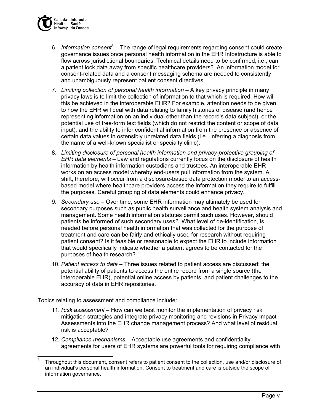

- 6. Information consent<sup>3</sup> The range of legal requirements regarding consent could create governance issues once personal health information in the EHR Infostructure is able to flow across jurisdictional boundaries. Technical details need to be confirmed, i.e., can a patient lock data away from specific healthcare providers? An information model for consent-related data and a consent messaging schema are needed to consistently and unambiguously represent patient consent directives.
- 7. *Limiting collection of personal health information* A key privacy principle in many privacy laws is to limit the collection of information to that which is required. How will this be achieved in the interoperable EHR? For example, attention needs to be given to how the EHR will deal with data relating to family histories of disease (and hence representing information on an individual other than the record's data subject), or the potential use of free-form text fields (which do not restrict the content or scope of data input), and the ability to infer confidential information from the presence or absence of certain data values in ostensibly unrelated data fields (i.e., inferring a diagnosis from the name of a well-known specialist or specialty clinic).
- 8. *Limiting disclosure of personal health information and privacy-protective grouping of EHR data elements* – Law and regulations currently focus on the disclosure of health information by health information custodians and trustees. An interoperable EHR works on an access model whereby end-users pull information from the system. A shift, therefore, will occur from a disclosure-based data protection model to an accessbased model where healthcare providers access the information they require to fulfill the purposes. Careful grouping of data elements could enhance privacy.
- 9. *Secondary use* Over time, some EHR information may ultimately be used for secondary purposes such as public health surveillance and health system analysis and management. Some health information statutes permit such uses. However, should patients be informed of such secondary uses? What level of de-identification, is needed before personal health information that was collected for the purpose of treatment and care can be fairly and ethically used for research without requiring patient consent? Is it feasible or reasonable to expect the EHR to include information that would specifically indicate whether a patient agrees to be contacted for the purposes of health research?
- 10. *Patient access to data* Three issues related to patient access are discussed: the potential ability of patients to access the entire record from a single source (the interoperable EHR), potential online access by patients, and patient challenges to the accuracy of data in EHR repositories.

Topics relating to assessment and compliance include:

- 11. *Risk assessment* How can we best monitor the implementation of privacy risk mitigation strategies and integrate privacy monitoring and revisions in Privacy Impact Assessments into the EHR change management process? And what level of residual risk is acceptable?
- 12. *Compliance mechanisms* Acceptable use agreements and confidentiality agreements for users of EHR systems are powerful tools for requiring compliance with

 $\frac{1}{3}$  Throughout this document, consent refers to patient consent to the collection, use and/or disclosure of an individual's personal health information. Consent to treatment and care is outside the scope of information governance.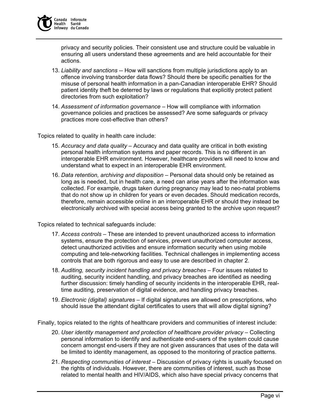privacy and security policies. Their consistent use and structure could be valuable in ensuring all users understand these agreements and are held accountable for their actions.

- 13. *Liability and sanctions* -- How will sanctions from multiple jurisdictions apply to an offence involving transborder data flows? Should there be specific penalties for the misuse of personal health information in a pan-Canadian interoperable EHR? Should patient identity theft be deterred by laws or regulations that explicitly protect patient directories from such exploitation?
- 14. *Assessment of information governance* How will compliance with information governance policies and practices be assessed? Are some safeguards or privacy practices more cost-effective than others?

Topics related to quality in health care include:

- 15. *Accuracy and data quality*  Accuracy and data quality are critical in both existing personal health information systems and paper records. This is no different in an interoperable EHR environment. However, healthcare providers will need to know and understand what to expect in an interoperable EHR environment.
- 16. *Data retention, archiving and disposition* Personal data should only be retained as long as is needed, but in health care, a need can arise years after the information was collected. For example, drugs taken during pregnancy may lead to neo-natal problems that do not show up in children for years or even decades. Should medication records, therefore, remain accessible online in an interoperable EHR or should they instead be electronically archived with special access being granted to the archive upon request?

Topics related to technical safeguards include:

- 17. *Access controls* These are intended to prevent unauthorized access to information systems, ensure the protection of services, prevent unauthorized computer access, detect unauthorized activities and ensure information security when using mobile computing and tele-networking facilities. Technical challenges in implementing access controls that are both rigorous and easy to use are described in chapter 2.
- 18. *Auditing, security incident handling and privacy breaches* Four issues related to auditing, security incident handling, and privacy breaches are identified as needing further discussion: timely handling of security incidents in the interoperable EHR, realtime auditing, preservation of digital evidence, and handling privacy breaches.
- 19. *Electronic (digital) signatures*  If digital signatures are allowed on prescriptions, who should issue the attendant digital certificates to users that will allow digital signing?

Finally, topics related to the rights of healthcare providers and communities of interest include:

- 20. *User identity management and protection of healthcare provider privacy* Collecting personal information to identify and authenticate end-users of the system could cause concern amongst end-users if they are not given assurances that uses of the data will be limited to identity management, as opposed to the monitoring of practice patterns.
- 21. *Respecting communities of interest* Discussion of privacy rights is usually focused on the rights of individuals. However, there are communities of interest, such as those related to mental health and HIV/AIDS, which also have special privacy concerns that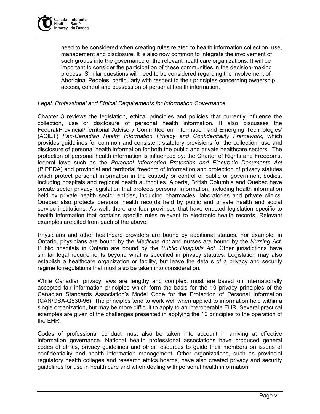

need to be considered when creating rules related to health information collection, use, management and disclosure. It is also now common to integrate the involvement of such groups into the governance of the relevant healthcare organizations. It will be important to consider the participation of these communities in the decision-making process. Similar questions will need to be considered regarding the involvement of Aboriginal Peoples, particularly with respect to their principles concerning ownership, access, control and possession of personal health information.

#### *Legal, Professional and Ethical Requirements for Information Governance*

Chapter 3 reviews the legislation, ethical principles and policies that currently influence the collection, use or disclosure of personal health information. It also discusses the Federal/Provincial/Territorial Advisory Committee on Information and Emerging Technologies' (ACIET) *Pan-Canadian Health Information Privacy and Confidentiality Framework*, which provides guidelines for common and consistent statutory provisions for the collection, use and disclosure of personal health information for both the public and private healthcare sectors. The protection of personal health information is influenced by: the Charter of Rights and Freedoms, federal laws such as the *Personal Information Protection and Electronic Documents Act* (PIPEDA) and provincial and territorial freedom of information and protection of privacy statutes which protect personal information in the custody or control of public or government bodies, including hospitals and regional health authorities. Alberta, British Columbia and Quebec have private sector privacy legislation that protects personal information, including health information held by private health sector entities, including pharmacies, laboratories and private clinics. Quebec also protects personal health records held by public and private health and social service institutions. As well, there are four provinces that have enacted legislation specific to health information that contains specific rules relevant to electronic health records. Relevant examples are cited from each of the above.

Physicians and other healthcare providers are bound by additional statues. For example, in Ontario, physicians are bound by the *Medicine Act* and nurses are bound by the *Nursing Act*. Public hospitals in Ontario are bound by the *Public Hospitals Act.* Other jurisdictions have similar legal requirements beyond what is specified in privacy statutes. Legislation may also establish a healthcare organization or facility, but leave the details of a privacy and security regime to regulations that must also be taken into consideration.

While Canadian privacy laws are lengthy and complex, most are based on internationally accepted fair information principles which form the basis for the 10 privacy principles of the Canadian Standards Association's Model Code for the Protection of Personal Information (CAN/CSA-Q830-96). The principles tend to work well when applied to information held within a single organization, but may be more difficult to apply to an interoperable EHR. Several practical examples are given of the challenges presented in applying the 10 principles to the operation of the EHR.

Codes of professional conduct must also be taken into account in arriving at effective information governance. National health professional associations have produced general codes of ethics, privacy guidelines and other resources to guide their members on issues of confidentiality and health information management. Other organizations, such as provincial regulatory health colleges and research ethics boards, have also created privacy and security guidelines for use in health care and when dealing with personal health information.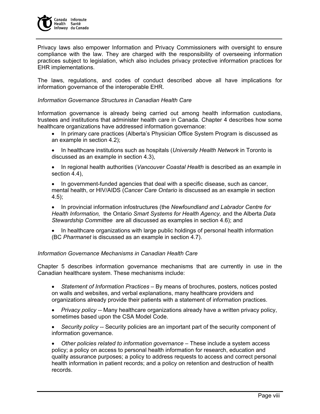

Privacy laws also empower Information and Privacy Commissioners with oversight to ensure compliance with the law. They are charged with the responsibility of overseeing information practices subject to legislation, which also includes privacy protective information practices for EHR implementations.

The laws, regulations, and codes of conduct described above all have implications for information governance of the interoperable EHR.

#### *Information Governance Structures in Canadian Health Care*

Information governance is already being carried out among health information custodians, trustees and institutions that administer health care in Canada. Chapter 4 describes how some healthcare organizations have addressed information governance:

- In primary care practices (Alberta's Physician Office System Program is discussed as an example in section 4.2);
- In healthcare institutions such as hospitals (*University Health Network* in Toronto is discussed as an example in section 4.3),
- In regional health authorities (*Vancouver Coastal Health* is described as an example in section 4.4),

• In government-funded agencies that deal with a specific disease, such as cancer, mental health, or HIV/AIDS (*Cancer Care Ontario* is discussed as an example in section 4.5);

• In provincial information infostructures (the *Newfoundland and Labrador Centre for Health Information,* the Ontario *Smart Systems for Health Agency,* and the Alberta *Data Stewardship Committee* are all discussed as examples in section 4.6); and

• In healthcare organizations with large public holdings of personal health information (BC *Pharmanet* is discussed as an example in section 4.7).

#### *Information Governance Mechanisms in Canadian Health Care*

Chapter 5 describes information governance mechanisms that are currently in use in the Canadian healthcare system. These mechanisms include:

- *Statement of Information Practices* By means of brochures, posters, notices posted on walls and websites, and verbal explanations, many healthcare providers and organizations already provide their patients with a statement of information practices.
- *Privacy policy --* Many healthcare organizations already have a written privacy policy, sometimes based upon the CSA Model Code.
- *Security policy --* Security policies are an important part of the security component of information governance.

• *Other policies related to information governance –* These include a system access policy; a policy on access to personal health information for research, education and quality assurance purposes; a policy to address requests to access and correct personal health information in patient records; and a policy on retention and destruction of health records.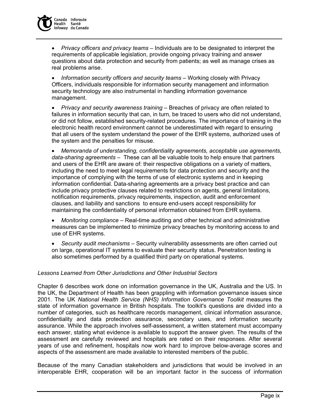

• *Privacy officers and privacy teams* – Individuals are to be designated to interpret the requirements of applicable legislation, provide ongoing privacy training and answer questions about data protection and security from patients; as well as manage crises as real problems arise.

• *Information security officers and security teams* – Working closely with Privacy Officers, individuals responsible for information security management and information security technology are also instrumental in handling information governance management.

• *Privacy and security awareness training* – Breaches of privacy are often related to failures in information security that can, in turn, be traced to users who did not understand, or did not follow, established security-related procedures. The importance of training in the electronic health record environment cannot be underestimated with regard to ensuring that all users of the system understand the power of the EHR systems, authorized uses of the system and the penalties for misuse.

• *Memoranda of understanding, confidentiality agreements, acceptable use agreements, data-sharing agreements* – These can all be valuable tools to help ensure that partners and users of the EHR are aware of: their respective obligations on a variety of matters, including the need to meet legal requirements for data protection and security and the importance of complying with the terms of use of electronic systems and in keeping information confidential. Data-sharing agreements are a privacy best practice and can include privacy protective clauses related to restrictions on agents, general limitations, notification requirements, privacy requirements, inspection, audit and enforcement clauses, and liability and sanctions to ensure end-users accept responsibility for maintaining the confidentiality of personal information obtained from EHR systems.

• *Monitoring compliance* – Real-time auditing and other technical and administrative measures can be implemented to minimize privacy breaches by monitoring access to and use of EHR systems.

• *Security audit mechanisms* – Security vulnerability assessments are often carried out on large, operational IT systems to evaluate their security status. Penetration testing is also sometimes performed by a qualified third party on operational systems.

#### *Lessons Learned from Other Jurisdictions and Other Industrial Sectors*

Chapter 6 describes work done on information governance in the UK, Australia and the US. In the UK, the Department of Health has been grappling with information governance issues since 2001. The UK *National Health Service (NHS) Information Governance Toolkit* measures the state of information governance in British hospitals. The toolkit's questions are divided into a number of categories, such as healthcare records management, clinical information assurance, confidentiality and data protection assurance, secondary uses, and information security assurance. While the approach involves self-assessment, a written statement must accompany each answer, stating what evidence is available to support the answer given. The results of the assessment are carefully reviewed and hospitals are rated on their responses. After several years of use and refinement, hospitals now work hard to improve below-average scores and aspects of the assessment are made available to interested members of the public.

Because of the many Canadian stakeholders and jurisdictions that would be involved in an interoperable EHR, cooperation will be an important factor in the success of information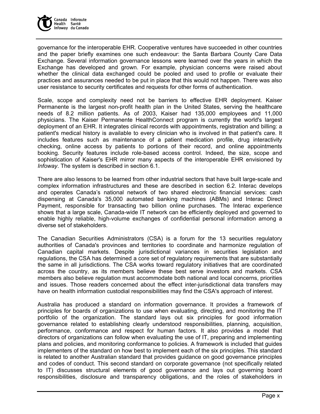

governance for the interoperable EHR. Cooperative ventures have succeeded in other countries and the paper briefly examines one such endeavour: the Santa Barbara County Care Data Exchange*.* Several information governance lessons were learned over the years in which the Exchange has developed and grown. For example, physician concerns were raised about whether the clinical data exchanged could be pooled and used to profile or evaluate their practices and assurances needed to be put in place that this would not happen. There was also user resistance to security certificates and requests for other forms of authentication.

Scale, scope and complexity need not be barriers to effective EHR deployment. Kaiser Permanente is the largest non-profit health plan in the United States, serving the healthcare needs of 8.2 million patients. As of 2003, Kaiser had 135,000 employees and 11,000 physicians. The Kaiser Permanente HealthConnect program is currently the world's largest deployment of an EHR. It integrates clinical records with appointments, registration and billing: a patient's medical history is available to every clinician who is involved in that patient's care. It includes features such as maintenance of a patient medication profile, drug interactivity checking, online access by patients to portions of their record, and online appointments booking. Security features include role-based access control. Indeed, the size, scope and sophistication of Kaiser's EHR mirror many aspects of the interoperable EHR envisioned by *Infoway*. The system is described in section 6.1.

There are also lessons to be learned from other industrial sectors that have built large-scale and complex information infrastructures and these are described in section 6.2. Interac develops and operates Canada's national network of two shared electronic financial services: cash dispensing at Canada's 35,000 automated banking machines (ABMs) and Interac Direct Payment, responsible for transacting two billion online purchases. The Interac experience shows that a large scale, Canada-wide IT network can be efficiently deployed and governed to enable highly reliable, high-volume exchanges of confidential personal information among a diverse set of stakeholders.

The Canadian Securities Administrators (CSA) is a forum for the 13 securities regulatory authorities of Canada's provinces and territories to coordinate and harmonize regulation of Canadian capital markets. Despite jurisdictional variances in securities legislation and regulations, the CSA has determined a core set of regulatory requirements that are substantially the same in all jurisdictions. The CSA works toward regulatory initiatives that are coordinated across the country, as its members believe these best serve investors and markets. CSA members also believe regulation must accommodate both national and local concerns, priorities and issues. Those readers concerned about the effect inter-jurisdictional data transfers may have on health information custodial responsibilities may find the CSA's approach of interest.

Australia has produced a standard on information governance. It provides a framework of principles for boards of organizations to use when evaluating, directing, and monitoring the IT portfolio of the organization. The standard lays out six principles for good information governance related to establishing clearly understood responsibilities, planning, acquisition, performance, conformance and respect for human factors. It also provides a model that directors of organizations can follow when evaluating the use of IT, preparing and implementing plans and policies, and monitoring conformance to policies. A framework is included that guides implementers of the standard on how best to implement each of the six principles. This standard is related to another Australian standard that provides guidance on good governance principles and codes of conduct. This second standard on corporate governance (not specifically related to IT) discusses structural elements of good governance and lays out governing board responsibilities, disclosure and transparency obligations, and the roles of stakeholders in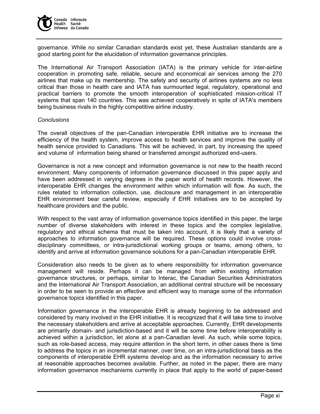

governance. While no similar Canadian standards exist yet, these Australian standards are a good starting point for the elucidation of information governance principles.

The International Air Transport Association (IATA) is the primary vehicle for inter-airline cooperation in promoting safe, reliable, secure and economical air services among the 270 airlines that make up its membership. The safety and security of airlines systems are no less critical than those in health care and IATA has surmounted legal, regulatory, operational and practical barriers to promote the smooth interoperation of sophisticated mission-critical IT systems that span 140 countries. This was achieved cooperatively in spite of IATA's members being business rivals in the highly competitive airline industry.

#### *Conclusions*

The overall objectives of the pan-Canadian interoperable EHR initiative are to increase the efficiency of the health system, improve access to health services and improve the quality of health service provided to Canadians. This will be achieved, in part, by increasing the speed and volume of information being shared or transferred amongst authorized end-users.

Governance is not a new concept and information governance is not new to the health record environment. Many components of information governance discussed in this paper apply and have been addressed in varying degrees in the paper world of health records. However, the interoperable EHR changes the environment within which information will flow. As such, the rules related to information collection, use, disclosure and management in an interoperable EHR environment bear careful review, especially if EHR initiatives are to be accepted by healthcare providers and the public.

With respect to the vast array of information governance topics identified in this paper, the large number of diverse stakeholders with interest in these topics and the complex legislative, regulatory and ethical schema that must be taken into account, it is likely that a variety of approaches to information governance will be required. These options could involve crossdisciplinary committees, or intra-jurisdictional working groups or teams, among others, to identify and arrive at information governance solutions for a pan-Canadian interoperable EHR.

Consideration also needs to be given as to where responsibility for information governance management will reside. Perhaps it can be managed from within existing information governance structures, or perhaps, similar to Interac, the Canadian Securities Administrators and the International Air Transport Association, an additional central structure will be necessary in order to be seen to provide an effective and efficient way to manage some of the information governance topics identified in this paper.

Information governance in the interoperable EHR is already beginning to be addressed and considered by many involved in the EHR initiative. It is recognized that it will take time to involve the necessary stakeholders and arrive at acceptable approaches. Currently, EHR developments are primarily domain- and jurisdiction-based and it will be some time before interoperability is achieved within a jurisdiction, let alone at a pan-Canadian level. As such, while some topics, such as role-based access, may require attention in the short term, in other cases there is time to address the topics in an incremental manner, over time, on an intra-jurisdictional basis as the components of interoperable EHR systems develop and as the information necessary to arrive at reasonable approaches becomes available. Further, as noted in the paper, there are many information governance mechanisms currently in place that apply to the world of paper-based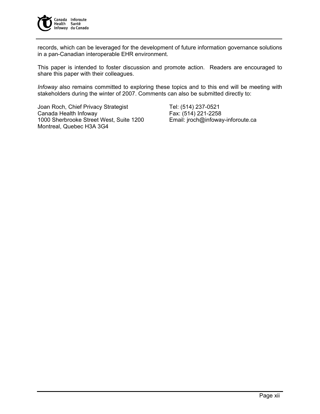

records, which can be leveraged for the development of future information governance solutions in a pan-Canadian interoperable EHR environment.

This paper is intended to foster discussion and promote action. Readers are encouraged to share this paper with their colleagues.

*Infoway* also remains committed to exploring these topics and to this end will be meeting with stakeholders during the winter of 2007. Comments can also be submitted directly to:

Joan Roch, Chief Privacy Strategist Tel: (514) 237-0521 Canada Health Infoway Fax: (514) 221-2258 1000 Sherbrooke Street West, Suite 1200 Email: jroch@infoway-inforoute.ca Montreal, Quebec H3A 3G4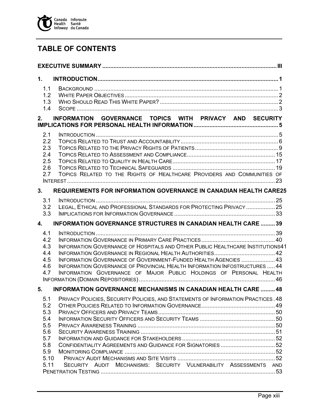

# **TABLE OF CONTENTS**

| 1.                                            |                                                                                                                                                                                                                                                                                                       |  |
|-----------------------------------------------|-------------------------------------------------------------------------------------------------------------------------------------------------------------------------------------------------------------------------------------------------------------------------------------------------------|--|
| 1.1<br>1.2<br>1.3<br>1.4                      |                                                                                                                                                                                                                                                                                                       |  |
| 2.                                            | INFORMATION GOVERNANCE TOPICS WITH PRIVACY AND SECURITY                                                                                                                                                                                                                                               |  |
| 2.1<br>2.2<br>2.3<br>2.4<br>2.5<br>2.6<br>2.7 | TOPICS RELATED TO THE RIGHTS OF HEALTHCARE PROVIDERS AND COMMUNITIES OF                                                                                                                                                                                                                               |  |
| 3.                                            | <b>REQUIREMENTS FOR INFORMATION GOVERNANCE IN CANADIAN HEALTH CARE25</b>                                                                                                                                                                                                                              |  |
| 3.1<br>3.2<br>3.3                             | LEGAL, ETHICAL AND PROFESSIONAL STANDARDS FOR PROTECTING PRIVACY  25                                                                                                                                                                                                                                  |  |
| 4.                                            | <b>INFORMATION GOVERNANCE STRUCTURES IN CANADIAN HEALTH CARE  39</b>                                                                                                                                                                                                                                  |  |
| 4.1<br>4.2<br>4.3<br>4.4<br>4.5<br>4.6<br>4.7 | INFORMATION GOVERNANCE OF HOSPITALS AND OTHER PUBLIC HEALTHCARE INSTITUTIONS41<br>INFORMATION GOVERNANCE OF GOVERNMENT-FUNDED HEALTH AGENCIES  43<br>INFORMATION GOVERNANCE OF PROVINCIAL HEALTH INFORMATION INFOSTRUCTURES  44<br>INFORMATION GOVERNANCE OF MAJOR PUBLIC HOLDINGS OF PERSONAL HEALTH |  |
| 5.                                            | <b>INFORMATION GOVERNANCE MECHANISMS IN CANADIAN HEALTH CARE  48</b>                                                                                                                                                                                                                                  |  |
| 5.1<br>5.2<br>5.3<br>5.4                      | PRIVACY POLICIES, SECURITY POLICIES, AND STATEMENTS OF INFORMATION PRACTICES .48                                                                                                                                                                                                                      |  |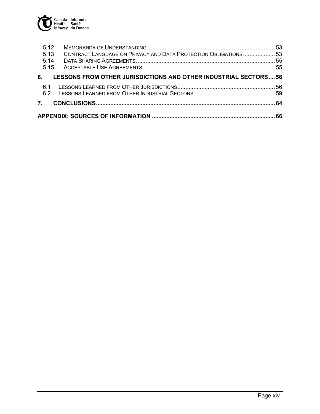

| LESSONS FROM OTHER JURISDICTIONS AND OTHER INDUSTRIAL SECTORS56 |
|-----------------------------------------------------------------|
|                                                                 |
| CONTRACT LANGUAGE ON PRIVACY AND DATA PROTECTION OBLIGATIONS 53 |
|                                                                 |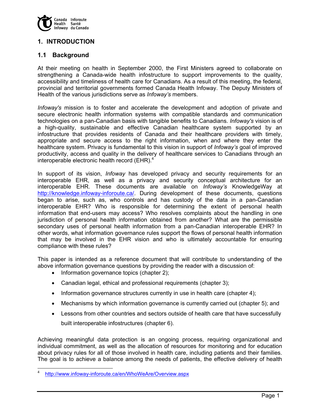

# **1. INTRODUCTION**

# **1.1 Background**

At their meeting on health in September 2000, the First Ministers agreed to collaborate on strengthening a Canada-wide health infostructure to support improvements to the quality, accessibility and timeliness of health care for Canadians. As a result of this meeting, the federal, provincial and territorial governments formed Canada Health Infoway. The Deputy Ministers of Health of the various jurisdictions serve as *Infoway's* members.

*Infoway's* mission is to foster and accelerate the development and adoption of private and secure electronic health information systems with compatible standards and communication technologies on a pan-Canadian basis with tangible benefits to Canadians. *Infoway's* vision is of a high-quality, sustainable and effective Canadian healthcare system supported by an infostructure that provides residents of Canada and their healthcare providers with timely, appropriate and secure access to the right information, when and where they enter the healthcare system. Privacy is fundamental to this vision in support of *Infoway's* goal of improved productivity, access and quality in the delivery of healthcare services to Canadians through an interoperable electronic health record (EHR). $4^{\degree}$ 

In support of its vision, *Infoway* has developed privacy and security requirements for an interoperable EHR, as well as a privacy and security conceptual architecture for an interoperable EHR. These documents are available on *Infoway's* KnowledgeWay at http://knowledge.infoway-inforoute.ca/. During development of these documents, questions began to arise, such as, who controls and has custody of the data in a pan-Canadian interoperable EHR? Who is responsible for determining the extent of personal health information that end-users may access? Who resolves complaints about the handling in one jurisdiction of personal health information obtained from another? What are the permissible secondary uses of personal health information from a pan-Canadian interoperable EHR? In other words, what information governance rules support the flows of personal health information that may be involved in the EHR vision and who is ultimately accountable for ensuring compliance with these rules?

This paper is intended as a reference document that will contribute to understanding of the above information governance questions by providing the reader with a discussion of:

- Information governance topics (chapter 2);
- Canadian legal, ethical and professional requirements (chapter 3);
- Information governance structures currently in use in health care (chapter 4);
- Mechanisms by which information governance is currently carried out (chapter 5); and
- Lessons from other countries and sectors outside of health care that have successfully built interoperable infostructures (chapter 6).

Achieving meaningful data protection is an ongoing process, requiring organizational and individual commitment, as well as the allocation of resources for monitoring and for education about privacy rules for all of those involved in health care, including patients and their families. The goal is to achieve a balance among the needs of patients, the effective delivery of health

<sup>4</sup> http://www.infoway-inforoute.ca/en/WhoWeAre/Overview.aspx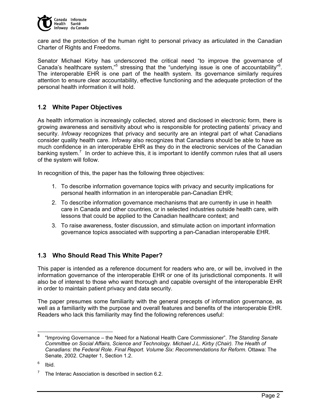

care and the protection of the human right to personal privacy as articulated in the Canadian Charter of Rights and Freedoms.

Senator Michael Kirby has underscored the critical need "to improve the governance of Canada's healthcare system,"<sup>5</sup> stressing that the "underlying issue is one of accountability"<sup>6</sup>. The interoperable EHR is one part of the health system. Its governance similarly requires attention to ensure clear accountability, effective functioning and the adequate protection of the personal health information it will hold.

# **1.2 White Paper Objectives**

As health information is increasingly collected, stored and disclosed in electronic form, there is growing awareness and sensitivity about who is responsible for protecting patients' privacy and security. *Infoway* recognizes that privacy and security are an integral part of what Canadians consider quality health care. *Infoway* also recognizes that Canadians should be able to have as much confidence in an interoperable EHR as they do in the electronic services of the Canadian banking system.<sup>7</sup> In order to achieve this, it is important to identify common rules that all users of the system will follow.

In recognition of this, the paper has the following three objectives:

- 1. To describe information governance topics with privacy and security implications for personal health information in an interoperable pan-Canadian EHR;
- 2. To describe information governance mechanisms that are currently in use in health care in Canada and other countries, or in selected industries outside health care, with lessons that could be applied to the Canadian healthcare context; and
- 3. To raise awareness, foster discussion, and stimulate action on important information governance topics associated with supporting a pan-Canadian interoperable EHR.

# **1.3 Who Should Read This White Paper?**

This paper is intended as a reference document for readers who are, or will be, involved in the information governance of the interoperable EHR or one of its jurisdictional components. It will also be of interest to those who want thorough and capable oversight of the interoperable EHR in order to maintain patient privacy and data security.

The paper presumes some familiarity with the general precepts of information governance, as well as a familiarity with the purpose and overall features and benefits of the interoperable EHR. Readers who lack this familiarity may find the following references useful:

6 Ibid.

 **5** "Improving Governance – the Need for a National Health Care Commissioner". *The Standing Senate Committee on Social Affairs, Science and Technology. Michael J.L. Kirby (Chair). The Health of Canadians: the Federal Role. Final Report. Volume Six: Recommendations for Reform.* Ottawa: The Senate, 2002. Chapter 1, Section 1.2.

<sup>7</sup> The Interac Association is described in section 6.2.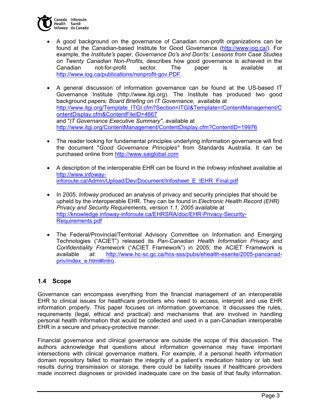

- A good background on the governance of Canadian non-profit organizations can be found at the Canadian-based Institute for Good Governance (http://www.iog.ca/). For example, the *Institute's* paper, *Governance Do's and Don'ts: Lessons from Case Studies on Twenty Canadian Non-Profits,* describes how good governance is achieved in the Canadian not-for-profit sector. The paper is available at http://www.iog.ca/publications/nonprofit-gov.PDF.
- A general discussion of information governance can be found at the US-based IT Governance Institute (http://www.itgi.org). The Institute has produced two good background papers: *Board Briefing on IT Governance,* available at http://www.itgi.org/Template\_ITGI.cfm?Section=ITGI&Template=/ContentManagement/C ontentDisplay.cfm&ContentFileID=4667 and "*IT Governance Executive Summary"*, available at http://www.itgi.org/ContentManagement/ContentDisplay.cfm?ContentID=19976
- The reader looking for fundamental principles underlying information governance will find the document "*Good Governance Principles"* from Standards Australia. It can be purchased online from http://www.saiglobal.com
- A description of the interoperable EHR can be found in the *Infoway* infosheet available at http://www.infowayinforoute.ca/Admin/Upload/Dev/Document/Infosheet E\_IEHR\_Final.pdf
- In 2005, *Infoway* produced an analysis of privacy and security principles that should be upheld by the interoperable EHR. They can be found in *Electronic Health Record (EHR)*  **Privacy and Security Requirements, version 1.1, 2005 available at** http://knowledge.infoway-inforoute.ca/EHRSRA/doc/EHR-Privacy-Security-Requirements.pdf
- The Federal/Provincial/Territorial Advisory Committee on Information and Emerging Technologies ("ACIET") released its *Pan-Canadian Health Information Privacy and Confidentiality Framework* ("ACIET Framework") in 2005; the ACIET Framework is available at: http://www.hc-sc.gc.ca/hcs-sss/pubs/ehealth-esante/2005-pancanadpriv/index\_e.html#intro.

# **1.4 Scope**

Governance can encompass everything from the financial management of an interoperable EHR to clinical issues for healthcare providers who need to access, interpret and use EHR information properly. This paper focuses on information governance. It discusses the rules, requirements (legal, ethical and practical) and mechanisms that are involved in handling personal health information that would be collected and used in a pan-Canadian interoperable EHR in a secure and privacy-protective manner.

Financial governance and clinical governance are outside the scope of this discussion. The authors acknowledge that questions about information governance may have important intersections with clinical governance matters. For example, if a personal health information domain repository failed to maintain the integrity of a patient's medication history or lab test results during transmission or storage, there could be liability issues if healthcare providers made incorrect diagnoses or provided inadequate care on the basis of that faulty information.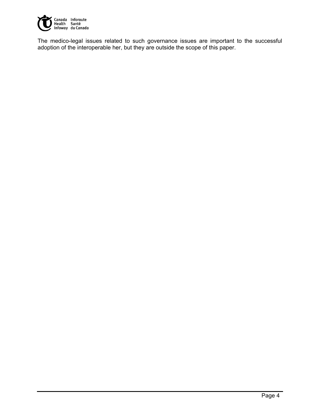

The medico-legal issues related to such governance issues are important to the successful adoption of the interoperable her, but they are outside the scope of this paper.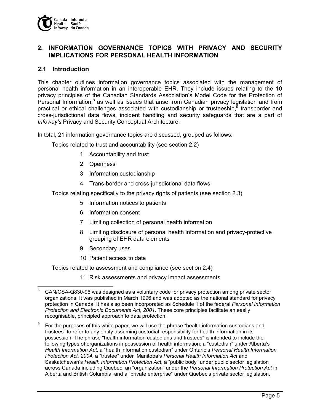

# **2. INFORMATION GOVERNANCE TOPICS WITH PRIVACY AND SECURITY IMPLICATIONS FOR PERSONAL HEALTH INFORMATION**

### **2.1 Introduction**

This chapter outlines information governance topics associated with the management of personal health information in an interoperable EHR. They include issues relating to the 10 privacy principles of the Canadian Standards Association's Model Code for the Protection of Personal Information, $8$  as well as issues that arise from Canadian privacy legislation and from practical or ethical challenges associated with custodianship or trusteeship,<sup>5</sup> transborder and cross-jurisdictional data flows, incident handling and security safeguards that are a part of *Infoway's* Privacy and Security Conceptual Architecture.

In total, 21 information governance topics are discussed, grouped as follows:

Topics related to trust and accountability (see section 2.2)

- 1 Accountability and trust
- 2 Openness
- 3 Information custodianship
- 4 Trans-border and cross-jurisdictional data flows

Topics relating specifically to the privacy rights of patients (see section 2.3)

- 5 Information notices to patients
- 6 Information consent
- 7 Limiting collection of personal health information
- 8 Limiting disclosure of personal health information and privacy-protective grouping of EHR data elements
- 9 Secondary uses
- 10 Patient access to data

Topics related to assessment and compliance (see section 2.4)

11 Risk assessments and privacy impact assessments

 8 CAN/CSA-Q830-96 was designed as a voluntary code for privacy protection among private sector organizations. It was published in March 1996 and was adopted as the national standard for privacy protection in Canada. It has also been incorporated as Schedule 1 of the federal *Personal Information Protection and Electronic Documents Act, 2001*. These core principles facilitate an easily recognisable, principled approach to data protection.

<sup>9</sup> For the purposes of this white paper, we will use the phrase "health information custodians and trustees" to refer to any entity assuming custodial responsibility for health information in its possession. The phrase "health information custodians and trustees" is intended to include the following types of organizations in possession of health information: a "custodian" under Alberta's *Health Information Act*, a "health information custodian" under Ontario's *Personal Health Information Protection Act, 2004*, a "trustee" under Manitoba's *Personal Health Information Act* and Saskatchewan's *Health Information Protection Act*, a "public body" under public sector legislation across Canada including Quebec, an "organization" under the *Personal Information Protection Act* in Alberta and British Columbia, and a "private enterprise" under Quebec's private sector legislation.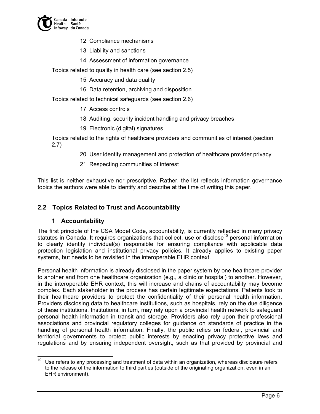

- 12 Compliance mechanisms
- 13 Liability and sanctions
- 14 Assessment of information governance

Topics related to quality in health care (see section 2.5)

- 15 Accuracy and data quality
- 16 Data retention, archiving and disposition

Topics related to technical safeguards (see section 2.6)

- 17 Access controls
- 18 Auditing, security incident handling and privacy breaches
- 19 Electronic (digital) signatures

Topics related to the rights of healthcare providers and communities of interest (section 2.7)

- 20 User identity management and protection of healthcare provider privacy
- 21 Respecting communities of interest

This list is neither exhaustive nor prescriptive. Rather, the list reflects information governance topics the authors were able to identify and describe at the time of writing this paper.

# **2.2 Topics Related to Trust and Accountability**

#### **1 Accountability**

The first principle of the CSA Model Code, accountability, is currently reflected in many privacy statutes in Canada. It requires organizations that collect, use or disclose<sup>10</sup> personal information to clearly identify individual(s) responsible for ensuring compliance with applicable data protection legislation and institutional privacy policies. It already applies to existing paper systems, but needs to be revisited in the interoperable EHR context.

Personal health information is already disclosed in the paper system by one healthcare provider to another and from one healthcare organization (e.g., a clinic or hospital) to another. However, in the interoperable EHR context, this will increase and chains of accountability may become complex. Each stakeholder in the process has certain legitimate expectations. Patients look to their healthcare providers to protect the confidentiality of their personal health information. Providers disclosing data to healthcare institutions, such as hospitals, rely on the due diligence of these institutions. Institutions, in turn, may rely upon a provincial health network to safeguard personal health information in transit and storage. Providers also rely upon their professional associations and provincial regulatory colleges for guidance on standards of practice in the handling of personal health information. Finally, the public relies on federal, provincial and territorial governments to protect public interests by enacting privacy protective laws and regulations and by ensuring independent oversight, such as that provided by provincial and

 $\overline{a}$ Use refers to any processing and treatment of data within an organization, whereas disclosure refers to the release of the information to third parties (outside of the originating organization, even in an EHR environment).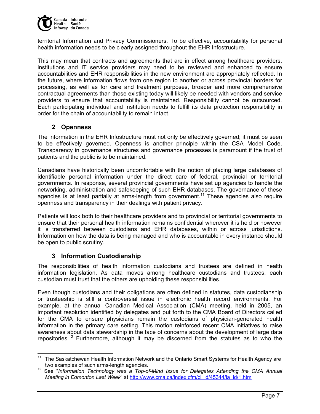

territorial Information and Privacy Commissioners. To be effective, accountability for personal health information needs to be clearly assigned throughout the EHR Infostructure.

This may mean that contracts and agreements that are in effect among healthcare providers, institutions and IT service providers may need to be reviewed and enhanced to ensure accountabilities and EHR responsibilities in the new environment are appropriately reflected. In the future, where information flows from one region to another or across provincial borders for processing, as well as for care and treatment purposes, broader and more comprehensive contractual agreements than those existing today will likely be needed with vendors and service providers to ensure that accountability is maintained. Responsibility cannot be outsourced. Each participating individual and institution needs to fulfill its data protection responsibility in order for the chain of accountability to remain intact.

# **2 Openness**

The information in the EHR Infostructure must not only be effectively governed; it must be seen to be effectively governed. Openness is another principle within the CSA Model Code. Transparency in governance structures and governance processes is paramount if the trust of patients and the public is to be maintained.

Canadians have historically been uncomfortable with the notion of placing large databases of identifiable personal information under the direct care of federal, provincial or territorial governments. In response, several provincial governments have set up agencies to handle the networking, administration and safekeeping of such EHR databases. The governance of these agencies is at least partially at arms-length from government.<sup>11</sup> These agencies also require openness and transparency in their dealings with patient privacy.

Patients will look both to their healthcare providers and to provincial or territorial governments to ensure that their personal health information remains confidential wherever it is held or however it is transferred between custodians and EHR databases, within or across jurisdictions. Information on how the data is being managed and who is accountable in every instance should be open to public scrutiny.

# **3 Information Custodianship**

-

The responsibilities of health information custodians and trustees are defined in health information legislation. As data moves among healthcare custodians and trustees, each custodian must trust that the others are upholding these responsibilities.

Even though custodians and their obligations are often defined in statutes, data custodianship or trusteeship is still a controversial issue in electronic health record environments. For example, at the annual Canadian Medical Association (CMA) meeting, held in 2005, an important resolution identified by delegates and put forth to the CMA Board of Directors called for the CMA to ensure physicians remain the custodians of physician-generated health information in the primary care setting. This motion reinforced recent CMA initiatives to raise awareness about data stewardship in the face of concerns about the development of large data repositories.<sup>12</sup> Furthermore, although it may be discerned from the statutes as to who the

The Saskatchewan Health Information Network and the Ontario Smart Systems for Health Agency are two examples of such arms-length agencies.

<sup>&</sup>lt;sup>12</sup> See "Information Technology was a Top-of-Mind Issue for Delegates Attending the CMA Annual *Meeting in Edmonton Last Week*" at http://www.cma.ca/index.cfm/ci\_id/45344/la\_id/1.htm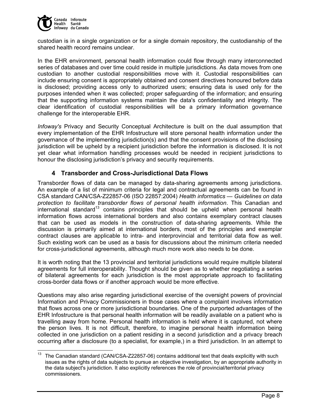

custodian is in a single organization or for a single domain repository, the custodianship of the shared health record remains unclear.

In the EHR environment, personal health information could flow through many interconnected series of databases and over time could reside in multiple jurisdictions. As data moves from one custodian to another custodial responsibilities move with it. Custodial responsibilities can include ensuring consent is appropriately obtained and consent directives honoured before data is disclosed; providing access only to authorized users; ensuring data is used only for the purposes intended when it was collected; proper safeguarding of the information; and ensuring that the supporting information systems maintain the data's confidentiality and integrity. The clear identification of custodial responsibilities will be a primary information governance challenge for the interoperable EHR.

*Infoway's* Privacy and Security Conceptual Architecture is built on the dual assumption that every implementation of the EHR Infostructure will store personal health information under the governance of the implementing jurisdiction(s) and that the consent provisions of the disclosing jurisdiction will be upheld by a recipient jurisdiction before the information is disclosed. It is not yet clear what information handling processes would be needed in recipient jurisdictions to honour the disclosing jurisdiction's privacy and security requirements.

# **4 Transborder and Cross-Jurisdictional Data Flows**

Transborder flows of data can be managed by data-sharing agreements among jurisdictions. An example of a list of minimum criteria for legal and contractual agreements can be found in CSA standard CAN/CSA-Z22857-06 (ISO 22857:2004) *Health informatics — Guidelines on data protection to facilitate transborder flows of personal health information*. This Canadian and international standard<sup>13</sup> contains principles that should be upheld when personal health information flows across international borders and also contains exemplary contract clauses that can be used as models in the construction of data-sharing agreements. While the discussion is primarily aimed at international borders, most of the principles and exemplar contract clauses are applicable to intra- and interprovincial and territorial data flow as well. Such existing work can be used as a basis for discussions about the minimum criteria needed for cross-jurisdictional agreements, although much more work also needs to be done.

It is worth noting that the 13 provincial and territorial jurisdictions would require multiple bilateral agreements for full interoperability. Thought should be given as to whether negotiating a series of bilateral agreements for each jurisdiction is the most appropriate approach to facilitating cross-border data flows or if another approach would be more effective.

Questions may also arise regarding jurisdictional exercise of the oversight powers of provincial Information and Privacy Commissioners in those cases where a complaint involves information that flows across one or more jurisdictional boundaries. One of the purported advantages of the EHR Infostructure is that personal health information will be readily available on a patient who is travelling away from home. Personal health information is held where it is captured, not where the person lives. It is not difficult, therefore, to imagine personal health information being collected in one jurisdiction on a patient residing in a second jurisdiction and a privacy breach occurring after a disclosure (to a specialist, for example,) in a third jurisdiction. In an attempt to

 $13$ 13 The Canadian standard (CAN/CSA-Z22857-06) contains additional text that deals explicitly with such issues as the rights of data subjects to pursue an objective investigation, by an appropriate authority in the data subject's jurisdiction. It also explicitly references the role of provincial/territorial privacy commissioners.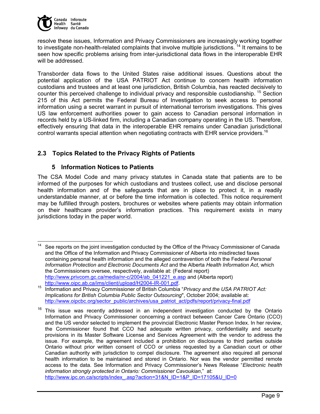

resolve these issues, Information and Privacy Commissioners are increasingly working together to investigate non-health-related complaints that involve multiple jurisdictions.<sup>14</sup> It remains to be seen how specific problems arising from inter-jurisdictional data flows in the interoperable EHR will be addressed.

Transborder data flows to the United States raise additional issues. Questions about the potential application of the USA PATRIOT Act continue to concern health information custodians and trustees and at least one jurisdiction, British Columbia, has reacted decisively to counter this perceived challenge to individual privacy and responsible custodianship. <sup>15</sup> Section 215 of this Act permits the Federal Bureau of Investigation to seek access to personal information using a secret warrant in pursuit of international terrorism investigations. This gives US law enforcement authorities power to gain access to Canadian personal information in records held by a US-linked firm, including a Canadian company operating in the US. Therefore, effectively ensuring that data in the interoperable EHR remains under Canadian jurisdictional control warrants special attention when negotiating contracts with EHR service providers.<sup>16</sup>

# **2.3 Topics Related to the Privacy Rights of Patients**

### **5 Information Notices to Patients**

The CSA Model Code and many privacy statutes in Canada state that patients are to be informed of the purposes for which custodians and trustees collect, use and disclose personal health information and of the safeguards that are in place to protect it, in a readily understandable manner, at or before the time information is collected. This notice requirement may be fulfilled through posters, brochures or websites where patients may obtain information on their healthcare provider's information practices. This requirement exists in many jurisdictions today in the paper world.

 $14$ See reports on the joint investigation conducted by the Office of the Privacy Commissioner of Canada and the Office of the Information and Privacy Commissioner of Alberta into misdirected faxes containing personal health information and the alleged contravention of both the Federal *Personal Information Protection and Electronic Documents Act* and the Alberta *Health Information Act*, which the Commissioners oversee, respectively, available at: (Federal report) http://www.privcom.gc.ca/media/nr-c/2004/ab\_041221\_e.asp and (Alberta report)

http://www.oipc.ab.ca/ims/client/upload/H2004-IR-001.pdf. 15 Information and Privacy Commissioner of British Columbia "*Privacy and the USA PATRIOT Act: Implications for British Columbia Public Sector Outsourcing*", October 2004; available at: http://www.oipcbc.org/sector\_public/archives/usa\_patriot\_act/pdfs/report/privacy-final.pdf

 $16$  This issue was recently addressed in an independent investigation conducted by the Ontario Information and Privacy Commissioner concerning a contract between Cancer Care Ontario (CCO) and the US vendor selected to implement the provincial Electronic Master Person Index. In her review, the Commissioner found that CCO had adequate written privacy, confidentiality and security provisions in its Master Software License and Services Agreement with the vendor to address the issue. For example, the agreement included a prohibition on disclosures to third parties outside Ontario without prior written consent of CCO or unless requested by a Canadian court or other Canadian authority with jurisdiction to compel disclosure. The agreement also required all personal health information to be maintained and stored in Ontario. Nor was the vendor permitted remote access to the data. See Information and Privacy Commissioner's News Release "*Electronic health information strongly protected in Ontario: Commissioner Cavoukian*," at: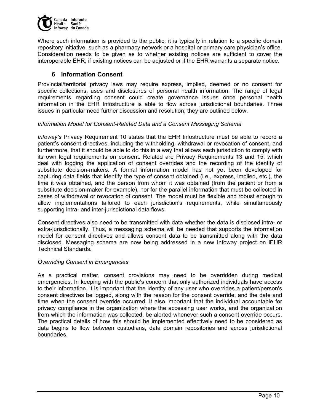

Where such information is provided to the public, it is typically in relation to a specific domain repository initiative, such as a pharmacy network or a hospital or primary care physician's office. Consideration needs to be given as to whether existing notices are sufficient to cover the interoperable EHR, if existing notices can be adjusted or if the EHR warrants a separate notice.

# **6 Information Consent**

Provincial/territorial privacy laws may require express, implied, deemed or no consent for specific collections, uses and disclosures of personal health information. The range of legal requirements regarding consent could create governance issues once personal health information in the EHR Infostructure is able to flow across jurisdictional boundaries. Three issues in particular need further discussion and resolution; they are outlined below.

#### *Information Model for Consent-Related Data and a Consent Messaging Schema*

*Infoway's* Privacy Requirement 10 states that the EHR Infostructure must be able to record a patient's consent directives, including the withholding, withdrawal or revocation of consent, and furthermore, that it should be able to do this in a way that allows each jurisdiction to comply with its own legal requirements on consent. Related are Privacy Requirements 13 and 15, which deal with logging the application of consent overrides and the recording of the identity of substitute decision-makers. A formal information model has not yet been developed for capturing data fields that identify the type of consent obtained (i.e., express, implied, etc.), the time it was obtained, and the person from whom it was obtained (from the patient or from a substitute decision-maker for example), nor for the parallel information that must be collected in cases of withdrawal or revocation of consent. The model must be flexible and robust enough to allow implementations tailored to each jurisdiction's requirements, while simultaneously supporting intra- and inter-jurisdictional data flows.

Consent directives also need to be transmitted with data whether the data is disclosed intra- or extra-jurisdictionally. Thus, a messaging schema will be needed that supports the information model for consent directives and allows consent data to be transmitted along with the data disclosed. Messaging schema are now being addressed in a new Infoway project on iEHR Technical Standards.

#### *Overriding Consent in Emergencies*

As a practical matter, consent provisions may need to be overridden during medical emergencies. In keeping with the public's concern that only authorized individuals have access to their information, it is important that the identity of any user who overrides a patient/person's consent directives be logged, along with the reason for the consent override, and the date and time when the consent override occurred. It also important that the individual accountable for privacy compliance in the organization where the accessing user works, and the organization from which the information was collected, be alerted whenever such a consent override occurs. The practical details of how this should be implemented effectively need to be considered as data begins to flow between custodians, data domain repositories and across jurisdictional boundaries.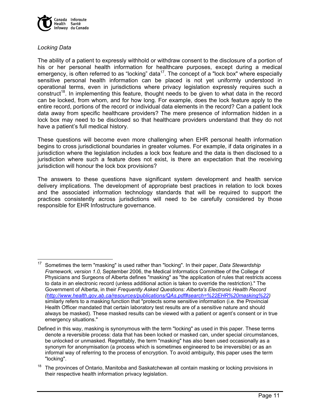

#### *Locking Data*

The ability of a patient to expressly withhold or withdraw consent to the disclosure of a portion of his or her personal health information for healthcare purposes, except during a medical emergency, is often referred to as "locking" data<sup>17</sup>. The concept of a "lock box" where especially sensitive personal health information can be placed is not yet uniformly understood in operational terms, even in jurisdictions where privacy legislation expressly requires such a construct<sup>18</sup>. In implementing this feature, thought needs to be given to what data in the record can be locked, from whom, and for how long. For example, does the lock feature apply to the entire record, portions of the record or individual data elements in the record? Can a patient lock data away from specific healthcare providers? The mere presence of information hidden in a lock box may need to be disclosed so that healthcare providers understand that they do not have a patient's full medical history.

These questions will become even more challenging when EHR personal health information begins to cross jurisdictional boundaries in greater volumes. For example, if data originates in a jurisdiction where the legislation includes a lock box feature and the data is then disclosed to a jurisdiction where such a feature does not exist, is there an expectation that the receiving jurisdiction will honour the lock box provisions?

The answers to these questions have significant system development and health service delivery implications. The development of appropriate best practices in relation to lock boxes and the associated information technology standards that will be required to support the practices consistently across jurisdictions will need to be carefully considered by those responsible for EHR Infostructure governance.

<sup>17</sup> Sometimes the term "masking" is used rather than "locking". In their paper, *Data Stewardship Framework, version 1.0,* September 2006, the Medical Informatics Committee of the College of Physicians and Surgeons of Alberta defines "masking" as "the application of rules that restricts access to data in an electronic record (unless additional action is taken to override the restriction)." The Government of Alberta, in their *Frequently Asked Questions: Alberta's Electronic Health Record (http://www.health.gov.ab.ca/resources/publications/QAs.pdf#search=%22EHR%20masking%22)*  similarly refers to a masking function that "protects some sensitive information (i.e. the Provincial Health Officer mandated that certain laboratory test results are of a sensitive nature and should always be masked). These masked results can be viewed with a patient or agent's consent or in true emergency situations."

Defined in this way, masking is synonymous with the term "locking" as used in this paper. These terms denote a reversible process: data that has been locked or masked can, under special circumstances, be unlocked or unmasked. Regrettably, the term "masking" has also been used occasionally as a synonym for anonymisation (a process which is sometimes engineered to be irreversible) or as an informal way of referring to the process of encryption. To avoid ambiguity, this paper uses the term "locking".

<sup>&</sup>lt;sup>18</sup> The provinces of Ontario, Manitoba and Saskatchewan all contain masking or locking provisions in their respective health information privacy legislation.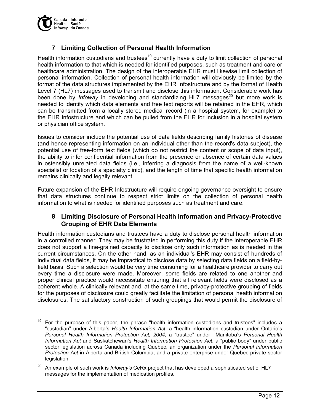

# **7 Limiting Collection of Personal Health Information**

Health information custodians and trustees<sup>19</sup> currently have a duty to limit collection of personal health information to that which is needed for identified purposes, such as treatment and care or healthcare administration. The design of the interoperable EHR must likewise limit collection of personal information. Collection of personal health information will obviously be limited by the format of the data structures implemented by the EHR Infostructure and by the format of Health Level 7 (HL7) messages used to transmit and disclose this information. Considerable work has been done by *Infoway* in developing and standardizing HL7 messages<sup>20</sup> but more work is needed to identify which data elements and free text reports will be retained in the EHR, which can be transmitted from a locally stored medical record (in a hospital system, for example) to the EHR Infostructure and which can be pulled from the EHR for inclusion in a hospital system or physician office system.

Issues to consider include the potential use of data fields describing family histories of disease (and hence representing information on an individual other than the record's data subject), the potential use of free-form text fields (which do not restrict the content or scope of data input), the ability to infer confidential information from the presence or absence of certain data values in ostensibly unrelated data fields (i.e., inferring a diagnosis from the name of a well-known specialist or location of a specialty clinic), and the length of time that specific health information remains clinically and legally relevant.

Future expansion of the EHR Infostructure will require ongoing governance oversight to ensure that data structures continue to respect strict limits on the collection of personal health information to what is needed for identified purposes such as treatment and care.

# **8 Limiting Disclosure of Personal Health Information and Privacy-Protective Grouping of EHR Data Elements**

Health information custodians and trustees have a duty to disclose personal health information in a controlled manner. They may be frustrated in performing this duty if the interoperable EHR does not support a fine-grained capacity to disclose only such information as is needed in the current circumstances. On the other hand, as an individual's EHR may consist of hundreds of individual data fields, it may be impractical to disclose data by selecting data fields on a field-byfield basis. Such a selection would be very time consuming for a healthcare provider to carry out every time a disclosure were made. Moreover, some fields are related to one another and proper clinical practice would necessitate ensuring that all relevant fields were disclosed as a coherent whole. A clinically relevant and, at the same time, privacy-protective grouping of fields for the purposes of disclosure could greatly facilitate the limitation of personal health information disclosures. The satisfactory construction of such groupings that would permit the disclosure of

<sup>19</sup> 19 For the purpose of this paper, the phrase "health information custodians and trustees" includes a "custodian" under Alberta's *Health Information Act*, a "health information custodian under Ontario's *Personal Health Information Protection Act, 2004*, a "trustee" under Manitoba's *Personal Health Information Act* and Saskatchewan's *Health Information Protection Act*, a "public body" under public sector legislation across Canada including Quebec, an organization under the *Personal Information Protection Act* in Alberta and British Columbia, and a private enterprise under Quebec private sector legislation.

<sup>&</sup>lt;sup>20</sup> An example of such work is *Infoway's* CeRx project that has developed a sophisticated set of HL7 messages for the implementation of medication profiles.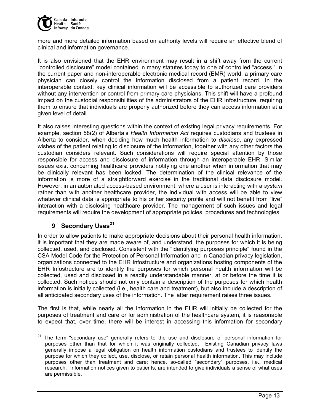

more and more detailed information based on authority levels will require an effective blend of clinical and information governance.

It is also envisioned that the EHR environment may result in a shift away from the current "controlled disclosure" model contained in many statutes today to one of controlled "access." In the current paper and non-interoperable electronic medical record (EMR) world, a primary care physician can closely control the information disclosed from a patient record. In the interoperable context, key clinical information will be accessible to authorized care providers without any intervention or control from primary care physicians. This shift will have a profound impact on the custodial responsibilities of the administrators of the EHR Infostructure, requiring them to ensure that individuals are properly authorized before they can access information at a given level of detail.

It also raises interesting questions within the context of existing legal privacy requirements. For example, section 58(2) of Alberta's *Health Information Act* requires custodians and trustees in Alberta to consider, when deciding how much health information to *disclose*, any expressed wishes of the patient relating to disclosure of the information, together with any other factors the custodian considers relevant. Such considerations will require special attention by those responsible for access and disclosure of information through an interoperable EHR. Similar issues exist concerning healthcare providers notifying one another when information that may be clinically relevant has been locked. The determination of the clinical relevance of the information is more of a straightforward exercise in the traditional data disclosure model. However, in an automated access-based environment, where a user is interacting with a *system* rather than with another healthcare provider, the individual with access will be able to view whatever clinical data is appropriate to his or her security profile and will not benefit from "live" interaction with a disclosing healthcare provider. The management of such issues and legal requirements will require the development of appropriate policies, procedures and technologies.

# **9 Secondary Uses**<sup>21</sup>

In order to allow patients to make appropriate decisions about their personal health information, it is important that they are made aware of, and understand, the purposes for which it is being collected, used, and disclosed. Consistent with the "identifying purposes principle" found in the CSA Model Code for the Protection of Personal Information and in Canadian privacy legislation, organizations connected to the EHR Infostructure and organizations hosting components of the EHR Infostructure are to identify the purposes for which personal health information will be collected, used and disclosed in a readily understandable manner, at or before the time it is collected. Such notices should not only contain a description of the purposes for which health information is initially collected (i.e., health care and treatment), but also include a description of all anticipated secondary uses of the information. The latter requirement raises three issues.

The first is that, while nearly all the information in the EHR will initially be collected for the purposes of treatment and care or for administration of the healthcare system, it is reasonable to expect that, over time, there will be interest in accessing this information for secondary

  $21$  The term "secondary use" generally refers to the use and disclosure of personal information for purposes other than that for which it was originally collected. Existing Canadian privacy laws generally impose a legal obligation on health information custodians and trustees to identify the purpose for which they collect, use, disclose, or retain personal health information. This may include purposes other than treatment and care; hence, so-called "secondary" purposes, i.e., medical research. Information notices given to patients, are intended to give individuals a sense of what uses are permissible.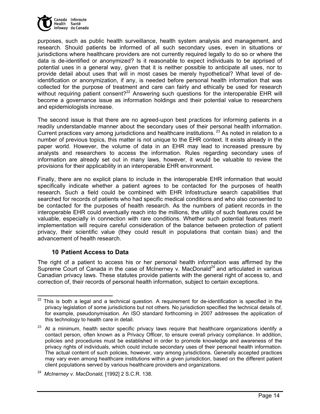

purposes, such as public health surveillance, health system analysis and management, and research. Should patients be informed of all such secondary uses, even in situations or jurisdictions where healthcare providers are not currently required legally to do so or where the data is de-identified or anonymized? Is it reasonable to expect individuals to be apprised of potential uses in a general way, given that it is neither possible to anticipate all uses, nor to provide detail about uses that will in most cases be merely hypothetical? What level of deidentification or anonymization, if any, is needed before personal health information that was collected for the purpose of treatment and care can fairly and ethically be used for research without requiring patient consent?<sup>22</sup> Answering such questions for the interoperable EHR will become a governance issue as information holdings and their potential value to researchers and epidemiologists increase.

The second issue is that there are no agreed-upon best practices for informing patients in a readily understandable manner about the secondary uses of their personal health information. Current practices vary among jurisdictions and healthcare institutions.<sup>23</sup> As noted in relation to a number of previous topics, this matter is not unique to the EHR context. It exists already in the paper world. However, the volume of data in an EHR may lead to increased pressure by analysts and researchers to access the information. Rules regarding secondary uses of information are already set out in many laws, however, it would be valuable to review the provisions for their applicability in an interoperable EHR environment.

Finally, there are no explicit plans to include in the interoperable EHR information that would specifically indicate whether a patient agrees to be contacted for the purposes of health research. Such a field could be combined with EHR Infostructure search capabilities that searched for records of patients who had specific medical conditions and who also consented to be contacted for the purposes of health research. As the numbers of patient records in the interoperable EHR could eventually reach into the millions, the utility of such features could be valuable, especially in connection with rare conditions. Whether such potential features merit implementation will require careful consideration of the balance between protection of patient privacy, their scientific value (they could result in populations that contain bias) and the advancement of health research.

# **10 Patient Access to Data**

The right of a patient to access his or her personal health information was affirmed by the Supreme Court of Canada in the case of McInerney v. MacDonald<sup>24</sup> and articulated in various Canadian privacy laws. These statutes provide patients with the general right of access to, and correction of, their records of personal health information, subject to certain exceptions.

  $22$  This is both a legal and a technical question. A requirement for de-identification is specified in the privacy legislation of some jurisdictions but not others. No jurisdiction specified the technical details of, for example, pseudonymisation. An ISO standard forthcoming in 2007 addresses the application of this technology to health care in detail.

At a minimum, health sector specific privacy laws require that healthcare organizations identify a contact person, often known as a Privacy Officer, to ensure overall privacy compliance. In addition, policies and procedures must be established in order to promote knowledge and awareness of the privacy rights of individuals, which could include secondary uses of their personal health information. The actual content of such policies, however, vary among jurisdictions. Generally accepted practices may vary even among healthcare institutions within a given jurisdiction, based on the different patient client populations served by various healthcare providers and organizations.

<sup>24</sup> *McInerney v. MacDonald,* [1992] 2 S.C.R. 138.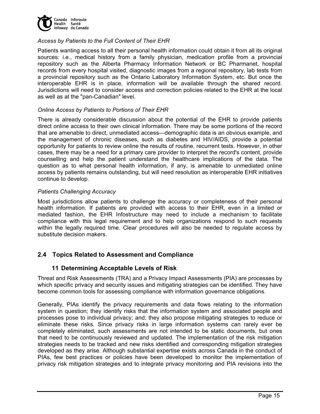

#### *Access by Patients to the Full Content of Their EHR*

Patients wanting access to all their personal health information could obtain it from all its original sources: i.e., medical history from a family physician, medication profile from a provincial repository such as the Alberta Pharmacy Information Network or BC Pharmanet, hospital records from every hospital visited, diagnostic images from a regional repository, lab tests from a provincial repository such as the Ontario Laboratory Information System, etc. But once the interoperable EHR is in place, information will be available through the shared record. Jurisdictions will need to consider access and correction policies related to the EHR at the local as well as at the "pan-Canadian" level.

#### *Online Access by Patients to Portions of Their EHR*

There is already considerable discussion about the potential of the EHR to provide patients direct online access to their own clinical information. There may be some portions of the record that are amenable to direct, unmediated access—demographic data is an obvious example, and the management of chronic diseases, such as diabetes and HIV/AIDS, provide a potential opportunity for patients to review online the results of routine, recurrent tests. However, in other cases, there may be a need for a primary care provider to interpret the record's content, provide counselling and help the patient understand the healthcare implications of the data. The question as to what personal health information, if any, is amenable to unmediated online access by patients remains outstanding, but will need resolution as interoperable EHR initiatives continue to develop.

#### *Patients Challenging Accuracy*

Most jurisdictions allow patients to challenge the accuracy or completeness of their personal health information. If patients are provided with access to their EHR, even in a limited or mediated fashion, the EHR Infostructure may need to include a mechanism to facilitate compliance with this legal requirement and to help organizations respond to such requests within the legally required time. Clear procedures will also be needed to regulate access by substitute decision makers.

# **2.4 Topics Related to Assessment and Compliance**

# **11 Determining Acceptable Levels of Risk**

Threat and Risk Assessments (TRA) and a Privacy Impact Assessments (PIA) are processes by which specific privacy and security issues and mitigating strategies can be identified. They have become common tools for assessing compliance with information governance obligations.

Generally, PIAs identify the privacy requirements and data flows relating to the information system in question; they identify risks that the information system and associated people and processes pose to individual privacy; and; they also propose mitigating strategies to reduce or eliminate these risks. Since privacy risks in large information systems can rarely ever be completely eliminated, such assessments are not intended to be static documents, but ones that need to be continuously reviewed and updated. The implementation of the risk mitigation strategies needs to be tracked and new risks identified and corresponding mitigation strategies developed as they arise. Although substantial expertise exists across Canada in the conduct of PIAs, few best practices or policies have been developed to monitor the implementation of privacy risk mitigation strategies and to integrate privacy monitoring and PIA revisions into the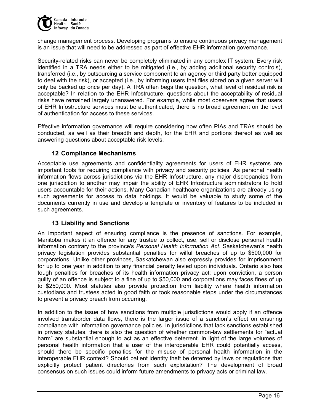

change management process. Developing programs to ensure continuous privacy management is an issue that will need to be addressed as part of effective EHR information governance.

Security-related risks can never be completely eliminated in any complex IT system. Every risk identified in a TRA needs either to be mitigated (i.e., by adding additional security controls), transferred (i.e., by outsourcing a service component to an agency or third party better equipped to deal with the risk), or accepted (i.e., by informing users that files stored on a given server will only be backed up once per day). A TRA often begs the question, what level of residual risk is acceptable? In relation to the EHR Infostructure, questions about the acceptability of residual risks have remained largely unanswered. For example, while most observers agree that users of EHR Infostructure services must be authenticated, there is no broad agreement on the level of authentication for access to these services.

Effective information governance will require considering how often PIAs and TRAs should be conducted, as well as their breadth and depth, for the EHR and portions thereof as well as answering questions about acceptable risk levels.

# **12 Compliance Mechanisms**

Acceptable use agreements and confidentiality agreements for users of EHR systems are important tools for requiring compliance with privacy and security policies. As personal health information flows across jurisdictions via the EHR Infostructure, any major discrepancies from one jurisdiction to another may impair the ability of EHR Infostructure administrators to hold users accountable for their actions. Many Canadian healthcare organizations are already using such agreements for access to data holdings. It would be valuable to study some of the documents currently in use and develop a template or inventory of features to be included in such agreements.

#### **13 Liability and Sanctions**

An important aspect of ensuring compliance is the presence of sanctions. For example, Manitoba makes it an offence for any trustee to collect, use, sell or disclose personal health information contrary to the province's *Personal Health Information Act*. Saskatchewan's health privacy legislation provides substantial penalties for wilful breaches of up to \$500,000 for corporations. Unlike other provinces, Saskatchewan also expressly provides for imprisonment for up to one year in addition to any financial penalty levied upon individuals. Ontario also has tough penalties for breaches of its health information privacy act: upon conviction, a person guilty of an offence is subject to a fine of up to \$50,000 and corporations may faces fines of up to \$250,000. Most statutes also provide protection from liability where health information custodians and trustees acted in good faith or took reasonable steps under the circumstances to prevent a privacy breach from occurring.

In addition to the issue of how sanctions from multiple jurisdictions would apply if an offence involved transborder data flows, there is the larger issue of a sanction's effect on ensuring compliance with information governance policies. In jurisdictions that lack sanctions established in privacy statutes, there is also the question of whether common-law settlements for "actual harm" are substantial enough to act as an effective deterrent. In light of the large volumes of personal health information that a user of the interoperable EHR could potentially access, should there be specific penalties for the misuse of personal health information in the interoperable EHR context? Should patient identity theft be deterred by laws or regulations that explicitly protect patient directories from such exploitation? The development of broad consensus on such issues could inform future amendments to privacy acts or criminal law.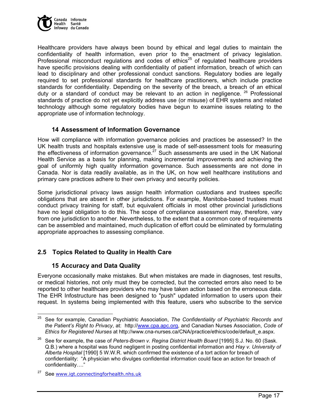

Healthcare providers have always been bound by ethical and legal duties to maintain the confidentiality of health information, even prior to the enactment of privacy legislation. Professional misconduct regulations and codes of ethics<sup>25</sup> of regulated healthcare providers have specific provisions dealing with confidentiality of patient information, breach of which can lead to disciplinary and other professional conduct sanctions. Regulatory bodies are legally required to set professional standards for healthcare practitioners, which include practice standards for confidentiality. Depending on the severity of the breach, a breach of an ethical duty or a standard of conduct may be relevant to an action in negligence.  $26$  Professional standards of practice do not yet explicitly address use (or misuse) of EHR systems and related technology although some regulatory bodies have begun to examine issues relating to the appropriate use of information technology.

# **14 Assessment of Information Governance**

How will compliance with information governance policies and practices be assessed? In the UK health trusts and hospitals extensive use is made of self-assessment tools for measuring the effectiveness of information governance.<sup>27</sup> Such assessments are used in the UK National Health Service as a basis for planning, making incremental improvements and achieving the goal of uniformly high quality information governance. Such assessments are not done in Canada. Nor is data readily available, as in the UK, on how well healthcare institutions and primary care practices adhere to their own privacy and security policies.

Some jurisdictional privacy laws assign health information custodians and trustees specific obligations that are absent in other jurisdictions. For example, Manitoba-based trustees must conduct privacy training for staff, but equivalent officials in most other provincial jurisdictions have no legal obligation to do this. The scope of compliance assessment may, therefore, vary from one jurisdiction to another. Nevertheless, to the extent that a common core of requirements can be assembled and maintained, much duplication of effort could be eliminated by formulating appropriate approaches to assessing compliance.

# **2.5 Topics Related to Quality in Health Care**

# **15 Accuracy and Data Quality**

Everyone occasionally make mistakes. But when mistakes are made in diagnoses, test results, or medical histories, not only must they be corrected, but the corrected errors also need to be reported to other healthcare providers who may have taken action based on the erroneous data. The EHR Infostructure has been designed to "push" updated information to users upon their request. In systems being implemented with this feature, users who subscribe to the service

<sup>25</sup> 25 See for example, Canadian Psychiatric Association, *The Confidentiality of Psychiatric Records and the Patient's Right to Privacy*, at: http://www.cpa.apc.org, and Canadian Nurses Association, *Code of Ethics for Registered Nurses* at http://www.cna-nurses.ca/CNA/practice/ethics/code/default\_e.aspx.

<sup>26</sup> See for example, the case of *Peters-Brown v. Regina District Health Board* [1995] S.J. No. 60 (Sask. Q.B.) where a hospital was found negligent in posting confidential information and *Hay v. University of Alberta Hospital* [1990] 5 W.W.R. which confirmed the existence of a tort action for breach of confidentiality: "A physician who divulges confidential information could face an action for breach of confidentiality…."

See www.igt.connectingforhealth.nhs.uk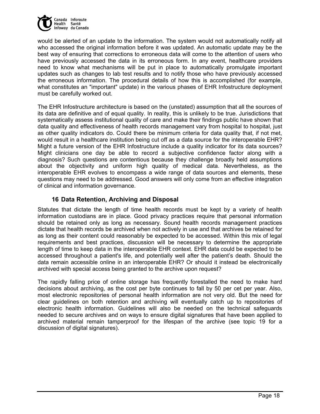

would be alerted of an update to the information. The system would not automatically notify all who accessed the original information before it was updated. An automatic update may be the best way of ensuring that corrections to erroneous data will come to the attention of users who have previously accessed the data in its erroneous form. In any event, healthcare providers need to know what mechanisms will be put in place to automatically promulgate important updates such as changes to lab test results and to notify those who have previously accessed the erroneous information. The procedural details of how this is accomplished (for example, what constitutes an "important" update) in the various phases of EHR Infostructure deployment must be carefully worked out.

The EHR Infostructure architecture is based on the (unstated) assumption that all the sources of its data are definitive and of equal quality. In reality, this is unlikely to be true. Jurisdictions that systematically assess institutional quality of care and make their findings public have shown that data quality and effectiveness of health records management vary from hospital to hospital, just as other quality indicators do. Could there be minimum criteria for data quality that, if not met, would result in a healthcare institution being cut off as a data source for the interoperable EHR? Might a future version of the EHR Infostructure include a quality indicator for its data sources? Might clinicians one day be able to record a subjective confidence factor along with a diagnosis? Such questions are contentious because they challenge broadly held assumptions about the objectivity and uniform high quality of medical data. Nevertheless, as the interoperable EHR evolves to encompass a wide range of data sources and elements, these questions may need to be addressed. Good answers will only come from an effective integration of clinical and information governance.

# **16 Data Retention, Archiving and Disposal**

Statutes that dictate the length of time health records must be kept by a variety of health information custodians are in place. Good privacy practices require that personal information should be retained only as long as necessary. Sound health records management practices dictate that health records be archived when not actively in use and that archives be retained for as long as their content could reasonably be expected to be accessed. Within this mix of legal requirements and best practices, discussion will be necessary to determine the appropriate length of time to keep data in the interoperable EHR context. EHR data could be expected to be accessed throughout a patient's life, and potentially well after the patient's death. Should the data remain accessible online in an interoperable EHR? Or should it instead be electronically archived with special access being granted to the archive upon request?

The rapidly falling price of online storage has frequently forestalled the need to make hard decisions about archiving, as the cost per byte continues to fall by 50 per cet per year. Also, most electronic repositories of personal health information are not very old. But the need for clear guidelines on both retention and archiving will eventually catch up to repositories of electronic health information. Guidelines will also be needed on the technical safeguards needed to secure archives and on ways to ensure digital signatures that have been applied to archived material remain tamperproof for the lifespan of the archive (see topic 19 for a discussion of digital signatures).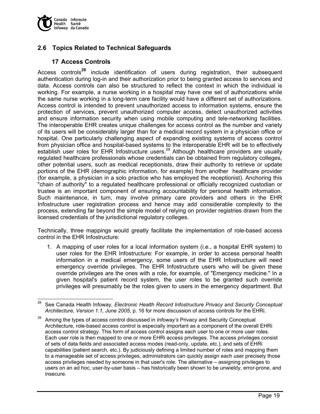

# **2.6 Topics Related to Technical Safeguards**

# **17 Access Controls**

Access controls**28** include identification of users during registration, their subsequent authentication during log-in and their authorization prior to being granted access to services and data. Access controls can also be structured to reflect the context in which the individual is working. For example, a nurse working in a hospital may have one set of authorizations while the same nurse working in a long-term care facility would have a different set of authorizations. Access control is intended to prevent unauthorized access to information systems, ensure the protection of services, prevent unauthorized computer access, detect unauthorized activities and ensure information security when using mobile computing and tele-networking facilities. The interoperable EHR creates unique challenges for access control as the number and variety of its users will be considerably larger than for a medical record system in a physician office or hospital. One particularly challenging aspect of expanding existing systems of access control from physician office and hospital-based systems to the interoperable EHR will be to effectively establish user roles for EHR Infostructure users.<sup>29</sup> Although healthcare providers are usually regulated healthcare professionals whose credentials can be obtained from regulatory colleges, other potential users, such as medical receptionists, draw their authority to retrieve or update portions of the EHR (demographic information, for example) from another healthcare provider (for example, a physician in a solo practice who has employed the receptionist). Anchoring this "chain of authority" to a regulated healthcare professional or officially recognized custodian or trustee is an important component of ensuring accountability for personal health information. Such maintenance, in turn, may involve primary care providers and others in the EHR Infostructure user registration process and hence may add considerable complexity to the process, extending far beyond the simple model of relying on provider registries drawn from the licensed credentials of the jurisdictional regulatory colleges.

Technically, three mappings would greatly facilitate the implementation of role-based access control in the EHR Infostructure:

1. A mapping of user roles for a local information system (i.e., a hospital EHR system) to user roles for the EHR Infostructure: For example, in order to access personal health information in a medical emergency, some users of the EHR Infostructure will need emergency override privileges. The EHR Infostructure users who will be given these override privileges are the ones with a role, for example, of "Emergency medicine." In a given hospital's patient record system, the user roles to be granted such override privileges will presumably be the roles given to users in the emergency department. But

<sup>28</sup> 28 See Canada Health Infoway, *Electronic Health Record Infostructure Privacy and Security Conceptual Architecture, Version 1.1, June 2005*, p. 16 for more discussion of access controls for the EHRi.

<sup>29</sup> Among the types of access control discussed in *Infoway's* Privacy and Security Conceptual Architecture, role-based access control is especially important as a component of the overall EHRi access control strategy. This form of access control assigns each user to one or more user roles. Each user role is then mapped to one or more EHRi access privileges. The access privileges consist of sets of data fields and associated access modes (read-only, update, etc.), and sets of EHRi capabilities (patient search, etc.). By judiciously defining a limited number of roles and mapping them to a manageable set of access privileges, administrators can quickly assign each user precisely those access privileges needed by someone in that user's role. The alternative – assigning privileges to users on an ad hoc, user-by-user basis – has historically been shown to be unwieldy, error-prone, and insecure.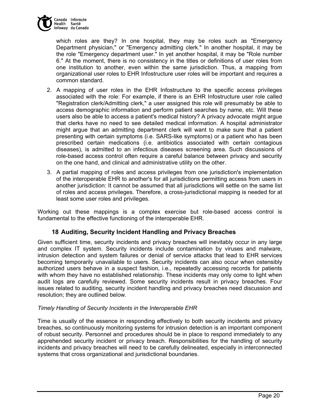

which roles are they? In one hospital, they may be roles such as "Emergency Department physician," or "Emergency admitting clerk." In another hospital, it may be the role "Emergency department user." In yet another hospital, it may be "Role number 6." At the moment, there is no consistency in the titles or definitions of user roles from one institution to another, even within the same jurisdiction. Thus, a mapping from organizational user roles to EHR Infostructure user roles will be important and requires a common standard.

- 2. A mapping of user roles in the EHR Infostructure to the specific access privileges associated with the role: For example, if there is an EHR Infostructure user role called "Registration clerk/Admitting clerk," a user assigned this role will presumably be able to access demographic information and perform patient searches by name, etc. Will these users also be able to access a patient's medical history? A privacy advocate might argue that clerks have no need to see detailed medical information. A hospital administrator might argue that an admitting department clerk will want to make sure that a patient presenting with certain symptoms (i.e. SARS-like symptoms) or a patient who has been prescribed certain medications (i.e. antibiotics associated with certain contagious diseases), is admitted to an infectious diseases screening area. Such discussions of role-based access control often require a careful balance between privacy and security on the one hand, and clinical and administrative utility on the other.
- 3. A partial mapping of roles and access privileges from one jurisdiction's implementation of the interoperable EHR to another's for all jurisdictions permitting access from users in another jurisdiction: It cannot be assumed that all jurisdictions will settle on the same list of roles and access privileges. Therefore, a cross-jurisdictional mapping is needed for at least some user roles and privileges.

Working out these mappings is a complex exercise but role-based access control is fundamental to the effective functioning of the interoperable EHR.

# **18 Auditing, Security Incident Handling and Privacy Breaches**

Given sufficient time, security incidents and privacy breaches will inevitably occur in any large and complex IT system. Security incidents include contamination by viruses and malware, intrusion detection and system failures or denial of service attacks that lead to EHR services becoming temporarily unavailable to users. Security incidents can also occur when ostensibly authorized users behave in a suspect fashion, i.e., repeatedly accessing records for patients with whom they have no established relationship. These incidents may only come to light when audit logs are carefully reviewed. Some security incidents result in privacy breaches. Four issues related to auditing, security incident handling and privacy breaches need discussion and resolution; they are outlined below.

#### *Timely Handling of Security Incidents in the Interoperable EHR*

Time is usually of the essence in responding effectively to both security incidents and privacy breaches, so continuously monitoring systems for intrusion detection is an important component of robust security. Personnel and procedures should be in place to respond immediately to any apprehended security incident or privacy breach. Responsibilities for the handling of security incidents and privacy breaches will need to be carefully delineated, especially in interconnected systems that cross organizational and jurisdictional boundaries.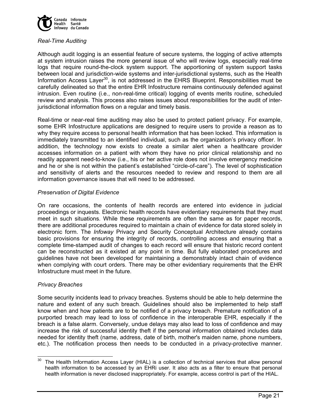

#### *Real-Time Auditing*

Although audit logging is an essential feature of secure systems, the logging of active attempts at system intrusion raises the more general issue of who will review logs, especially real-time logs that require round-the-clock system support. The apportioning of system support tasks between local and jurisdiction-wide systems and inter-jurisdictional systems, such as the Health Information Access Layer<sup>30</sup>, is not addressed in the EHRS Blueprint. Responsibilities must be carefully delineated so that the entire EHR Infostructure remains continuously defended against intrusion. Even routine (i.e., non-real-time critical) logging of events merits routine, scheduled review and analysis. This process also raises issues about responsibilities for the audit of interjurisdictional information flows on a regular and timely basis.

Real-time or near-real time auditing may also be used to protect patient privacy. For example, some EHR Infostructure applications are designed to require users to provide a reason as to why they require access to personal health information that has been locked. This information is immediately transmitted to an identified individual, such as the organization's privacy officer. In addition, the technology now exists to create a similar alert when a healthcare provider accesses information on a patient with whom they have no prior clinical relationship and no readily apparent need-to-know (i.e., his or her active role does not involve emergency medicine and he or she is not within the patient's established "circle-of-care"). The level of sophistication and sensitivity of alerts and the resources needed to review and respond to them are all information governance issues that will need to be addressed.

#### *Preservation of Digital Evidence*

On rare occasions, the contents of health records are entered into evidence in judicial proceedings or inquests. Electronic health records have evidentiary requirements that they must meet in such situations. While these requirements are often the same as for paper records, there are additional procedures required to maintain a chain of evidence for data stored solely in electronic form. The *Infoway* Privacy and Security Conceptual Architecture already contains basic provisions for ensuring the integrity of records, controlling access and ensuring that a complete time-stamped audit of changes to each record will ensure that historic record content can be reconstructed as it existed at any point in time. But fully elaborated procedures and guidelines have not been developed for maintaining a demonstrably intact chain of evidence when complying with court orders. There may be other evidentiary requirements that the EHR Infostructure must meet in the future.

#### *Privacy Breaches*

Some security incidents lead to privacy breaches. Systems should be able to help determine the nature and extent of any such breach. Guidelines should also be implemented to help staff know when and how patients are to be notified of a privacy breach. Premature notification of a purported breach may lead to loss of confidence in the interoperable EHR, especially if the breach is a false alarm. Conversely, undue delays may also lead to loss of confidence and may increase the risk of successful identity theft if the personal information obtained includes data needed for identity theft (name, address, date of birth, mother's maiden name, phone numbers, etc.). The notification process then needs to be conducted in a privacy-protective manner.

 $30$ The Health Information Access Layer (HIAL) is a collection of technical services that allow personal health information to be accessed by an EHRi user. It also acts as a filter to ensure that personal health information is never disclosed inappropriately. For example, access control is part of the HIAL.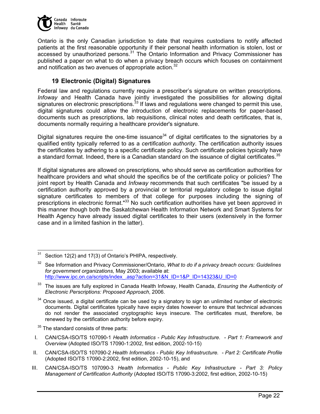

Ontario is the only Canadian jurisdiction to date that requires custodians to notify affected patients at the first reasonable opportunity if their personal health information is stolen, lost or  $\frac{1}{2}$  accessed by unauthorized persons.<sup>31</sup> The Ontario Information and Privacy Commissioner has published a paper on what to do when a privacy breach occurs which focuses on containment and notification as two avenues of appropriate action.<sup>32</sup>

# **19 Electronic (Digital) Signatures**

Federal law and regulations currently require a prescriber's signature on written prescriptions. *Infoway* and Health Canada have jointly investigated the possibilities for allowing digital signatures on electronic prescriptions.<sup>33</sup> If laws and regulations were changed to permit this use, digital signatures could allow the introduction of electronic replacements for paper-based documents such as prescriptions, lab requisitions, clinical notes and death certificates, that is, documents normally requiring a healthcare provider's signature.

Digital signatures require the one-time issuance<sup>34</sup> of digital certificates to the signatories by a qualified entity typically referred to as a *certification authority*. The certification authority issues the certificates by adhering to a specific certificate policy. Such certificate policies typically have a standard format. Indeed, there is a Canadian standard on the issuance of digital certificates.<sup>35</sup>

If digital signatures are allowed on prescriptions, who should serve as certification authorities for healthcare providers and what should the specifics be of the certificate policy or policies? The joint report by Health Canada and *Infoway* recommends that such certificates "be issued by a certification authority approved by a provincial or territorial regulatory college to issue digital signature certificates to members of that college for purposes including the signing of prescriptions in electronic format."<sup>33</sup> No such certification authorities have yet been approved in this manner though both the Saskatchewan Health Information Network and Smart Systems for Health Agency have already issued digital certificates to their users (extensively in the former case and in a limited fashion in the latter).

<sup>35</sup> The standard consists of three parts:

- I. CAN/CSA-ISO/TS 107090-1 *Health Informatics Public Key Infrastructure. Part 1: Framework and Overview* (Adopted ISO/TS 17090-1:2002, first edition, 2002-10-15)
- II. CAN/CSA-ISO/TS 107090-2 *Health Informatics Public Key Infrastructure. Part 2: Certificate Profile* (Adopted ISO/TS 17090-2:2002, first edition, 2002-10-15), and
- III. CAN/CSA-ISO/TS 107090-3 *Health Informatics Public Key Infrastructure Part 3: Policy Management of Certification Authority* (Adopted ISO/TS 17090-3:2002, first edition, 2002-10-15)

 $\overline{a}$ Section 12(2) and 17(3) of Ontario's PHIPA, respectively.

<sup>32</sup> See Information and Privacy Commissioner/Ontario, *What to do if a privacy breach occurs: Guidelines for government organizations,* May 2003; available at: http://www.ipc.on.ca/scripts/index\_.asp?action=31&N\_ID=1&P\_ID=14323&U\_ID=0

<sup>33</sup> The issues are fully explored in Canada Health Infoway, Health Canada, *Ensuring the Authenticity of Electronic Perscriptions: Proposed Approach*, 2006.

 $34$  Once issued, a digital certificate can be used by a signatory to sign an unlimited number of electronic documents. Digital certificates typically have expiry dates however to ensure that technical advances do not render the associated cryptographic keys insecure. The certificates must, therefore, be renewed by the certification authority before expiry.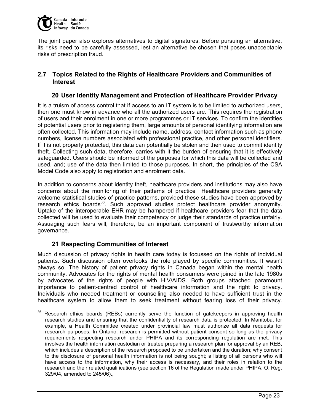

The joint paper also explores alternatives to digital signatures. Before pursuing an alternative, its risks need to be carefully assessed, lest an alternative be chosen that poses unacceptable risks of prescription fraud.

# **2.7 Topics Related to the Rights of Healthcare Providers and Communities of Interest**

### **20 User Identity Management and Protection of Healthcare Provider Privacy**

It is a truism of access control that if access to an IT system is to be limited to authorized users, then one must know in advance who all the authorized users are. This requires the registration of users and their enrolment in one or more programmes or IT services. To confirm the identities of potential users prior to registering them, large amounts of personal identifying information are often collected. This information may include name, address, contact information such as phone numbers, license numbers associated with professional practice, and other personal identifiers. If it is not properly protected, this data can potentially be stolen and then used to commit identity theft. Collecting such data, therefore, carries with it the burden of ensuring that it is effectively safeguarded. Users should be informed of the purposes for which this data will be collected and used, and; use of the data then limited to those purposes. In short, the principles of the CSA Model Code also apply to registration and enrolment data.

In addition to concerns about identity theft, healthcare providers and institutions may also have concerns about the monitoring of their patterns of practice Healthcare providers generally welcome statistical studies of practice patterns, provided these studies have been approved by research ethics boards<sup>36</sup>. Such approved studies protect healthcare provider anonymity. Uptake of the interoperable EHR may be hampered if healthcare providers fear that the data collected will be used to evaluate their competency or judge their standards of practice unfairly. Assuaging such fears will, therefore, be an important component of trustworthy information governance.

## **21 Respecting Communities of Interest**

Much discussion of privacy rights in health care today is focussed on the rights of individual patients. Such discussion often overlooks the role played by specific communities. It wasn't always so. The history of patient privacy rights in Canada began within the mental health community. Advocates for the rights of mental health consumers were joined in the late 1980s by advocates of the rights of people with HIV/AIDS. Both groups attached paramount importance to patient-centred control of healthcare information and the right to privacy. Individuals who needed treatment or counselling also needed to have sufficient trust in the healthcare system to allow them to seek treatment without fearing loss of their privacy.

<sup>36</sup> Research ethics boards (REBs) currently serve the function of gatekeepers in approving health research studies and ensuring that the confidentiality of research data is protected. In Manitoba, for example, a Health Committee created under provincial law must authorize all data requests for research purposes. In Ontario, research is permitted without patient consent so long as the privacy requirements respecting research under PHIPA and its corresponding regulation are met. This involves the health information custodian or trustee preparing a research plan for approval by an REB, which includes a description of the research proposed to be undertaken and the duration; why consent to the disclosure of personal health information is not being sought; a listing of all persons who will have access to the information, why their access is necessary, and their roles in relation to the research and their related qualifications (see section 16 of the Regulation made under PHIPA: O. Reg. 329/04, amended to 245/06).,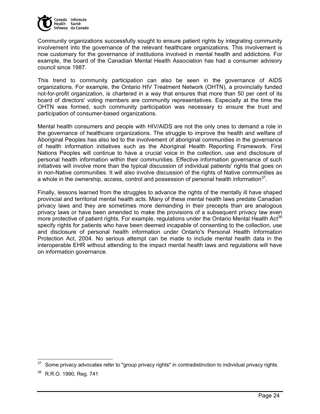

Community organizations successfully sought to ensure patient rights by integrating community involvement into the governance of the relevant healthcare organizations. This involvement is now customary for the governance of institutions involved in mental health and addictions. For example, the board of the Canadian Mental Health Association has had a consumer advisory council since 1987.

This trend to community participation can also be seen in the governance of AIDS organizations. For example, the Ontario HIV Treatment Network (OHTN), a provincially funded not-for-profit organization, is chartered in a way that ensures that more than 50 per cent of its board of directors' voting members are community representatives. Especially at the time the OHTN was formed, such community participation was necessary to ensure the trust and participation of consumer-based organizations.

Mental health consumers and people with HIV/AIDS are not the only ones to demand a role in the governance of healthcare organizations. The struggle to improve the health and welfare of Aboriginal Peoples has also led to the involvement of aboriginal communities in the governance of health information initiatives such as the Aboriginal Health Reporting Framework. First Nations Peoples will continue to have a crucial voice in the collection, use and disclosure of personal health information within their communities. Effective information governance of such initiatives will involve more than the typical discussion of individual patients' rights that goes on in non-Native communities. It will also involve discussion of the rights of Native communities as a whole in the ownership, access, control and possession of personal health information<sup>37</sup>.

Finally, lessons learned from the struggles to advance the rights of the mentally ill have shaped provincial and territorial mental health acts. Many of these mental health laws predate Canadian privacy laws and they are sometimes more demanding in their precepts than are analogous privacy laws or have been amended to make the provisions of a subsequent privacy law even more protective of patient rights. For example, regulations under the Ontario Mental Health Act<sup>38</sup> specify rights for patients who have been deemed incapable of consenting to the collection, use and disclosure of personal health information under Ontario's Personal Health Information Protection Act, 2004. No serious attempt can be made to include mental health data in the interoperable EHR without attending to the impact mental health laws and regulations will have on information governance.

Some privacy advocates refer to "group privacy rights" in contradistinction to individual privacy rights.

<sup>38</sup> R.R.O. 1990, Reg. 741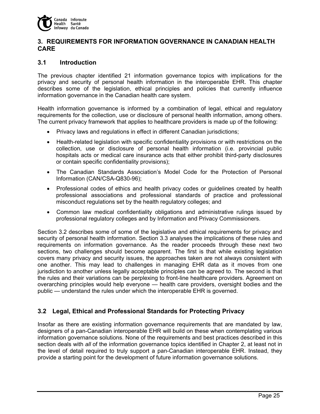

## **3. REQUIREMENTS FOR INFORMATION GOVERNANCE IN CANADIAN HEALTH CARE**

### **3.1 Introduction**

The previous chapter identified 21 information governance topics with implications for the privacy and security of personal health information in the interoperable EHR. This chapter describes some of the legislation, ethical principles and policies that currently influence information governance in the Canadian health care system.

Health information governance is informed by a combination of legal, ethical and regulatory requirements for the collection, use or disclosure of personal health information, among others. The current privacy framework that applies to healthcare providers is made up of the following:

- Privacy laws and regulations in effect in different Canadian jurisdictions;
- Health-related legislation with specific confidentiality provisions or with restrictions on the collection, use or disclosure of personal health information (i.e. provincial public hospitals acts or medical care insurance acts that either prohibit third-party disclosures or contain specific confidentiality provisions);
- The Canadian Standards Association's Model Code for the Protection of Personal Information (CAN/CSA-Q830-96);
- Professional codes of ethics and health privacy codes or guidelines created by health professional associations and professional standards of practice and professional misconduct regulations set by the health regulatory colleges; and
- Common law medical confidentiality obligations and administrative rulings issued by professional regulatory colleges and by Information and Privacy Commissioners.

Section 3.2 describes some of some of the legislative and ethical requirements for privacy and security of personal health information. Section 3.3 analyses the implications of these rules and requirements on information governance. As the reader proceeds through these next two sections, two challenges should become apparent. The first is that while existing legislation covers many privacy and security issues, the approaches taken are not always consistent with one another. This may lead to challenges in managing EHR data as it moves from one jurisdiction to another unless legally acceptable principles can be agreed to. The second is that the rules and their variations can be perplexing to front-line healthcare providers. Agreement on overarching principles would help everyone — health care providers, oversight bodies and the public — understand the rules under which the interoperable EHR is governed.

## **3.2 Legal, Ethical and Professional Standards for Protecting Privacy**

Insofar as there are existing information governance requirements that are mandated by law, designers of a pan-Canadian interoperable EHR will build on these when contemplating various information governance solutions. None of the requirements and best practices described in this section deals with *all* of the information governance topics identified in Chapter 2, at least not in the level of detail required to truly support a pan-Canadian interoperable EHR. Instead, they provide a starting point for the development of future information governance solutions.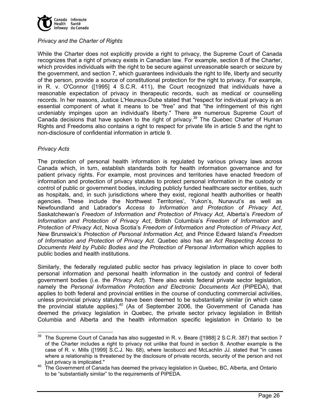

### *Privacy and the Charter of Rights*

While the Charter does not explicitly provide a right to privacy, the Supreme Court of Canada recognizes that a right of privacy exists in Canadian law. For example, section 8 of the Charter, which provides individuals with the right to be secure against unreasonable search or seizure by the government, and section 7, which guarantees individuals the right to life, liberty and security of the person, provide a source of constitutional protection for the right to privacy. For example, in R. v. O'Connor ([1995] 4 S.C.R. 411), the Court recognized that individuals have a reasonable expectation of privacy in therapeutic records, such as medical or counselling records. In her reasons, Justice L'Heureux-Dube stated that "respect for individual privacy is an essential component of what it means to be "free" and that "the infringement of this right undeniably impinges upon an individual's liberty." There are numerous Supreme Court of Canada decisions that have spoken to the right of privacy.<sup>39</sup> The Quebec Charter of Human Rights and Freedoms also contains a right to respect for private life in article 5 and the right to non-disclosure of confidential information in article 9.

#### *Privacy Acts*

The protection of personal health information is regulated by various privacy laws across Canada which, in turn, establish standards both for health information governance and for patient privacy rights. For example, most provinces and territories have enacted freedom of information and protection of privacy statutes to protect personal information in the custody or control of public or government bodies, including publicly funded healthcare sector entities, such as hospitals, and, in such jurisdictions where they exist, regional health authorities or health agencies. These include the Northwest Territories', Yukon's, Nunavut's as well as Newfoundland and Labrador's *Access to Information and Protection of Privacy Act*, Saskatchewan's *Freedom of Information and Protection of Privacy Act*, Alberta's *Freedom of Information and Protection of Privacy Act*, British Columbia's *Freedom of Information and Protection of Privacy Act*, Nova Scotia's *Freedom of Information and Protection of Privacy Act*, New Brunswick's *Protection of Personal Information Act,* and Prince Edward Island's *Freedom of Information and Protection of Privacy Act.* Quebec also has an *Act Respecting Access to Documents Held by Public Bodies and the Protection of Personal Information* which applies to public bodies and health institutions.

Similarly, the federally regulated public sector has privacy legislation in place to cover both personal information and personal health information in the custody and control of federal government bodies (i.e. the *Privacy Act*). There also exists federal private sector legislation, namely the *Personal Information Protection and Electronic Documents Act* (PIPEDA), that applies to both federal and provincial entities in the course of conducting commercial activities, unless provincial privacy statutes have been deemed to be substantially similar (in which case the provincial statute applies).*<sup>40</sup>* (As of September 2006, the Government of Canada has deemed the privacy legislation in Quebec, the private sector privacy legislation in British Columbia and Alberta and the health information specific legislation in Ontario to be

<sup>-</sup> $39$  The Supreme Court of Canada has also suggested in R. v. Beare ([1988] 2 S.C.R. 387) that section 7 of the Charter includes a right to privacy not unlike that found in section 8. Another example is the case of R. v. Mills ([1999] S.C.J. No. 68), where Iacobucci and McLachlin JJ. stated that "in cases where a relationship is threatened by the disclosure of private records, security of the person and not just privacy is implicated."

just privacy is implicated." 40 The Government of Canada has deemed the privacy legislation in Quebec, BC, Alberta, and Ontario to be "substantially similar" to the requirements of PIPEDA.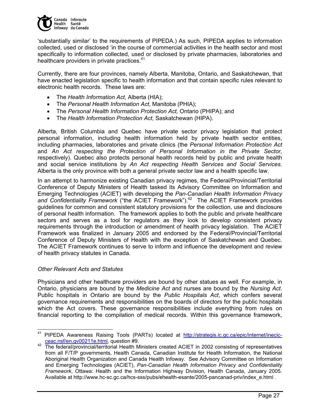

'substantially similar' to the requirements of PIPEDA.) As such, PIPEDA applies to information collected, used or disclosed 'in the course of commercial activities in the health sector and most specifically to information collected, used or disclosed by private pharmacies, laboratories and healthcare providers in private practices.<sup>41</sup>

Currently, there are four provinces, namely Alberta, Manitoba, Ontario, and Saskatchewan, that have enacted legislation specific to health information and that contain specific rules relevant to electronic health records. These laws are:

- The *Health Information Act*, Alberta (HIA);
- The *Personal Health Information Act*, Manitoba (PHIA);
- The *Personal Health Information Protection Act,* Ontario (PHIPA); and
- The *Health Information Protection Act*, Saskatchewan (HIPA).

Alberta, British Columbia and Quebec have private sector privacy legislation that protect personal information, including health information held by private health sector entities, including pharmacies, laboratories and private clinics (the *Personal Information Protection Act*  and *An Act respecting the Protection of Personal Information in the Private Sector,*  respectively). Quebec also protects personal health records held by public and private health and social service institutions by *An Act respecting Health Services and Social Services*. Alberta is the only province with both a general private sector law and a health specific law.

In an attempt to harmonize existing Canadian privacy regimes, the Federal/Provincial/Territorial Conference of Deputy Ministers of Health tasked its Advisory Committee on Information and Emerging Technologies (ACIET) with developing the *Pan-Canadian Health Information Privacy*  and Confidentiality Framework ("the ACIET Framework").<sup>42</sup> The ACIET Framework provides guidelines for common and consistent statutory provisions for the collection, use and disclosure of personal health information. The framework applies to both the public and private healthcare sectors and serves as a tool for regulators as they look to develop consistent privacy requirements through the introduction or amendment of health privacy legislation. The ACIET Framework was finalized in January 2005 and endorsed by the Federal/Provincial/Territorial Conference of Deputy Ministers of Health with the exception of Saskatchewan and Quebec. The ACIET Framework continues to serve to inform and influence the development and review of health privacy statutes in Canada.

#### *Other Relevant Acts and Statutes*

Physicians and other healthcare providers are bound by other statues as well. For example, in Ontario, physicians are bound by the *Medicine Act* and nurses are bound by the *Nursing Act*. Public hospitals in Ontario are bound by the *Public Hospitals Act*, which confers several governance requirements and responsibilities on the boards of directors for the public hospitals which the Act covers. These governance responsibilities include everything from rules on financial reporting to the compilation of medical records. Within this governance framework,

<sup>41</sup> PIPEDA Awareness Raising Tools (PARTs) located at http://strategis.ic.gc.ca/epic/internet/inecic-

ceac.nsf/en.gv00211e.html, question #9. 42 The federal/provincial/territorial Health Ministers created ACIET in 2002 consisting of representatives from all F/T/P governments, Health Canada, Canadian Institute for Health Information, the National Aboriginal Health Organization and Canada Health Infoway. See Advisory Committee on Information and Emerging Technologies (ACIET), *Pan-Canadian Health Information Privacy and Confidentiality Framework*, Ottawa: Health and the Information Highway Division, Health Canada, January 2005. Available at http://www.hc-sc.gc.ca/hcs-sss/pubs/ehealth-esante/2005-pancanad-priv/index\_e.html .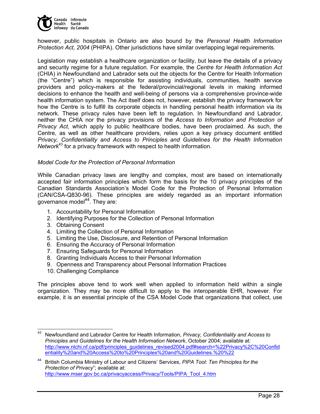

however, public hospitals in Ontario are also bound by the *Personal Health Information Protection Act, 2004* (PHIPA). Other jurisdictions have similar overlapping legal requirements.

Legislation may establish a healthcare organization or facility, but leave the details of a privacy and security regime for a future regulation. For example, the *Centre for Health Information Act*  (CHIA) in Newfoundland and Labrador sets out the objects for the Centre for Health Information (the "Centre") which is responsible for assisting individuals, communities, health service providers and policy-makers at the federal/provincial/regional levels in making informed decisions to enhance the health and well-being of persons via a comprehensive province-wide health information system. The Act itself does not, however, establish the privacy framework for how the Centre is to fulfill its corporate objects in handling personal health information via its network. These privacy rules have been left to regulation. In Newfoundland and Labrador, neither the CHIA nor the privacy provisions of the *Access to Information and Protection of Privacy Act,* which apply to public healthcare bodies, have been proclaimed. As such, the Centre, as well as other healthcare providers, relies upon a key privacy document entitled *Privacy, Confidentiality and Access to Principles and Guidelines for the Health Information Network*43 for a privacy framework with respect to health information.

#### *Model Code for the Protection of Personal Information*

While Canadian privacy laws are lengthy and complex, most are based on internationally accepted fair information principles which form the basis for the 10 privacy principles of the Canadian Standards Association's Model Code for the Protection of Personal Information (CAN/CSA-Q830-96). These principles are widely regarded as an important information governance model $44$ . They are:

- 1. Accountability for Personal Information
- 2. Identifying Purposes for the Collection of Personal Information
- 3. Obtaining Consent
- 4. Limiting the Collection of Personal Information
- 5. Limiting the Use, Disclosure, and Retention of Personal Information
- 6. Ensuring the Accuracy of Personal Information
- 7. Ensuring Safeguards for Personal Information
- 8. Granting Individuals Access to their Personal Information
- 9. Openness and Transparency about Personal Information Practices
- 10. Challenging Compliance

The principles above tend to work well when applied to information held within a single organization. They may be more difficult to apply to the interoperable EHR, however. For example, it is an essential principle of the CSA Model Code that organizations that collect, use

<sup>43</sup> 43 Newfoundland and Labrador Centre for Health Information, *Privacy, Confidentiality and Access to Principles and Guidelines for the Health Information Network*, October 2004; available at: http://www.nlchi.nf.ca/pdf/principles\_guidelines\_revised2004.pdf#search=%22Privacy%2C%20Confid entiality%20and%20Access%20to%20Principles%20and%20Guidelines.%20%22

<sup>44</sup> British Columbia Ministry of Labour and Citizens' Services, *PIPA Tool: Ten Principles for the Protection of Privacy*"; available at: http://www.mser.gov.bc.ca/privacyaccess/Privacy/Tools/PIPA\_Tool\_4.htm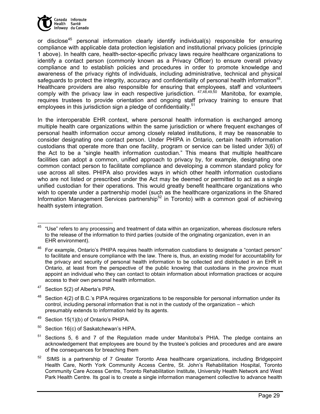

or disclose<sup>45</sup> personal information clearly identify individual(s) responsible for ensuring compliance with applicable data protection legislation and institutional privacy policies (principle 1 above). In health care, health-sector-specific privacy laws require healthcare organizations to identify a contact person (commonly known as a Privacy Officer) to ensure overall privacy compliance and to establish policies and procedures in order to promote knowledge and awareness of the privacy rights of individuals, including administrative, technical and physical safeguards to protect the integrity, accuracy and confidentiality of personal health information<sup>46</sup>. Healthcare providers are also responsible for ensuring that employees, staff and volunteers comply with the privacy law in each respective jurisdiction.  $47,48,49,50$  Manitoba, for example, requires trustees to provide orientation and ongoing staff privacy training to ensure that employees in this jurisdiction sign a pledge of confidentiality.<sup>51</sup>

In the interoperable EHR context, where personal health information is exchanged among multiple health care organizations within the same jurisdiction or where frequent exchanges of personal health information occur among closely related institutions, it may be reasonable to consider designating one contact person. Under PHIPA in Ontario, certain health information custodians that operate more than one facility, program or service can be listed under 3(6) of the Act to be a "single health information custodian." This means that multiple healthcare facilities can adopt a common, unified approach to privacy by, for example, designating one common contact person to facilitate compliance and developing a common standard policy for use across all sites. PHIPA also provides ways in which other health information custodians who are not listed or prescribed under the Act may be deemed or permitted to act as a single unified custodian for their operations. This would greatly benefit healthcare organizations who wish to operate under a partnership model (such as the healthcare organizations in the Shared Information Management Services partnership<sup>52</sup> in Toronto) with a common goal of achieving health system integration.

47 Section 5(2) of Alberta's PIPA.

- 49 Section 15(1)(b) of Ontario's PHIPA.
- $50$  Section 16(c) of Saskatchewan's HIPA.

<sup>-</sup> $45$  "Use" refers to any processing and treatment of data within an organization, whereas disclosure refers to the release of the information to third parties (outside of the originating organization, even in an EHR environment).

<sup>&</sup>lt;sup>46</sup> For example, Ontario's PHIPA requires health information custodians to designate a "contact person" to facilitate and ensure compliance with the law. There is, thus, an existing model for accountability for the privacy and security of personal health information to be collected and distributed in an EHR in Ontario, at least from the perspective of the public knowing that custodians in the province must appoint an individual who they can contact to obtain information about information practices or acquire access to their own personal health information.

 $48$  Section 4(2) of B.C.'s PIPA requires organizations to be responsible for personal information under its control, including personal information that is not in the custody of the organization – which presumably extends to information held by its agents.

 $51$  Sections 5, 6 and 7 of the Regulation made under Manitoba's PHIA. The pledge contains an acknowledgement that employees are bound by the trustee's policies and procedures and are aware of the consequences for breaching them

<sup>&</sup>lt;sup>52</sup> SIMS is a partnership of 7 Greater Toronto Area healthcare organizations, including Bridgepoint Health Care, North York Community Access Centre, St. John's Rehabilitation Hospital, Toronto Community Care Access Centre, Toronto Rehabilitation Institute, University Health Network and West Park Health Centre. Its goal is to create a single information management collective to advance health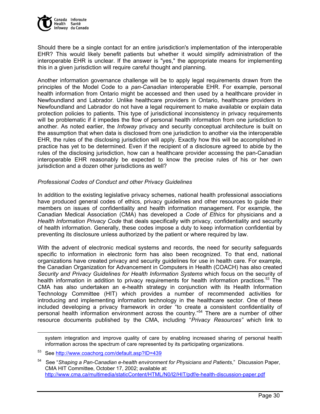

Should there be a single contact for an entire jurisdiction's implementation of the interoperable EHR? This would likely benefit patients but whether it would simplify administration of the interoperable EHR is unclear. If the answer is "yes," the appropriate means for implementing this in a given jurisdiction will require careful thought and planning.

Another information governance challenge will be to apply legal requirements drawn from the principles of the Model Code to a *pan-Canadian* interoperable EHR. For example, personal health information from Ontario might be accessed and then used by a healthcare provider in Newfoundland and Labrador. Unlike healthcare providers in Ontario, healthcare providers in Newfoundland and Labrador do not have a legal requirement to make available or explain data protection policies to patients. This type of jurisdictional inconsistency in privacy requirements will be problematic if it impedes the flow of personal health information from one jurisdiction to another. As noted earlier, the *Infoway* privacy and security conceptual architecture is built on the assumption that when data is disclosed from one jurisdiction to another via the interoperable EHR, the rules of the disclosing jurisdiction will apply. Exactly how this will be accomplished in practice has yet to be determined. Even if the recipient of a disclosure agreed to abide by the rules of the disclosing jurisdiction, how can a healthcare provider accessing the pan-Canadian interoperable EHR reasonably be expected to know the precise rules of his or her own jurisdiction and a dozen other jurisdictions as well?

#### *Professional Codes of Conduct and other Privacy Guidelines*

In addition to the existing legislative privacy schemes, national health professional associations have produced general codes of ethics, privacy guidelines and other resources to guide their members on issues of confidentiality and health information management. For example, the Canadian Medical Association (CMA) has developed a *Code of Ethics* for physicians and a *Health Information Privacy Code* that deals specifically with privacy, confidentiality and security of health information. Generally, these codes impose a duty to keep information confidential by preventing its disclosure unless authorized by the patient or where required by law.

With the advent of electronic medical systems and records, the need for security safeguards specific to information in electronic form has also been recognized. To that end, national organizations have created privacy and security guidelines for use in health care. For example, the Canadian Organization for Advancement in Computers in Health (COACH) has also created *Security and Privacy Guidelines for Health Information Systems* which focus on the security of health information in addition to privacy requirements for health information practices.<sup>53</sup> The CMA has also undertaken an e-health strategy in conjunction with its Health Information Technology Committee (HIT) which provides a number of recommended activities for introducing and implementing information technology in the healthcare sector. One of these included developing a privacy framework in order "to create a consistent confidentiality of personal health information environment across the country."54 There are a number of other resource documents published by the CMA, including "*Privacy Resources"* which link to

system integration and improve quality of care by enabling increased sharing of personal health information across the spectrum of care represented by its participating organizations.

 $\overline{a}$ 

<sup>53</sup> See http://www.coachorg.com/default.asp?ID=439

<sup>54</sup> See "*Shaping a Pan-Canadian e-health environment for Physicians and Patients*," Discussion Paper, CMA HIT Committee, October 17, 2002; available at: http://www.cma.ca/multimedia/staticContent/HTML/N0/l2/HIT/pdf/e-health-discussion-paper.pdf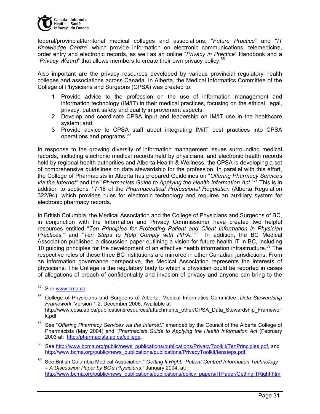

federal/provincial/territorial medical colleges and associations, "*Future Practice*" and "*IT Knowledge Centre*" which provide information on electronic communications, telemedicine, order entry and electronic records, as well as an online "*Privacy in Practice*" Handbook and a "*Privacy Wizard*" that allows members to create their own privacy policy.<sup>55</sup>

Also important are the privacy resources developed by various provincial regulatory health colleges and associations across Canada. In Alberta, the Medical Informatics Committee of the College of Physicians and Surgeons (CPSA) was created to:

- 1 Provide advice to the profession on the use of information management and information technology (IM/IT) in their medical practices, focusing on the ethical, legal, privacy, patient safety and quality improvement aspects;
- 2 Develop and coordinate CPSA input and leadership on IM/IT use in the healthcare system; and
- 3 Provide advice to CPSA staff about integrating IM/IT best practices into CPSA operations and programs.<sup>56</sup>

In response to the growing diversity of information management issues surrounding medical records, including electronic medical records held by physicians, and electronic health records held by regional health authorities and Alberta Health & Wellness, the CPSA is developing a set of comprehensive guidelines on data stewardship for the profession. In parallel with this effort, the College of Pharmacists in Alberta has prepared Guidelines on "*Offering Pharmacy Services via the Internet"* and the "*Pharmacists Guide to Applying the Health Information Act*."57 This is in addition to sections 17-18 of the *Pharmaceutical Professional Regulation* (Alberta Regulation 322/94), which provides rules for electronic technology and requires an auxiliary system for electronic pharmacy records.

In British Columbia, the Medical Association and the College of Physicians and Surgeons of BC, in conjunction with the Information and Privacy Commissioner have created two helpful resources entitled "*Ten Principles for Protecting Patient and Client Information in Physician Practices*," and "*Ten Steps to Help Comply with PIPA*."58 In addition, the BC Medical Association published a discussion paper outlining a vision for future health IT in BC, including 10 guiding principles for the development of an effective health information infrastructure.<sup>59</sup> The respective roles of these three BC institutions are mirrored in other Canadian jurisdictions. From an information governance perspective, the Medical Association represents the interests of physicians. The College is the regulatory body to which a physician could be reported in cases of allegations of breach of confidentiality and invasion of privacy and anyone can bring to the

<sup>55</sup> See www.cma.ca.

<sup>56</sup> College of Physicians and Surgeons of Alberta: Medical Informatics Committee, *Data Stewardship Framework*, Version 1.2, December 2006. Available at http://www.cpsa.ab.ca/publicationsresources/attachments\_other/CPSA\_Data\_Stewardship\_Framewor k.pdf.

<sup>57</sup> See "*Offering Pharmacy Services via the Internet*," amended by the Council of the Alberta College of Pharmacists (May 2004) and "*Pharmacists Guide to Applying the Health Information Act* (February 2003 at: http://pharmacists.ab.ca/college.

<sup>&</sup>lt;sup>58</sup> See http://www.bcma.org/public/news\_publications/publications/PrivacyToolkit/TenPrinciples.pdf, and http://www.bcma.org/public/news\_publications/publications/PrivacyToolkit/tensteps.pdf.

<sup>59</sup> See British Columbia Medical Association," *Getting It Right: Patient Centred Information Technology – A Discussion Paper by BC's Physicians*," January 2004, at: http://www.bcma.org/public/news\_publications/publications/policy\_papers/ITPaper/GettingITRight.htm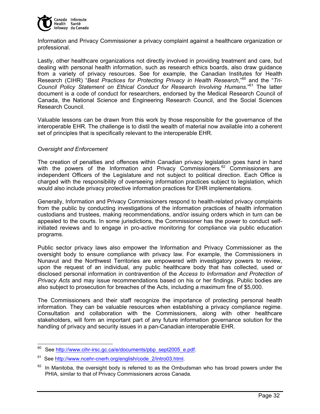

Information and Privacy Commissioner a privacy complaint against a healthcare organization or professional.

Lastly, other healthcare organizations not directly involved in providing treatment and care, but dealing with personal health information, such as research ethics boards, also draw guidance from a variety of privacy resources. See for example, the Canadian Institutes for Health Research (CIHR) "*Best Practices for Protecting Privacy in Health Research*,"60 and the "*Tri-Council Policy Statement on Ethical Conduct for Research Involving Humans*."61 The latter document is a code of conduct for researchers, endorsed by the Medical Research Council of Canada, the National Science and Engineering Research Council, and the Social Sciences Research Council.

Valuable lessons can be drawn from this work by those responsible for the governance of the interoperable EHR. The challenge is to distil the wealth of material now available into a coherent set of principles that is specifically relevant to the interoperable EHR.

#### *Oversight and Enforcement*

The creation of penalties and offences within Canadian privacy legislation goes hand in hand with the powers of the Information and Privacy Commissioners.<sup>62</sup> Commissioners are independent Officers of the Legislature and not subject to political direction. Each Office is charged with the responsibility of overseeing information practices subject to legislation, which would also include privacy protective information practices for EHR implementations.

Generally, Information and Privacy Commissioners respond to health-related privacy complaints from the public by conducting investigations of the information practices of health information custodians and trustees, making recommendations, and/or issuing orders which in turn can be appealed to the courts. In some jurisdictions, the Commissioner has the power to conduct selfinitiated reviews and to engage in pro-active monitoring for compliance via public education programs.

Public sector privacy laws also empower the Information and Privacy Commissioner as the oversight body to ensure compliance with privacy law. For example, the Commissioners in Nunavut and the Northwest Territories are empowered with investigatory powers to review, upon the request of an individual, any public healthcare body that has collected, used or disclosed personal information in contravention of the *Access to Information and Protection of Privacy Acts* and may issue recommendations based on his or her findings. Public bodies are also subject to prosecution for breaches of the Acts, including a maximum fine of \$5,000.

The Commissioners and their staff recognize the importance of protecting personal health information. They can be valuable resources when establishing a privacy compliance regime. Consultation and collaboration with the Commissioners, along with other healthcare stakeholders, will form an important part of any future information governance solution for the handling of privacy and security issues in a pan-Canadian interoperable EHR.

See http://www.cihr-irsc.gc.ca/e/documents/pbp\_sept2005\_e.pdf.

See http://www.ncehr-cnerh.org/english/code\_2/intro03.html.

In Manitoba, the oversight body is referred to as the Ombudsman who has broad powers under the PHIA, similar to that of Privacy Commissioners across Canada.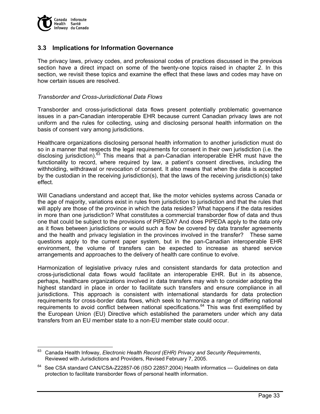

### **3.3 Implications for Information Governance**

The privacy laws, privacy codes, and professional codes of practices discussed in the previous section have a direct impact on some of the twenty-one topics raised in chapter 2. In this section, we revisit these topics and examine the effect that these laws and codes may have on how certain issues are resolved.

#### *Transborder and Cross-Jurisdictional Data Flows*

Transborder and cross-jurisdictional data flows present potentially problematic governance issues in a pan-Canadian interoperable EHR because current Canadian privacy laws are not uniform and the rules for collecting, using and disclosing personal health information on the basis of consent vary among jurisdictions.

Healthcare organizations disclosing personal health information to another jurisdiction must do so in a manner that respects the legal requirements for consent in their own jurisdiction (i.e. the disclosing jurisdiction).<sup>63</sup> This means that a pan-Canadian interoperable EHR must have the functionality to record, where required by law, a patient's consent directives, including the withholding, withdrawal or revocation of consent. It also means that when the data is accepted by the custodian in the receiving jurisdiction(s), that the laws of the receiving jurisdiction(s) take effect.

Will Canadians understand and accept that, like the motor vehicles systems across Canada or the age of majority, variations exist in rules from jurisdiction to jurisdiction and that the rules that will apply are those of the province in which the data resides? What happens if the data resides in more than one jurisdiction? What constitutes a commercial transborder flow of data and thus one that could be subject to the provisions of PIPEDA? And does PIPEDA apply to the data only as it flows between jurisdictions or would such a flow be covered by data transfer agreements and the health and privacy legislation in the provinces involved in the transfer? These same questions apply to the current paper system, but in the pan-Canadian interoperable EHR environment, the volume of transfers can be expected to increase as shared service arrangements and approaches to the delivery of health care continue to evolve.

Harmonization of legislative privacy rules and consistent standards for data protection and cross-jurisdictional data flows would facilitate an interoperable EHR. But in its absence, perhaps, healthcare organizations involved in data transfers may wish to consider adopting the highest standard in place in order to facilitate such transfers and ensure compliance in all jurisdictions. This approach is consistent with international standards for data protection requirements for cross-border data flows, which seek to harmonize a range of differing national requirements to avoid conflict between national specifications.<sup>64</sup> This was first exemplified by the European Union (EU) Directive which established the parameters under which any data transfers from an EU member state to a non-EU member state could occur.

<sup>63</sup> Canada Health Infoway, *Electronic Health Record (EHR) Privacy and Security Requirements*, Reviewed with Jurisdictions and Providers, Revised February 7, 2005.

 $64$  See CSA standard CAN/CSA-Z22857-06 (ISO 22857:2004) Health informatics — Guidelines on data protection to facilitate transborder flows of personal health information.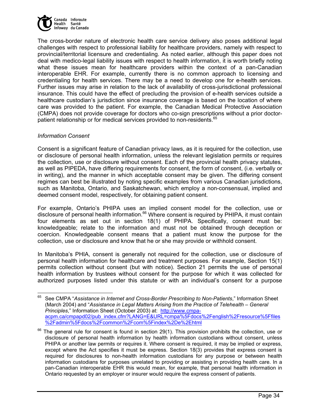

The cross-border nature of electronic health care service delivery also poses additional legal challenges with respect to professional liability for healthcare providers, namely with respect to provincial/territorial licensure and credentialing. As noted earlier, although this paper does not deal with medico-legal liability issues with respect to health information, it is worth briefly noting what these issues mean for healthcare providers within the context of a pan-Canadian interoperable EHR. For example, currently there is no common approach to licensing and credentialing for health services. There may be a need to develop one for e-health services. Further issues may arise in relation to the lack of availability of cross-jurisdictional professional insurance. This could have the effect of precluding the provision of e-health services outside a healthcare custodian's jurisdiction since insurance coverage is based on the location of where care was provided to the patient. For example, the Canadian Medical Protective Association (CMPA) does not provide coverage for doctors who co-sign prescriptions without a prior doctorpatient relationship or for medical services provided to non-residents.<sup>65</sup>

#### *Information Consent*

 $\overline{a}$ 

Consent is a significant feature of Canadian privacy laws, as it is required for the collection, use or disclosure of personal health information, unless the relevant legislation permits or requires the collection, use or disclosure without consent. Each of the provincial health privacy statutes, as well as PIPEDA, have differing requirements for consent, the form of consent, (i.e. verbally or in writing), and the manner in which acceptable consent may be given. The differing consent regimes can best be illustrated by noting specific examples from various Canadian jurisdictions, such as Manitoba, Ontario, and Saskatchewan, which employ a non-consensual, implied and deemed consent model, respectively, for obtaining patient consent.

For example, Ontario's PHIPA uses an implied consent model for the collection, use or disclosure of personal health information.<sup>66</sup> Where consent is required by PHIPA, it must contain four elements as set out in section 18(1) of PHIPA. Specifically, consent must be: knowledgeable; relate to the information and must not be obtained through deception or coercion. Knowledgeable consent means that a patient must know the purpose for the collection, use or disclosure and know that he or she may provide or withhold consent.

In Manitoba's PHIA, consent is generally not required for the collection, use or disclosure of personal health information for healthcare and treatment purposes. For example, Section 15(1) permits collection without consent (but with notice). Section 21 permits the use of personal health information by trustees without consent for the purpose for which it was collected for authorized purposes listed under this statute or with an individual's consent for a purpose

<sup>65</sup> See CMPA "*Assistance in Internet and Cross-Border Prescribing to Non-Patients*," Information Sheet (March 2004) and "*Assistance in Legal Matters Arising from the Practice of Telehealth – General Principles*," Information Sheet (October 2003) at: http://www.cmpaacpm.ca/cmpapd02/pub\_index.cfm?LANG=E&URL=cmpa%5Fdocs%2Fenglish%2Fresource%5Ffiles %2Fadmin%5Fdocs%2Fcommon%2Fcom%5Findex%2De%2Ehtml

 $66$  The general rule for consent is found in section 29(1). This provision prohibits the collection, use or disclosure of personal health information by health information custodians without consent, unless PHIPA or another law permits or requires it. Where consent is required, it may be implied or express, except where the Act specifies it must be express. Section 18(3) provides that express consent is required for disclosures to non-health information custodians for any purpose or between health information custodians for purposes unrelated to providing or assisting in providing health care. In a pan-Canadian interoperable EHR this would mean, for example, that personal health information in Ontario requested by an employer or insurer would require the express consent of patients.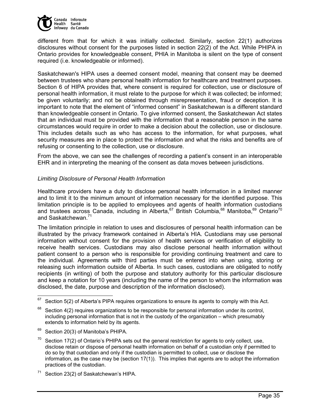

different from that for which it was initially collected. Similarly, section 22(1) authorizes disclosures without consent for the purposes listed in section 22(2) of the Act. While PHIPA in Ontario provides for knowledgeable consent, PHIA in Manitoba is silent on the type of consent required (i.e. knowledgeable or informed).

Saskatchewan's HIPA uses a deemed consent model, meaning that consent may be deemed between trustees who share personal health information for healthcare and treatment purposes. Section 6 of HIPA provides that, where consent is required for collection, use or disclosure of personal health information, it must relate to the purpose for which it was collected; be informed; be given voluntarily; and not be obtained through misrepresentation, fraud or deception. It is important to note that the element of "informed consent" in Saskatchewan is a different standard than knowledgeable consent in Ontario. To give informed consent, the Saskatchewan Act states that an individual must be provided with the information that a reasonable person in the same circumstances would require in order to make a decision about the collection, use or disclosure. This includes details such as who has access to the information, for what purposes, what security measures are in place to protect the information and what the risks and benefits are of refusing or consenting to the collection, use or disclosure.

From the above, we can see the challenges of recording a patient's consent in an interoperable EHR and in interpreting the meaning of the consent as data moves between jurisdictions.

### *Limiting Disclosure of Personal Health Information*

Healthcare providers have a duty to disclose personal health information in a limited manner and to limit it to the minimum amount of information necessary for the identified purpose. This limitation principle is to be applied to employees and agents of health information custodians and trustees across Canada, including in Alberta,  $67$  British Columbia,  $68$  Manitoba,  $69$  Ontario<sup>70</sup> and Saskatchewan.<sup>71</sup>

The limitation principle in relation to uses and disclosures of personal health information can be illustrated by the privacy framework contained in Alberta's HIA. Custodians may use personal information without consent for the provision of health services or verification of eligibility to receive health services. Custodians may also disclose personal health information without patient consent to a person who is responsible for providing continuing treatment and care to the individual. Agreements with third parties must be entered into when using, storing or releasing such information outside of Alberta. In such cases, custodians are obligated to notify recipients (in writing) of both the purpose and statutory authority for this particular disclosure and keep a notation for 10 years (including the name of the person to whom the information was disclosed, the date, purpose and description of the information disclosed).

<sup>67</sup> Section 5(2) of Alberta's PIPA requires organizations to ensure its agents to comply with this Act.

 $68$  Section 4(2) requires organizations to be responsible for personal information under its control, including personal information that is not in the custody of the organization – which presumably extends to information held by its agents.

<sup>&</sup>lt;sup>69</sup> Section 20(3) of Manitoba's PHIPA.

Section 17(2) of Ontario's PHIPA sets out the general restriction for agents to only collect, use, disclose retain or dispose of personal health information on behalf of a custodian only if permitted to do so by that custodian and only if the custodian is permitted to collect, use or disclose the information, as the case may be (section 17(1)). This implies that agents are to adopt the information practices of the custodian.

Section 23(2) of Saskatchewan's HIPA.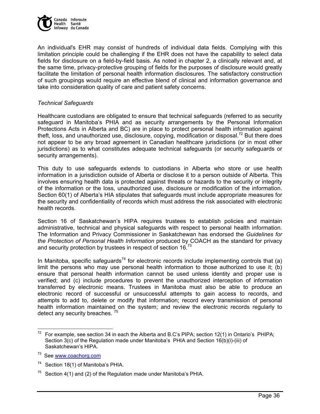

An individual's EHR may consist of hundreds of individual data fields. Complying with this limitation principle could be challenging if the EHR does not have the capability to select data fields for disclosure on a field-by-field basis. As noted in chapter 2, a clinically relevant and, at the same time, privacy-protective grouping of fields for the purposes of disclosure would greatly facilitate the limitation of personal health information disclosures. The satisfactory construction of such groupings would require an effective blend of clinical and information governance and take into consideration quality of care and patient safety concerns.

#### *Technical Safeguards*

Healthcare custodians are obligated to ensure that technical safeguards (referred to as security safeguard in Manitoba's PHIA and as security arrangements by the Personal Information Protections Acts in Alberta and BC) are in place to protect personal health information against theft, loss, and unauthorized use, disclosure, copying, modification or disposal.<sup>72</sup> But there does not appear to be any broad agreement in Canadian healthcare jurisdictions (or in most other jurisdictions) as to what constitutes adequate technical safeguards (or security safeguards or security arrangements).

This duty to use safeguards extends to custodians in Alberta who store or use health information in a jurisdiction outside of Alberta or disclose it to a person outside of Alberta. This involves ensuring health data is protected against threats or hazards to the security or integrity of the information or the loss, unauthorized use, disclosure or modification of the information. Section 60(1) of Alberta's HIA stipulates that safeguards must include appropriate measures for the security and confidentiality of records which must address the risk associated with electronic health records.

Section 16 of Saskatchewan's HIPA requires trustees to establish policies and maintain administrative, technical and physical safeguards with respect to personal health information. The Information and Privacy Commissioner in Saskatchewan has endorsed the *Guidelines for the Protection of Personal Health Information* produced by COACH as the standard for privacy and security protection by trustees in respect of section 16.<sup>73</sup>

In Manitoba, specific safeguards<sup>74</sup> for electronic records include implementing controls that (a) limit the persons who may use personal health information to those authorized to use it; (b) ensure that personal health information cannot be used unless identity and proper use is verified; and (c) include procedures to prevent the unauthorized interception of information transferred by electronic means. Trustees in Manitoba must also be able to produce an electronic record of successful or unsuccessful attempts to gain access to records, and attempts to add to, delete or modify that information; record every transmission of personal health information maintained on the system; and review the electronic records regularly to detect any security breaches.<sup>75</sup>

 $\overline{a}$ 

<sup>&</sup>lt;sup>72</sup> For example, see section 34 in each the Alberta and B.C's PIPA; section 12(1) in Ontario's PHIPA; Section 3(c) of the Regulation made under Manitoba's PHIA and Section 16(b)(i)-(iii) of Saskatchewan's HIPA.

<sup>&</sup>lt;sup>73</sup> See www.coachorg.com

<sup>&</sup>lt;sup>74</sup> Section 18(1) of Manitoba's PHIA.

Section 4(1) and (2) of the Regulation made under Manitoba's PHIA.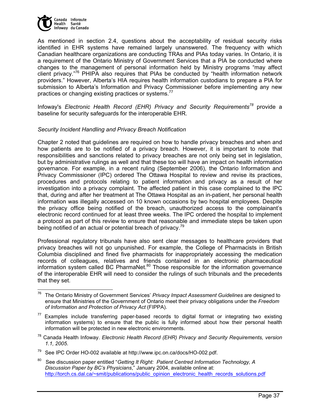

As mentioned in section 2.4, questions about the acceptability of residual security risks identified in EHR systems have remained largely unanswered. The frequency with which Canadian healthcare organizations are conducting TRAs and PIAs today varies. In Ontario, it is a requirement of the Ontario Ministry of Government Services that a PIA be conducted where changes to the management of personal information held by Ministry programs "may affect client privacy."<sup>76</sup> PHIPA also requires that PIAs be conducted by "health information network providers." However, Alberta's HIA requires health information custodians to prepare a PIA for submission to Alberta's Information and Privacy Commissioner before implementing any new practices or changing existing practices or systems.<sup>7</sup>

Infoway's *Electronic Health Record (EHR) Privacy and Security Requirements<sup>78</sup>* provide a baseline for security safeguards for the interoperable EHR.

#### *Security Incident Handling and Privacy Breach Notification*

Chapter 2 noted that guidelines are required on how to handle privacy breaches and when and how patients are to be notified of a privacy breach. However, it is important to note that responsibilities and sanctions related to privacy breaches are not only being set in legislation, but by administrative rulings as well and that these too will have an impact on health information governance. For example, in a recent ruling (September 2006), the Ontario Information and Privacy Commissioner (IPC) ordered The Ottawa Hospital to review and revise its practices, procedures and protocols relating to patient information and privacy as a result of her investigation into a privacy complaint. The affected patient in this case complained to the IPC that, during and after her treatment at The Ottawa Hospital as an in-patient, her personal health information was illegally accessed on 10 known occasions by two hospital employees. Despite the privacy office being notified of the breach, unauthorized access to the complainant's electronic record continued for at least three weeks. The IPC ordered the hospital to implement a protocol as part of this review to ensure that reasonable and immediate steps be taken upon being notified of an actual or potential breach of privacy.<sup>79</sup>

Professional regulatory tribunals have also sent clear messages to healthcare providers that privacy breaches will not go unpunished. For example, the College of Pharmacists in British Columbia disciplined and fined five pharmacists for inappropriately accessing the medication records of colleagues, relatives and friends contained in an electronic pharmaceutical information system called BC PharmaNet. $80$  Those responsible for the information governance of the interoperable EHR will need to consider the rulings of such tribunals and the precedents that they set.

<sup>-</sup>76 The Ontario Ministry of Government Services' *Privacy Impact Assessment Guidelines* are designed to ensure that Ministries of the Government of Ontario meet their privacy obligations under the *Freedom of Information and Protection of Privacy Act* (FIPPA).

Examples include transferring paper-based records to digital format or integrating two existing information systems) to ensure that the public is fully informed about how their personal health information will be protected in new electronic environments.

<sup>78</sup> Canada Health Infoway. *Electronic Health Record (EHR) Privacy and Security Requirements, version 1.1, 2005*.

See IPC Order HO-002 available at http://www.ipc.on.ca/docs/HO-002.pdf.

See discussion paper entitled "Getting It Right: Patient Centred Information Technology, A *Discussion Paper by BC's Physicians*," January 2004, available online at: http://torch.cs.dal.ca/~smit/publications/public\_opinion\_electronic\_health\_records\_solutions.pdf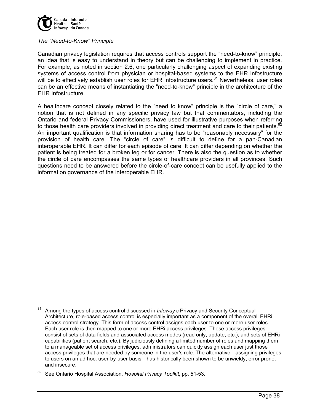

#### *The "Need-to-Know" Principle*

Canadian privacy legislation requires that access controls support the "need-to-know" principle, an idea that is easy to understand in theory but can be challenging to implement in practice. For example, as noted in section 2.6, one particularly challenging aspect of expanding existing systems of access control from physician or hospital-based systems to the EHR Infostructure will be to effectively establish user roles for EHR Infostructure users.<sup>81</sup> Nevertheless, user roles can be an effective means of instantiating the "need-to-know" principle in the architecture of the EHR Infostructure.

A healthcare concept closely related to the "need to know" principle is the "circle of care," a notion that is not defined in any specific privacy law but that commentators, including the Ontario and federal Privacy Commissioners, have used for illustrative purposes when referring to those health care providers involved in providing direct treatment and care to their patients.<sup>82</sup> An important qualification is that information sharing has to be "reasonably necessary" for the provision of health care. The "circle of care" is difficult to define for a pan-Canadian interoperable EHR. It can differ for each episode of care. It can differ depending on whether the patient is being treated for a broken leg or for cancer. There is also the question as to whether the circle of care encompasses the same types of healthcare providers in all provinces. Such questions need to be answered before the circle-of-care concept can be usefully applied to the information governance of the interoperable EHR.

<sup>81</sup> 81 Among the types of access control discussed in *Infoway's* Privacy and Security Conceptual Architecture, role-based access control is especially important as a component of the overall EHRi access control strategy. This form of access control assigns each user to one or more user roles. Each user role is then mapped to one or more EHRi access privileges. These access privileges consist of sets of data fields and associated access modes (read only, update, etc.), and sets of EHRi capabilities (patient search, etc.). By judiciously defining a limited number of roles and mapping them to a manageable set of access privileges, administrators can quickly assign each user just those access privileges that are needed by someone in the user's role. The alternative—assigning privileges to users on an ad hoc, user-by-user basis—has historically been shown to be unwieldy, error prone, and insecure.

<sup>82</sup> See Ontario Hospital Association, *Hospital Privacy Toolkit*, pp. 51-53.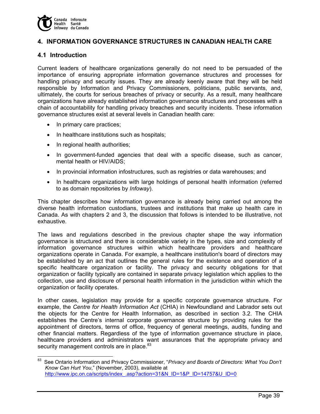

# **4. INFORMATION GOVERNANCE STRUCTURES IN CANADIAN HEALTH CARE**

## **4.1 Introduction**

Current leaders of healthcare organizations generally do not need to be persuaded of the importance of ensuring appropriate information governance structures and processes for handling privacy and security issues. They are already keenly aware that they will be held responsible by Information and Privacy Commissioners, politicians, public servants, and, ultimately, the courts for serious breaches of privacy or security. As a result, many healthcare organizations have already established information governance structures and processes with a chain of accountability for handling privacy breaches and security incidents. These information governance structures exist at several levels in Canadian health care:

- In primary care practices;
- In healthcare institutions such as hospitals;
- In regional health authorities;
- In government-funded agencies that deal with a specific disease, such as cancer, mental health or HIV/AIDS;
- In provincial information infostructures, such as registries or data warehouses; and
- In healthcare organizations with large holdings of personal health information (referred to as domain repositories by *Infoway*).

This chapter describes how information governance is already being carried out among the diverse health information custodians, trustees and institutions that make up health care in Canada. As with chapters 2 and 3, the discussion that follows is intended to be illustrative, not exhaustive.

The laws and regulations described in the previous chapter shape the way information governance is structured and there is considerable variety in the types, size and complexity of information governance structures within which healthcare providers and healthcare organizations operate in Canada. For example, a healthcare institution's board of directors may be established by an act that outlines the general rules for the existence and operation of a specific healthcare organization or facility. The privacy and security obligations for that organization or facility typically are contained in separate privacy legislation which applies to the collection, use and disclosure of personal health information in the jurisdiction within which the organization or facility operates.

In other cases, legislation may provide for a specific corporate governance structure. For example, the *Centre for Health Information Act* (CHIA) in Newfoundland and Labrador sets out the objects for the Centre for Health Information, as described in section 3.2. The CHIA establishes the Centre's internal corporate governance structure by providing rules for the appointment of directors, terms of office, frequency of general meetings, audits, funding and other financial matters. Regardless of the type of information governance structure in place, healthcare providers and administrators want assurances that the appropriate privacy and security management controls are in place.<sup>83</sup>

<sup>83</sup> 83 See Ontario Information and Privacy Commissioner, "*Privacy and Boards of Directors: What You Don't Know Can Hurt You*," (November, 2003), available at http://www.ipc.on.ca/scripts/index\_asp?action=31&N\_ID=1&P\_ID=14757&U\_ID=0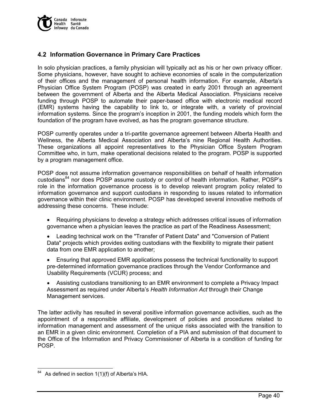

# **4.2 Information Governance in Primary Care Practices**

In solo physician practices, a family physician will typically act as his or her own privacy officer. Some physicians, however, have sought to achieve economies of scale in the computerization of their offices and the management of personal health information. For example, Alberta's Physician Office System Program (POSP) was created in early 2001 through an agreement between the government of Alberta and the Alberta Medical Association. Physicians receive funding through POSP to automate their paper-based office with electronic medical record (EMR) systems having the capability to link to, or integrate with, a variety of provincial information systems. Since the program's inception in 2001, the funding models which form the foundation of the program have evolved, as has the program governance structure.

POSP currently operates under a tri-partite governance agreement between Alberta Health and Wellness, the Alberta Medical Association and Alberta's nine Regional Health Authorities. These organizations all appoint representatives to the Physician Office System Program Committee who, in turn, make operational decisions related to the program. POSP is supported by a program management office.

POSP does not assume information governance responsibilities on behalf of health information custodians<sup>84</sup> nor does POSP assume custody or control of health information. Rather, POSP's role in the information governance process is to develop relevant program policy related to information governance and support custodians in responding to issues related to information governance within their clinic environment. POSP has developed several innovative methods of addressing these concerns. These include:

- Requiring physicians to develop a strategy which addresses critical issues of information governance when a physician leaves the practice as part of the Readiness Assessment;
- Leading technical work on the "Transfer of Patient Data" and "Conversion of Patient Data" projects which provides exiting custodians with the flexibility to migrate their patient data from one EMR application to another;
- Ensuring that approved EMR applications possess the technical functionality to support pre-determined information governance practices through the Vendor Conformance and Usability Requirements (VCUR) process; and
- Assisting custodians transitioning to an EMR environment to complete a Privacy Impact Assessment as required under Alberta's *Health Information Act* through their Change Management services.

The latter activity has resulted in several positive information governance activities, such as the appointment of a responsible affiliate, development of policies and procedures related to information management and assessment of the unique risks associated with the transition to an EMR in a given clinic environment. Completion of a PIA and submission of that document to the Office of the Information and Privacy Commissioner of Alberta is a condition of funding for POSP.

-

As defined in section  $1(1)(f)$  of Alberta's HIA.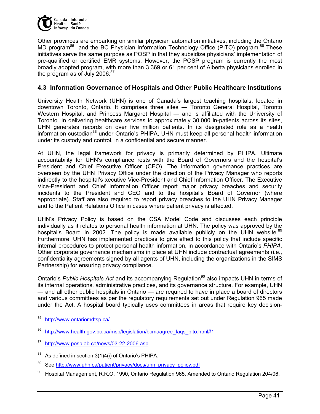

Other provinces are embarking on similar physician automation initiatives, including the Ontario MD program<sup>85</sup> and the BC Physician Information Technology Office (PITO) program.<sup>86</sup> These initiatives serve the same purpose as POSP in that they subsidize physicians' implementation of pre-qualified or certified EMR systems. However, the POSP program is currently the most broadly adopted program, with more than 3,369 or 61 per cent of Alberta physicians enrolled in the program as of July 2006. $87$ 

### **4.3 Information Governance of Hospitals and Other Public Healthcare Institutions**

University Health Network (UHN) is one of Canada's largest teaching hospitals, located in downtown Toronto, Ontario. It comprises three sites — Toronto General Hospital, Toronto Western Hospital, and Princess Margaret Hospital — and is affiliated with the University of Toronto. In delivering healthcare services to approximately 30,000 in-patients across its sites, UHN generates records on over five million patients. In its designated role as a health information custodian<sup>88</sup> under Ontario's PHIPA, UHN must keep all personal health information under its custody and control, in a confidential and secure manner.

At UHN, the legal framework for privacy is primarily determined by PHIPA. Ultimate accountability for UHN's compliance rests with the Board of Governors and the hospital's President and Chief Executive Officer (CEO). The information governance practices are overseen by the UHN Privacy Office under the direction of the Privacy Manager who reports indirectly to the hospital's xecutive Vice-President and Chief Information Officer. The Executive Vice-President and Chief Information Officer report major privacy breaches and security incidents to the President and CEO and to the hospital's Board of Governor (where appropriate). Staff are also required to report privacy breaches to the UHN Privacy Manager and to the Patient Relations Office in cases where patient privacy is affected.

UHN's Privacy Policy is based on the CSA Model Code and discusses each principle individually as it relates to personal health information at UHN. The policy was approved by the hospital's Board in 2002. The policy is made available publicly on the UHN website.<sup>89</sup> Furthermore, UHN has implemented practices to give effect to this policy that include specific internal procedures to protect personal health information, in accordance with Ontario's *PHIPA*. Other corporate governance mechanisms in place at UHN include contractual agreements (i.e., confidentiality agreements signed by all agents of UHN, including the organizations in the SIMS Partnership) for ensuring privacy compliance.

Ontario's Public Hospitals Act and its accompanying Regulation<sup>90</sup> also impacts UHN in terms of its internal operations, administrative practices, and its governance structure. For example, UHN — and all other public hospitals in Ontario — are required to have in place a board of directors and various committees as per the regulatory requirements set out under Regulation 965 made under the Act. A hospital board typically uses committees in areas that require key decision-

<sup>85</sup> http://www.ontariomdtsp.ca/

http://www.health.gov.bc.ca/msp/legislation/bcmaagree\_fags\_pito.html#1

<sup>87</sup> http://www.posp.ab.ca/news/03-22-2006.asp

<sup>88</sup> As defined in section 3(1)4(i) of Ontario's PHIPA.

<sup>89</sup> See http://www.uhn.ca/patient/privacy/docs/uhn\_privacy\_policy.pdf

<sup>90</sup> Hospital Management, R.R.O. 1990, Ontario Regulation 965, Amended to Ontario Regulation 204/06.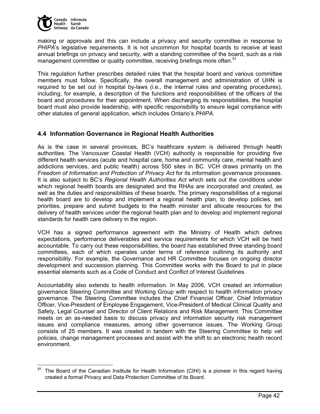

making or approvals and this can include a privacy and security committee in response to *PHIPA*'s legislative requirements. It is not uncommon for hospital boards to receive at least annual briefings on privacy and security, with a standing committee of the board, such as a risk management committee or quality committee, receiving briefings more often.<sup>91</sup>

This regulation further prescribes detailed rules that the hospital board and various committee members must follow. Specifically, the overall management and administration of UHN is required to be set out in hospital by-laws (i.e., the internal rules and operating procedures), including, for example, a description of the functions and responsibilities of the officers of the board and procedures for their appointment. When discharging its responsibilities, the hospital board must also provide leadership, with specific responsibility to ensure legal compliance with other statutes of general application, which includes Ontario's *PHIPA*.

## **4.4 Information Governance in Regional Health Authorities**

As is the case in several provinces, BC's healthcare system is delivered through health authorities. The Vancouver Coastal Health (VCH) authority is responsible for providing five different health services (acute and hospital care, home and community care, mental health and addictions services, and public health) across 550 sites in BC. VCH draws primarily on the *Freedom of Information and Protection of Privacy Act* for its information governance processes. It is also subject to BC's *Regional Health Authorities Act* which sets out the conditions under which regional health boards are designated and the RHAs are incorporated and created, as well as the duties and responsibilities of these boards. The primary responsibilities of a regional health board are to develop and implement a regional health plan, to develop policies, set priorities, prepare and submit budgets to the health minister and allocate resources for the delivery of health services under the regional health plan and to develop and implement regional standards for health care delivery in the region.

VCH has a signed performance agreement with the Ministry of Health which defines expectations, performance deliverables and service requirements for which VCH will be held accountable. To carry out these responsibilities, the board has established three standing board committees, each of which operates under terms of reference outlining its authority and responsibility. For example, the Governance and HR Committee focuses on ongoing director development and succession planning. This Committee works with the Board to put in place essential elements such as a Code of Conduct and Conflict of Interest Guidelines.

Accountability also extends to health information. In May 2006, VCH created an information governance Steering Committee and Working Group with respect to health information privacy governance. The Steering Committee includes the Chief Financial Officer, Chief Information Officer, Vice-President of Employee Engagement, Vice-President of Medical Clinical Quality and Safety, Legal Counsel and Director of Client Relations and Risk Management. This Committee meets on an as-needed basis to discuss privacy and information security risk management issues and compliance measures, among other governance issues. The Working Group consists of 25 members. It was created in tandem with the Steering Committee to help vet policies, change management processes and assist with the shift to an electronic health record environment.

<sup>91</sup> The Board of the Canadian Institute for Health Information (CIHI) is a pioneer in this regard having created a formal Privacy and Data Protection Committee of its Board.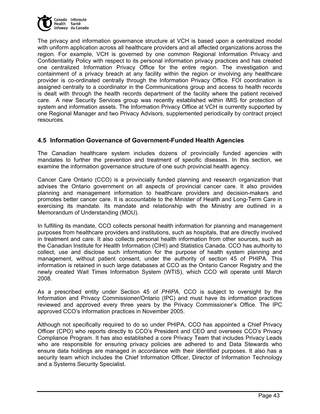

The privacy and information governance structure at VCH is based upon a centralized model with uniform application across all healthcare providers and all affected organizations across the region. For example, VCH is governed by one common Regional Information Privacy and Confidentiality Policy with respect to its personal information privacy practices and has created one centralized Information Privacy Office for the entire region. The investigation and containment of a privacy breach at any facility within the region or involving any healthcare provider is co-ordinated centrally through the Information Privacy Office. FOI coordination is assigned centrally to a coordinator in the Communications group and access to health records is dealt with through the health records department of the facility where the patient received care. A new Security Services group was recently established within IMIS for protection of system and information assets. The Information Privacy Office at VCH is currently supported by one Regional Manager and two Privacy Advisors, supplemented periodically by contract project resources.

## **4.5 Information Governance of Government-Funded Health Agencies**

The Canadian healthcare system includes dozens of provincially funded agencies with mandates to further the prevention and treatment of specific diseases. In this section, we examine the information governance structure of one such provincial health agency.

Cancer Care Ontario (CCO) is a provincially funded planning and research organization that advises the Ontario government on all aspects of provincial cancer care. It also provides planning and management information to healthcare providers and decision-makers and promotes better cancer care. It is accountable to the Minister of Health and Long-Term Care in exercising its mandate. Its mandate and relationship with the Ministry are outlined in a Memorandum of Understanding (MOU).

In fulfilling its mandate, CCO collects personal health information for planning and management purposes from healthcare providers and institutions, such as hospitals, that are directly involved in treatment and care. It also collects personal health information from other sources, such as the Canadian Institute for Health Information (CIHI) and Statistics Canada. CCO has authority to collect, use and disclose such information for the purpose of health system planning and management, without patient consent, under the authority of section 45 of PHIPA. This information is retained in such large databases at CCO as the Ontario Cancer Registry and the newly created Wait Times Information System (WTIS), which CCO will operate until March 2008.

As a prescribed entity under Section 45 of *PHIPA*, CCO is subject to oversight by the Information and Privacy Commissioner/Ontario (IPC) and must have its information practices reviewed and approved every three years by the Privacy Commissioner's Office. The IPC approved CCO's information practices in November 2005.

Although not specifically required to do so under PHIPA, CCO has appointed a Chief Privacy Officer (CPO) who reports directly to CCO's President and CEO and oversees CCO's Privacy Compliance Program. It has also established a core Privacy Team that includes Privacy Leads who are responsible for ensuring privacy policies are adhered to and Data Stewards who ensure data holdings are managed in accordance with their identified purposes. It also has a security team which includes the Chief Information Officer, Director of Information Technology and a Systems Security Specialist.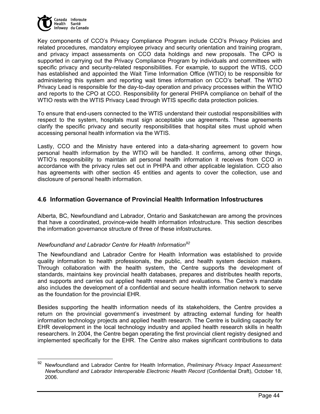

Key components of CCO's Privacy Compliance Program include CCO's Privacy Policies and related procedures, mandatory employee privacy and security orientation and training program, and privacy impact assessments on CCO data holdings and new proposals. The CPO is supported in carrying out the Privacy Compliance Program by individuals and committees with specific privacy and security-related responsibilities. For example, to support the WTIS, CCO has established and appointed the Wait Time Information Office (WTIO) to be responsible for administering this system and reporting wait times information on CCO's behalf. The WTIO Privacy Lead is responsible for the day-to-day operation and privacy processes within the WTIO and reports to the CPO at CCO. Responsibility for general PHIPA compliance on behalf of the WTIO rests with the WTIS Privacy Lead through WTIS specific data protection policies.

To ensure that end-users connected to the WTIS understand their custodial responsibilities with respect to the system, hospitals must sign acceptable use agreements. These agreements clarify the specific privacy and security responsibilities that hospital sites must uphold when accessing personal health information via the WTIS.

Lastly, CCO and the Ministry have entered into a data-sharing agreement to govern how personal health information by the WTIO will be handled. It confirms, among other things, WTIO's responsibility to maintain all personal health information it receives from CCO in accordance with the privacy rules set out in PHIPA and other applicable legislation. CCO also has agreements with other section 45 entities and agents to cover the collection, use and disclosure of personal health information.

## **4.6 Information Governance of Provincial Health Information Infostructures**

Alberta, BC, Newfoundland and Labrador, Ontario and Saskatchewan are among the provinces that have a coordinated, province-wide health information infostructure. This section describes the information governance structure of three of these infostructures.

### *Newfoundland and Labrador Centre for Health Information92*

The Newfoundland and Labrador Centre for Health Information was established to provide quality information to health professionals, the public, and health system decision makers. Through collaboration with the health system, the Centre supports the development of standards, maintains key provincial health databases, prepares and distributes health reports, and supports and carries out applied health research and evaluations. The Centre's mandate also includes the development of a confidential and secure health information network to serve as the foundation for the provincial EHR.

Besides supporting the health information needs of its stakeholders, the Centre provides a return on the provincial government's investment by attracting external funding for health information technology projects and applied health research. The Centre is building capacity for EHR development in the local technology industry and applied health research skills in health researchers. In 2004, the Centre began operating the first provincial client registry designed and implemented specifically for the EHR. The Centre also makes significant contributions to data

<sup>92</sup> 92 Newfoundland and Labrador Centre for Health Information, *Preliminary Privacy Impact Assessment: Newfoundland and Labrador Interoperable Electronic Health Record* (Confidential Draft), October 18, 2006.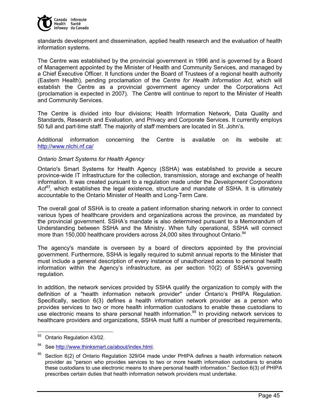

standards development and dissemination, applied health research and the evaluation of health information systems.

The Centre was established by the provincial government in 1996 and is governed by a Board of Management appointed by the Minister of Health and Community Services, and managed by a Chief Executive Officer. It functions under the Board of Trustees of a regional health authority (Eastern Health), pending proclamation of the *Centre for Health Information Act,* which will establish the Centre as a provincial government agency under the Corporations Act (proclamation is expected in 2007). The Centre will continue to report to the Minister of Health and Community Services.

The Centre is divided into four divisions; Health Information Network, Data Quality and Standards, Research and Evaluation, and Privacy and Corporate Services. It currently employs 50 full and part-time staff. The majority of staff members are located in St. John's.

Additional information concerning the Centre is available on its website at: http://www.nlchi.nf.ca/

#### *Ontario Smart Systems for Health Agency*

Ontario's Smart Systems for Health Agency (SSHA) was established to provide a secure province-wide IT infrastructure for the collection, transmission, storage and exchange of health information. It was created pursuant to a regulation made under the *Development Corporations Act93,* which establishes the legal existence, structure and mandate of SSHA. It is ultimately accountable to the Ontario Minister of Health and Long-Term Care.

The overall goal of SSHA is to create a patient information sharing network in order to connect various types of healthcare providers and organizations across the province, as mandated by the provincial government. SSHA's mandate is also determined pursuant to a Memorandum of Understanding between SSHA and the Ministry. When fully operational, SSHA will connect more than 150,000 healthcare providers across 24,000 sites throughout Ontario.<sup>94</sup>

The agency's mandate is overseen by a board of directors appointed by the provincial government. Furthermore, SSHA is legally required to submit annual reports to the Minister that must include a general description of every instance of unauthorized access to personal health information within the Agency's infrastructure, as per section 10(2) of SSHA's governing regulation.

In addition, the network services provided by SSHA qualify the organization to comply with the definition of a "health information network provider" under Ontario's PHIPA Regulation. Specifically, section 6(3) defines a health information network provider as a person who provides services to two or more health information custodians to enable these custodians to use electronic means to share personal health information.<sup>95</sup> In providing network services to healthcare providers and organizations, SSHA must fulfil a number of prescribed requirements,

<sup>93</sup> Ontario Regulation 43/02.

See http://www.thinksmart.ca/about/index.html.

Section 6(2) of Ontario Regulation 329/04 made under PHIPA defines a health information network provider as "person who provides services to two or more health information custodians to enable these custodians to use electronic means to share personal health information." Section 6(3) of PHIPA prescribes certain duties that health information network providers must undertake.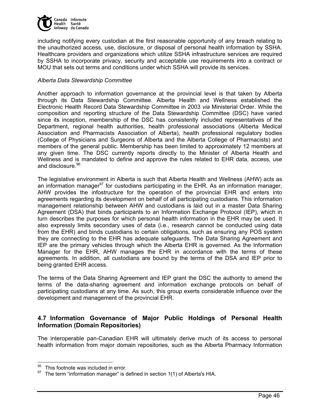

including notifying every custodian at the first reasonable opportunity of any breach relating to the unauthorized access, use, disclosure, or disposal of personal health information by SSHA. Healthcare providers and organizations which utilize SSHA infrastructure services are required by SSHA to incorporate privacy, security and acceptable use requirements into a contract or MOU that sets out terms and conditions under which SSHA will provide its services.

#### *Alberta Data Stewardship Committee*

Another approach to information governance at the provincial level is that taken by Alberta through its Data Stewardship Committee. Alberta Health and Wellness established the Electronic Health Record Data Stewardship Committee in 2003 *via* Ministerial Order. While the composition and reporting structure of the Data Stewardship Committee (DSC) have varied since its inception, membership of the DSC has consistently included representatives of the Department, regional health authorities, health professional associations (Alberta Medical Association and Pharmacists Association of Alberta), health professional regulatory bodies (College of Physicians and Surgeons of Alberta and the Alberta College of Pharmacists) and members of the general public. Membership has been limited to approximately 12 members at any given time. The DSC currently reports directly to the Minister of Alberta Health and Wellness and is mandated to define and approve the rules related to EHR data, access, use and disclosure.<sup>96</sup>

The legislative environment in Alberta is such that Alberta Health and Wellness (AHW) acts as an information manager<sup>97</sup> for custodians participating in the EHR. As an information manager, AHW provides the infostructure for the operation of the provincial EHR and enters into agreements regarding its development on behalf of all participating custodians. This information management relationship between AHW and custodians is laid out in a master Data Sharing Agreement (DSA) that binds participants to an Information Exchange Protocol (IEP), which in turn describes the purposes for which personal health information in the EHR may be used. It also expressly limits secondary uses of data (i.e., research cannot be conducted using data from the EHR) and binds custodians to certain obligations, such as ensuring any POS system they are connecting to the EHR has adequate safeguards. The Data Sharing Agreement and IEP are the primary vehicles through which the Alberta EHR is governed. As the Information Manager for the EHR, AHW manages the EHR in accordance with the terms of these agreements. In addition, all custodians are bound by the terms of the DSA and IEP prior to being granted EHR access.

The terms of the Data Sharing Agreement and IEP grant the DSC the authority to amend the terms of the data-sharing agreement and information exchange protocols on behalf of participating custodians at any time. As such, this group exerts considerable influence over the development and management of the provincial EHR.

## **4.7 Information Governance of Major Public Holdings of Personal Health Information (Domain Repositories)**

The interoperable pan-Canadian EHR will ultimately derive much of its access to personal health information from major domain repositories, such as the Alberta Pharmacy Information

  $95$  This footnote was included in error.

The term "information manager" is defined in section 1(1) of Alberta's HIA.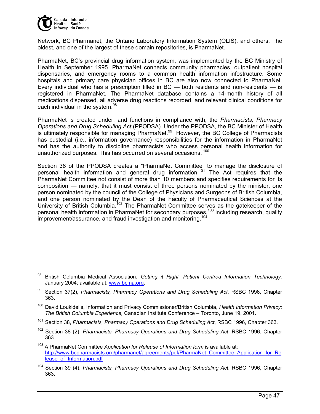

 $\overline{a}$ 

Network, BC Pharmanet, the Ontario Laboratory Information System (OLIS), and others. The oldest, and one of the largest of these domain repositories, is PharmaNet.

PharmaNet, BC's provincial drug information system, was implemented by the BC Ministry of Health in September 1995. PharmaNet connects community pharmacies, outpatient hospital dispensaries, and emergency rooms to a common health information infostructure. Some hospitals and primary care physician offices in BC are also now connected to PharmaNet. Every individual who has a prescription filled in  $BC$  — both residents and non-residents — is registered in PharmaNet. The PharmaNet database contains a 14-month history of all medications dispensed, all adverse drug reactions recorded, and relevant clinical conditions for each individual in the system.<sup>98</sup>

PharmaNet is created under, and functions in compliance with, the *Pharmacists, Pharmacy Operations and Drug Scheduling Act* (PPODSA). Under the PPODSA, the BC Minister of Health is ultimately responsible for managing PharmaNet.<sup>99</sup> However, the BC College of Pharmacists has custodial (i.e., information governance) responsibilities for the information in PharmaNet and has the authority to discipline pharmacists who access personal health information for unauthorized purposes. This has occurred on several occasions.<sup>100</sup>

Section 38 of the PPODSA creates a "PharmaNet Committee" to manage the disclosure of personal health information and general drug information.101 The Act requires that the PharmaNet Committee not consist of more than 10 members and specifies requirements for its composition — namely, that it must consist of three persons nominated by the minister, one person nominated by the council of the College of Physicians and Surgeons of British Columbia, and one person nominated by the Dean of the Faculty of Pharmaceutical Sciences at the University of British Columbia.<sup>102</sup> The PharmaNet Committee serves as the gatekeeper of the personal health information in PharmaNet for secondary purposes,  $103$  including research, quality  $\frac{1}{2}$  improvement/assurance, and fraud investigation and monitoring.<sup>104</sup>

<sup>98</sup> British Columbia Medical Association, *Getting it Right: Patient Centred Information Technology,*  January 2004; available at: www.bcma.org.

<sup>99</sup> Section 37(2), *Pharmacists, Pharmacy Operations and Drug Scheduling Act*, RSBC 1996, Chapter 363.

<sup>100</sup> David Loukidelis, Information and Privacy Commissioner/British Columbia, *Health Information Privacy: The British Columbia Experience,* Canadian Institute Conference – Toronto, June 19, 2001.

<sup>101</sup> Section 38, *Pharmacists, Pharmacy Operations and Drug Scheduling Act*, RSBC 1996, Chapter 363.

<sup>102</sup> Section 38 (2), *Pharmacists, Pharmacy Operations and Drug Scheduling Act*, RSBC 1996, Chapter 363.

<sup>&</sup>lt;sup>103</sup> A PharmaNet Committee Application for Release of Information form is available at: http://www.bcpharmacists.org/pharmanet/agreements/pdf/PharmaNet\_Committee\_Application\_for\_Re lease\_of\_Information.pdf

<sup>104</sup> Section 39 (4), *Pharmacists, Pharmacy Operations and Drug Scheduling Act*, RSBC 1996, Chapter 363.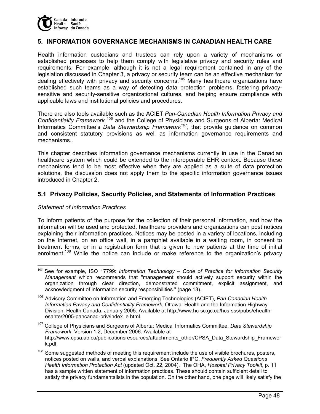

### **5. INFORMATION GOVERNANCE MECHANISMS IN CANADIAN HEALTH CARE**

Health information custodians and trustees can rely upon a variety of mechanisms or established processes to help them comply with legislative privacy and security rules and requirements. For example, although it is not a legal requirement contained in any of the legislation discussed in Chapter 3, a privacy or security team can be an effective mechanism for dealing effectively with privacy and security concerns.<sup>105</sup> Many healthcare organizations have established such teams as a way of detecting data protection problems, fostering privacysensitive and security-sensitive organizational cultures, and helping ensure compliance with applicable laws and institutional policies and procedures.

There are also tools available such as the ACIET *Pan-Canadian Health Information Privacy and Confidentiality Framework* 106 and the College of Physicians and Surgeons of Alberta: Medical Informatics Committee's *Data Stewardship Framework<sup>107</sup>*, that provide guidance on common and consistent statutory provisions as well as information governance requirements and mechanisms..

This chapter describes information governance mechanisms currently in use in the Canadian healthcare system which could be extended to the interoperable EHR context. Because these mechanisms tend to be most effective when they are applied as a suite of data protection solutions, the discussion does not apply them to the specific information governance issues introduced in Chapter 2.

### **5.1 Privacy Policies, Security Policies, and Statements of Information Practices**

#### *Statement of Information Practices*

To inform patients of the purpose for the collection of their personal information, and how the information will be used and protected, healthcare providers and organizations can post notices explaining their information practices. Notices may be posted in a variety of locations, including on the Internet, on an office wall, in a pamphlet available in a waiting room, in consent to treatment forms, or in a registration form that is given to new patients at the time of initial enrolment.<sup>108</sup> While the notice can include or make reference to the organization's privacy

<sup>&</sup>lt;sup>105</sup> See for example, ISO 17799: *Information Technology – Code of Practice for Information Security Management* which recommends that "management should actively support security within the organization through clear direction, demonstrated commitment, explicit assignment, and acknowledgment of information security responsibilities." (page 13).

<sup>106</sup> Advisory Committee on Information and Emerging Technologies (ACIET), *Pan-Canadian Health Information Privacy and Confidentiality Framework*, Ottawa: Health and the Information Highway Division, Health Canada, January 2005. Available at http://www.hc-sc.gc.ca/hcs-sss/pubs/ehealthesante/2005-pancanad-priv/index\_e.html.

<sup>107</sup> College of Physicians and Surgeons of Alberta: Medical Informatics Committee, *Data Stewardship Framework*, Version 1.2, December 2006. Available at http://www.cpsa.ab.ca/publicationsresources/attachments\_other/CPSA\_Data\_Stewardship\_Framewor k.pdf.

<sup>&</sup>lt;sup>108</sup> Some suggested methods of meeting this requirement include the use of visible brochures, posters, notices posted on walls, and verbal explanations. See Ontario IPC, *Frequently Asked Questions Health Information Protection Act* (updated Oct. 22, 2004). The OHA, *Hospital Privacy Toolkit*, p. 11 has a sample written statement of information practices. These should contain sufficient detail to satisfy the privacy fundamentalists in the population. On the other hand, one page will likely satisfy the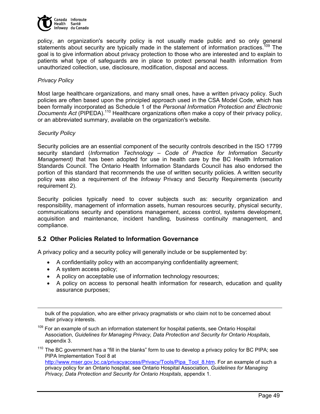

policy, an organization's security policy is not usually made public and so only general statements about security are typically made in the statement of information practices.<sup>109</sup> The goal is to give information about privacy protection to those who are interested and to explain to patients what type of safeguards are in place to protect personal health information from unauthorized collection, use, disclosure, modification, disposal and access.

#### *Privacy Policy*

Most large healthcare organizations, and many small ones, have a written privacy policy. Such policies are often based upon the principled approach used in the CSA Model Code, which has been formally incorporated as Schedule 1 of the *Personal Information Protection and Electronic Documents Act* (PIPEDA).<sup>110</sup> Healthcare organizations often make a copy of their privacy policy, or an abbreviated summary, available on the organization's website.

#### *Security Policy*

Security policies are an essential component of the security controls described in the ISO 17799 security standard (*Information Technology – Code of Practice for Information Security Management)* that has been adopted for use in health care by the BC Health Information Standards Council. The Ontario Health Information Standards Council has also endorsed the portion of this standard that recommends the use of written security policies. A written security policy was also a requirement of the *Infoway* Privacy and Security Requirements (security requirement 2).

Security policies typically need to cover subjects such as: security organization and responsibility, management of information assets, human resources security, physical security, communications security and operations management, access control, systems development, acquisition and maintenance, incident handling, business continuity management, and compliance.

### **5.2 Other Policies Related to Information Governance**

A privacy policy and a security policy will generally include or be supplemented by:

- A confidentiality policy with an accompanying confidentiality agreement;
- A system access policy;

-

- A policy on acceptable use of information technology resources;
- A policy on access to personal health information for research, education and quality assurance purposes;

bulk of the population, who are either privacy pragmatists or who claim not to be concerned about their privacy interests.

<sup>109</sup> For an example of such an information statement for hospital patients, see Ontario Hospital Association, *Guidelines for Managing Privacy, Data Protection and Security for Ontario Hospitals*, appendix 3.

 $110$  The BC government has a "fill in the blanks" form to use to develop a privacy policy for BC PIPA; see PIPA Implementation Tool 8 at http://www.mser.gov.bc.ca/privacyaccess/Privacy/Tools/Pipa\_Tool\_8.htm. For an example of such a privacy policy for an Ontario hospital, see Ontario Hospital Association, *Guidelines for Managing Privacy, Data Protection and Security for Ontario Hospitals*, appendix 1.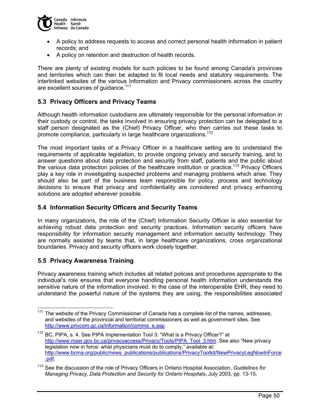

- A policy to address requests to access and correct personal health information in patient records; and
- A policy on retention and destruction of health records.

There are plenty of existing models for such policies to be found among Canada's provinces and territories which can then be adapted to fit local needs and statutory requirements. The interlinked websites of the various Information and Privacy commissioners across the country are excellent sources of quidance.<sup>111</sup>

## **5.3 Privacy Officers and Privacy Teams**

Although health information custodians are ultimately responsible for the personal information in their custody or control, the tasks involved in ensuring privacy protection can be delegated to a staff person designated as the (Chief) Privacy Officer, who then carries out these tasks to promote compliance, particularly in large healthcare organizations.<sup>112</sup>

The most important tasks of a Privacy Officer in a healthcare setting are to understand the requirements of applicable legislation, to provide ongoing privacy and security training, and to answer questions about data protection and security from staff, patients and the public about the various data protection policies of the healthcare institution or practice.<sup>113</sup> Privacy Officers play a key role in investigating suspected problems and managing problems which arise. They should also be part of the business team responsible for policy, process and technology decisions to ensure that privacy and confidentiality are considered and privacy enhancing solutions are adopted wherever possible.

#### **5.4 Information Security Officers and Security Teams**

In many organizations, the role of the (Chief) Information Security Officer is also essential for achieving robust data protection and security practices. Information security officers have responsibility for information security management and information security technology. They are normally assisted by teams that, in large healthcare organizations, cross organizational boundaries. Privacy and security officers work closely together.

### **5.5 Privacy Awareness Training**

 $\overline{a}$ 

Privacy awareness training which includes all related policies and procedures appropriate to the individual's role ensures that everyone handling personal health information understands the sensitive nature of the information involved. In the case of the interoperable EHR, they need to understand the powerful nature of the systems they are using, the responsibilities associated

 $111$  The website of the Privacy Commissioner of Canada has a complete list of the names, addresses, and websites of the provincial and territorial commissioners as well as government sites. See http://www.privcom.gc.ca/information/comms\_e.asp

 $112$  BC, PIPA, s. 4. See PIPA Implementation Tool 3: "What is a Privacy Officer?" at http://www.mser.gov.bc.ca/privacyaccess/Privacy/Tools/PIPA\_Tool\_3.htm. See also "New privacy legislation now in force: what physicians must do to comply," available at: http://www.bcma.org/public/news\_publications/publications/PrivacyToolkit/NewPrivacyLegNowInForce .pdf.

<sup>113</sup> See the discussion of the role of Privacy Officers in Ontario Hospital Association, *Guidelines for Managing Privacy, Data Protection and Security for Ontario Hospitals*, July 2003, pp. 13-15.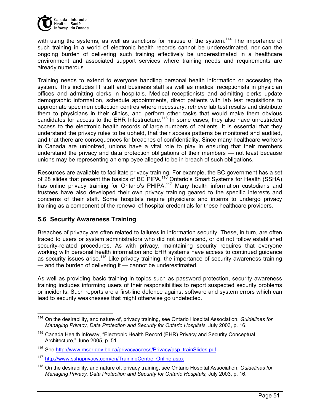

with using the systems, as well as sanctions for misuse of the system.<sup>114</sup> The importance of such training in a world of electronic health records cannot be underestimated, nor can the ongoing burden of delivering such training effectively be underestimated in a healthcare environment and associated support services where training needs and requirements are already numerous.

Training needs to extend to everyone handling personal health information or accessing the system. This includes IT staff and business staff as well as medical receptionists in physician offices and admitting clerks in hospitals. Medical receptionists and admitting clerks update demographic information, schedule appointments, direct patients with lab test requisitions to appropriate specimen collection centres where necessary, retrieve lab test results and distribute them to physicians in their clinics, and perform other tasks that would make them obvious candidates for access to the EHR Infostructure.<sup>115</sup> In some cases, they also have unrestricted access to the electronic health records of large numbers of patients. It is essential that they understand the privacy rules to be upheld, that their access patterns be monitored and audited, and that there are consequences for breaches of confidentiality. Since many healthcare workers in Canada are unionized, unions have a vital role to play in ensuring that their members understand the privacy and data protection obligations of their members — not least because unions may be representing an employee alleged to be in breach of such obligations.

Resources are available to facilitate privacy training. For example, the BC government has a set of 28 slides that present the basics of BC PIPA.<sup>116</sup> Ontario's Smart Systems for Health (SSHA) has online privacy training for Ontario's PHIPA.<sup>117</sup> Many health information custodians and trustees have also developed their own privacy training geared to the specific interests and concerns of their staff. Some hospitals require physicians and interns to undergo privacy training as a component of the renewal of hospital credentials for these healthcare providers.

## **5.6 Security Awareness Training**

Breaches of privacy are often related to failures in information security. These, in turn, are often traced to users or system administrators who did not understand, or did not follow established security-related procedures. As with privacy, maintaining security requires that everyone working with personal health information and EHR systems have access to continued guidance as security issues arise.<sup>118</sup> Like privacy training, the importance of security awareness training — and the burden of delivering it — cannot be underestimated.

As well as providing basic training in topics such as password protection, security awareness training includes informing users of their responsibilities to report suspected security problems or incidents. Such reports are a first-line defence against software and system errors which can lead to security weaknesses that might otherwise go undetected.

 114 On the desirability, and nature of, privacy training, see Ontario Hospital Association, *Guidelines for Managing Privacy, Data Protection and Security for Ontario Hospitals*, July 2003, p. 16.

<sup>&</sup>lt;sup>115</sup> Canada Health Infoway, "Electronic Health Record (EHR) Privacy and Security Conceptual Architecture," June 2005, p. 51.

<sup>&</sup>lt;sup>116</sup> See http://www.mser.gov.bc.ca/privacyaccess/Privacy/psp\_trainSlides.pdf

<sup>117</sup> http://www.sshaprivacy.com/en/TrainingCentre\_Online.aspx

<sup>118</sup> On the desirability, and nature of, privacy training, see Ontario Hospital Association, *Guidelines for Managing Privacy, Data Protection and Security for Ontario Hospitals,* July 2003, p. 16.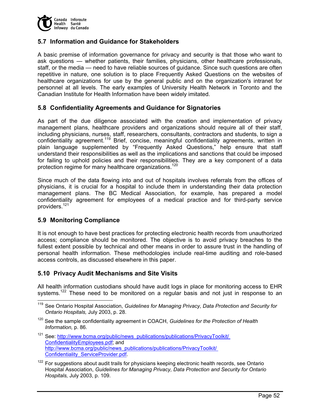

## **5.7 Information and Guidance for Stakeholders**

A basic premise of information governance for privacy and security is that those who want to ask questions — whether patients, their families, physicians, other healthcare professionals, staff, or the media — need to have reliable sources of guidance. Since such questions are often repetitive in nature, one solution is to place Frequently Asked Questions on the websites of healthcare organizations for use by the general public and on the organization's intranet for personnel at all levels. The early examples of University Health Network in Toronto and the Canadian Institute for Health Information have been widely imitated.

### **5.8 Confidentiality Agreements and Guidance for Signatories**

As part of the due diligence associated with the creation and implementation of privacy management plans, healthcare providers and organizations should require all of their staff, including physicians, nurses, staff, researchers, consultants, contractors and students, to sign a confidentiality agreement.<sup>119</sup> Brief, concise, meaningful confidentiality agreements, written in plain language supplemented by "Frequently Asked Questions," help ensure that staff understand their responsibilities as well as the implications and sanctions that could be imposed for failing to uphold policies and their responsibilities. They are a key component of a data protection regime for many healthcare organizations.<sup>120</sup>

Since much of the data flowing into and out of hospitals involves referrals from the offices of physicians, it is crucial for a hospital to include them in understanding their data protection management plans. The BC Medical Association, for example, has prepared a model confidentiality agreement for employees of a medical practice and for third-party service providers.<sup>121</sup>

### **5.9 Monitoring Compliance**

-

It is not enough to have best practices for protecting electronic health records from unauthorized access; compliance should be monitored. The objective is to avoid privacy breaches to the fullest extent possible by technical and other means in order to assure trust in the handling of personal health information. These methodologies include real-time auditing and role-based access controls, as discussed elsewhere in this paper.

### **5.10 Privacy Audit Mechanisms and Site Visits**

All health information custodians should have audit logs in place for monitoring access to EHR systems.<sup>122</sup> These need to be monitored on a regular basis and not just in response to an

- <sup>121</sup> See: http://www.bcma.org/public/news\_publications/publications/PrivacyToolkit/ ConfidentialityEmployees.pdf; and http://www.bcma.org/public/news\_publications/publications/PrivacyToolkit/ Confidentiality\_ServiceProvider.pdf.
- <sup>122</sup> For suggestions about audit trails for physicians keeping electronic health records, see Ontario Hospital Association, *Guidelines for Managing Privacy, Data Protection and Security for Ontario Hospitals,* July 2003, p. 109.

<sup>&</sup>lt;sup>119</sup> See Ontario Hospital Association, *Guidelines for Managing Privacy, Data Protection and Security for Ontario Hospitals,* July 2003, p. 28.

<sup>120</sup> See the sample confidentiality agreement in COACH, *Guidelines for the Protection of Health Information,* p. 86.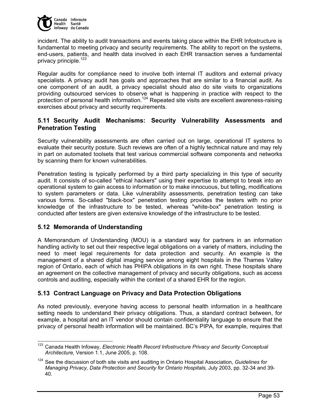

incident. The ability to audit transactions and events taking place within the EHR Infostructure is fundamental to meeting privacy and security requirements. The ability to report on the systems, end-users, patients, and health data involved in each EHR transaction serves a fundamental privacy principle.<sup>123</sup>

Regular audits for compliance need to involve both internal IT auditors and external privacy specialists. A privacy audit has goals and approaches that are similar to a financial audit. As one component of an audit, a privacy specialist should also do site visits to organizations providing outsourced services to observe what is happening in practice with respect to the protection of personal health information.124 Repeated site visits are excellent awareness-raising exercises about privacy and security requirements.

# **5.11 Security Audit Mechanisms: Security Vulnerability Assessments and Penetration Testing**

Security vulnerability assessments are often carried out on large, operational IT systems to evaluate their security posture. Such reviews are often of a highly technical nature and may rely in part on automated toolsets that test various commercial software components and networks by scanning them for known vulnerabilities.

Penetration testing is typically performed by a third party specializing in this type of security audit. It consists of so-called "ethical hackers" using their expertise to attempt to break into an operational system to gain access to information or to make innocuous, but telling, modifications to system parameters or data. Like vulnerability assessments, penetration testing can take various forms. So-called "black-box" penetration testing provides the testers with no prior knowledge of the infrastructure to be tested, whereas "white-box" penetration testing is conducted after testers are given extensive knowledge of the infrastructure to be tested.

## **5.12 Memoranda of Understanding**

A Memorandum of Understanding (MOU) is a standard way for partners in an information handling activity to set out their respective legal obligations on a variety of matters, including the need to meet legal requirements for data protection and security. An example is the management of a shared digital imaging service among eight hospitals in the Thames Valley region of Ontario, each of which has PHIPA obligations in its own right. These hospitals share an agreement on the collective management of privacy and security obligations, such as access controls and auditing, especially within the context of a shared EHR for the region.

# **5.13 Contract Language on Privacy and Data Protection Obligations**

As noted previously, everyone having access to personal health information in a healthcare setting needs to understand their privacy obligations. Thus, a standard contract between, for example, a hospital and an lT vendor should contain confidentiality language to ensure that the privacy of personal health information will be maintained. BC's PIPA, for example, requires that

 <sup>123</sup> Canada Health Infoway, *Electronic Health Record Infostructure Privacy and Security Conceptual Architecture,* Version 1.1, June 2005, p. 108.

<sup>124</sup> See the discussion of both site visits and auditing in Ontario Hospital Association, *Guidelines for Managing Privacy, Data Protection and Security for Ontario Hospitals,* July 2003, pp. 32-34 and 39- 40.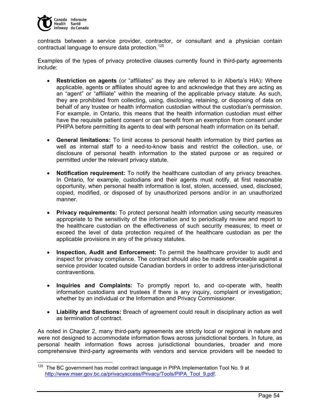

contracts between a service provider, contractor, or consultant and a physician contain contractual language to ensure data protection.<sup>125</sup>

Examples of the types of privacy protective clauses currently found in third-party agreements include:

- **Restriction on agents** (or "affiliates" as they are referred to in Alberta's HIA)**:** Where applicable, agents or affiliates should agree to and acknowledge that they are acting as an "agent" or "affiliate" within the meaning of the applicable privacy statute. As such, they are prohibited from collecting, using, disclosing, retaining, or disposing of data on behalf of any trustee or health information custodian without the custodian's permission. For example, in Ontario, this means that the health information custodian must either have the requisite patient consent or can benefit from an exemption from consent under PHIPA before permitting its agents to deal with personal heath information on its behalf.
- **General limitations:** To limit access to personal health information by third parties as well as internal staff to a need-to-know basis and restrict the collection, use, or disclosure of personal health information to the stated purpose or as required or permitted under the relevant privacy statute.
- **Notification requirement:** To notify the healthcare custodian of any privacy breaches. In Ontario, for example, custodians and their agents must notify, at first reasonable opportunity, when personal health information is lost, stolen, accessed, used, disclosed, copied, modified, or disposed of by unauthorized persons and/or in an unauthorized manner.
- **Privacy requirements:** To protect personal health information using security measures appropriate to the sensitivity of the information and to periodically review and report to the healthcare custodian on the effectiveness of such security measures; to meet or exceed the level of data protection required of the healthcare custodian as per the applicable provisions in any of the privacy statutes.
- **Inspection, Audit and Enforcement:** To permit the healthcare provider to audit and inspect for privacy compliance. The contract should also be made enforceable against a service provider located outside Canadian borders in order to address inter-jurisdictional contraventions.
- **Inquiries and Complaints:** To promptly report to, and co-operate with, health information custodians and trustees if there is any inquiry, complaint or investigation; whether by an individual or the Information and Privacy Commissioner.
- **Liability and Sanctions:** Breach of agreement could result in disciplinary action as well as termination of contract.

As noted in Chapter 2, many third-party agreements are strictly local or regional in nature and were not designed to accommodate information flows across jurisdictional borders. In future, as personal health information flows across jurisdictional boundaries, broader and more comprehensive third-party agreements with vendors and service providers will be needed to

 $\overline{a}$  $125$  The BC government has model contract language in PIPA Implementation Tool No. 9 at http://www.mser.gov.bc.ca/privacyaccess/Privacy/Tools/PIPA\_Tool\_9.pdf.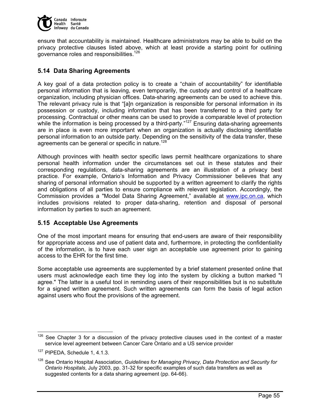

ensure that accountability is maintained. Healthcare administrators may be able to build on the privacy protective clauses listed above, which at least provide a starting point for outlining governance roles and responsibilities.<sup>126</sup>

# **5.14 Data Sharing Agreements**

A key goal of a data protection policy is to create a "chain of accountability" for identifiable personal information that is leaving, even temporarily, the custody and control of a healthcare organization, including physician offices. Data-sharing agreements can be used to achieve this. The relevant privacy rule is that "[a]n organization is responsible for personal information in its possession or custody, including information that has been transferred to a third party for processing. Contractual or other means can be used to provide a comparable level of protection while the information is being processed by a third-party." $127$  Ensuring data-sharing agreements are in place is even more important when an organization is actually disclosing identifiable personal information to an outside party. Depending on the sensitivity of the data transfer, these agreements can be general or specific in nature.<sup>128</sup>

Although provinces with health sector specific laws permit healthcare organizations to share personal health information under the circumstances set out in these statutes and their corresponding regulations, data-sharing agreements are an illustration of a privacy best practice. For example, Ontario's Information and Privacy Commissioner believes that any sharing of personal information should be supported by a written agreement to clarify the rights and obligations of all parties to ensure compliance with relevant legislation. Accordingly, the Commission provides a "Model Data Sharing Agreement," available at www.ipc.on.ca, which includes provisions related to proper data-sharing, retention and disposal of personal information by parties to such an agreement.

## **5.15 Acceptable Use Agreements**

One of the most important means for ensuring that end-users are aware of their responsibility for appropriate access and use of patient data and, furthermore, in protecting the confidentiality of the information, is to have each user sign an acceptable use agreement prior to gaining access to the EHR for the first time.

Some acceptable use agreements are supplemented by a brief statement presented online that users must acknowledge each time they log into the system by clicking a button marked "I agree." The latter is a useful tool in reminding users of their responsibilities but is no substitute for a signed written agreement. Such written agreements can form the basis of legal action against users who flout the provisions of the agreement.

 $\overline{a}$  $126$  See Chapter 3 for a discussion of the privacy protective clauses used in the context of a master service level agreement between Cancer Care Ontario and a US service provider

<sup>&</sup>lt;sup>127</sup> PIPEDA, Schedule 1, 4.1.3.

<sup>128</sup> See Ontario Hospital Association, *Guidelines for Managing Privacy, Data Protection and Security for Ontario Hospitals*, July 2003, pp. 31-32 for specific examples of such data transfers as well as suggested contents for a data sharing agreement (pp. 64-66).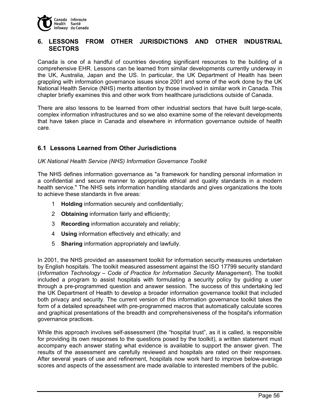

# **6. LESSONS FROM OTHER JURISDICTIONS AND OTHER INDUSTRIAL SECTORS**

Canada is one of a handful of countries devoting significant resources to the building of a comprehensive EHR. Lessons can be learned from similar developments currently underway in the UK, Australia, Japan and the US. In particular, the UK Department of Health has been grappling with information governance issues since 2001 and some of the work done by the UK National Health Service (NHS) merits attention by those involved in similar work in Canada. This chapter briefly examines this and other work from healthcare jurisdictions outside of Canada.

There are also lessons to be learned from other industrial sectors that have built large-scale, complex information infrastructures and so we also examine some of the relevant developments that have taken place in Canada and elsewhere in information governance outside of health care.

# **6.1 Lessons Learned from Other Jurisdictions**

#### *UK National Health Service (NHS) Information Governance Toolkit*

The NHS defines information governance as "a framework for handling personal information in a confidential and secure manner to appropriate ethical and quality standards in a modern health service." The NHS sets information handling standards and gives organizations the tools to achieve these standards in five areas:

- 1 **Holding** information securely and confidentially;
- 2 **Obtaining** information fairly and efficiently;
- 3 **Recording** information accurately and reliably;
- 4 **Using** information effectively and ethically; and
- 5 **Sharing** information appropriately and lawfully.

In 2001, the NHS provided an assessment toolkit for information security measures undertaken by English hospitals. The toolkit measured assessment against the ISO 17799 security standard (*Information Technology – Code of Practice for Information Security Management*). The toolkit included a program to assist hospitals with formulating a security policy by guiding a user through a pre-programmed question and answer session. The success of this undertaking led the UK Department of Health to develop a broader information governance toolkit that included both privacy and security. The current version of this information governance toolkit takes the form of a detailed spreadsheet with pre-programmed macros that automatically calculate scores and graphical presentations of the breadth and comprehensiveness of the hospital's information governance practices.

While this approach involves self-assessment (the "hospital trust", as it is called, is responsible for providing its own responses to the questions posed by the toolkit), a written statement must accompany each answer stating what evidence is available to support the answer given. The results of the assessment are carefully reviewed and hospitals are rated on their responses. After several years of use and refinement, hospitals now work hard to improve below-average scores and aspects of the assessment are made available to interested members of the public.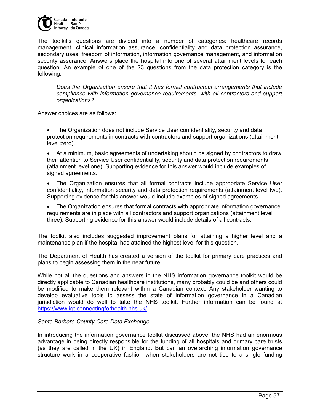

The toolkit's questions are divided into a number of categories: healthcare records management, clinical information assurance, confidentiality and data protection assurance, secondary uses, freedom of information, information governance management, and information security assurance. Answers place the hospital into one of several attainment levels for each question. An example of one of the 23 questions from the data protection category is the following:

*Does the Organization ensure that it has formal contractual arrangements that include compliance with information governance requirements, with all contractors and support organizations?* 

Answer choices are as follows:

• The Organization does not include Service User confidentiality, security and data protection requirements in contracts with contractors and support organizations (attainment level zero).

• At a minimum, basic agreements of undertaking should be signed by contractors to draw their attention to Service User confidentiality, security and data protection requirements (attainment level one). Supporting evidence for this answer would include examples of signed agreements.

• The Organization ensures that all formal contracts include appropriate Service User confidentiality, information security and data protection requirements (attainment level two). Supporting evidence for this answer would include examples of signed agreements.

• The Organization ensures that formal contracts with appropriate information governance requirements are in place with all contractors and support organizations (attainment level three). Supporting evidence for this answer would include details of all contracts.

The toolkit also includes suggested improvement plans for attaining a higher level and a maintenance plan if the hospital has attained the highest level for this question.

The Department of Health has created a version of the toolkit for primary care practices and plans to begin assessing them in the near future.

While not all the questions and answers in the NHS information governance toolkit would be directly applicable to Canadian healthcare institutions, many probably could be and others could be modified to make them relevant within a Canadian context. Any stakeholder wanting to develop evaluative tools to assess the state of information governance in a Canadian jurisdiction would do well to take the NHS toolkit. Further information can be found at https://www.igt.connectingforhealth.nhs.uk/

### *Santa Barbara County Care Data Exchange*

In introducing the information governance toolkit discussed above, the NHS had an enormous advantage in being directly responsible for the funding of all hospitals and primary care trusts (as they are called in the UK) in England. But can an overarching information governance structure work in a cooperative fashion when stakeholders are not tied to a single funding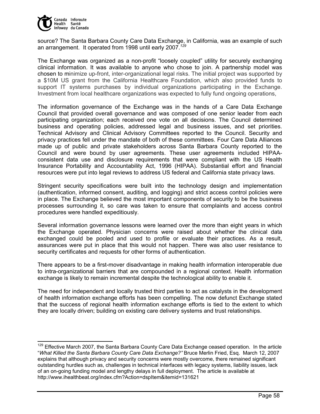

source? The Santa Barbara County Care Data Exchange, in California, was an example of such an arrangement. It operated from 1998 until early 2007.*<sup>129</sup>*

The Exchange was organized as a non-profit "loosely coupled" utility for securely exchanging clinical information. It was available to anyone who chose to join. A partnership model was chosen to minimize up-front, inter-organizational legal risks. The initial project was supported by a \$10M US grant from the California Healthcare Foundation, which also provided funds to support IT systems purchases by individual organizations participating in the Exchange. Investment from local healthcare organizations was expected to fully fund ongoing operations,

The information governance of the Exchange was in the hands of a Care Data Exchange Council that provided overall governance and was composed of one senior leader from each participating organization; each received one vote on all decisions. The Council determined business and operating policies, addressed legal and business issues, and set priorities. Technical Advisory and Clinical Advisory Committees reported to the Council. Security and privacy practices fell under the mandate of both of these committees. Four Care Data Alliances made up of public and private stakeholders across Santa Barbara County reported to the Council and were bound by user agreements. These user agreements included HIPAAconsistent data use and disclosure requirements that were compliant with the US Health Insurance Portability and Accountability Act, 1996 (HIPAA). Substantial effort and financial resources were put into legal reviews to address US federal and California state privacy laws.

Stringent security specifications were built into the technology design and implementation (authentication, informed consent, auditing, and logging) and strict access control policies were in place. The Exchange believed the most important components of security to be the business processes surrounding it, so care was taken to ensure that complaints and access control procedures were handled expeditiously.

Several information governance lessons were learned over the more than eight years in which the Exchange operated. Physician concerns were raised about whether the clinical data exchanged could be pooled and used to profile or evaluate their practices. As a result, assurances were put in place that this would not happen. There was also user resistance to security certificates and requests for other forms of authentication.

There appears to be a first-mover disadvantage in making health information interoperable due to intra-organizational barriers that are compounded in a regional context. Health information exchange is likely to remain incremental despite the technological ability to enable it.

The need for independent and locally trusted third parties to act as catalysts in the development of health information exchange efforts has been compelling. The now defunct Exchange stated that the success of regional health information exchange efforts is tied to the extent to which they are locally driven; building on existing care delivery systems and trust relationships.

<sup>&</sup>lt;sup>129</sup> Effective March 2007, the Santa Barbara County Care Data Exchange ceased operation. In the article "*What Killed the Santa Barbara County Care Data Exchange?"* Bruce Merlin Fried, Esq. March 12, 2007 explains that although privacy and security concerns were mostly overcome, there remained significant outstanding hurdles such as, challenges in technical interfaces with legacy systems, liability issues, lack of an on-going funding model and lengthy delays in full deployment. The article is available at http://www.ihealthbeat.org/index.cfm?Action=dspItem&itemid=131621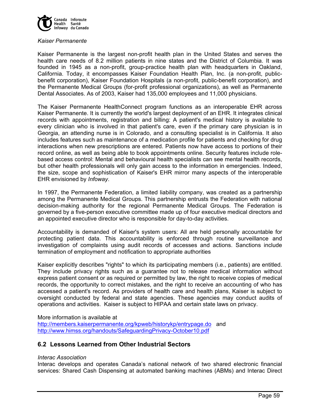

#### *Kaiser Permanente*

Kaiser Permanente is the largest non-profit health plan in the United States and serves the health care needs of 8.2 million patients in nine states and the District of Columbia. It was founded in 1945 as a non-profit, group-practice health plan with headquarters in Oakland, California. Today, it encompasses Kaiser Foundation Health Plan, Inc. (a non-profit, publicbenefit corporation), Kaiser Foundation Hospitals (a non-profit, public-benefit corporation), and the Permanente Medical Groups (for-profit professional organizations), as well as Permanente Dental Associates. As of 2003, Kaiser had 135,000 employees and 11,000 physicians.

The Kaiser Permanente HealthConnect program functions as an interoperable EHR across Kaiser Permanente. It is currently the world's largest deployment of an EHR. It integrates clinical records with appointments, registration and billing: A patient's medical history is available to every clinician who is involved in that patient's care, even if the primary care physician is in Georgia, an attending nurse is in Colorado, and a consulting specialist is in California. It also includes features such as maintenance of a medication profile for patients and checking for drug interactions when new prescriptions are entered. Patients now have access to portions of their record online, as well as being able to book appointments online. Security features include rolebased access control: Mental and behavioural health specialists can see mental health records, but other health professionals will only gain access to the information in emergencies. Indeed, the size, scope and sophistication of Kaiser's EHR mirror many aspects of the interoperable EHR envisioned by *Infoway*.

In 1997, the Permanente Federation, a limited liability company, was created as a partnership among the Permanente Medical Groups. This partnership entrusts the Federation with national decision-making authority for the regional Permanente Medical Groups. The Federation is governed by a five-person executive committee made up of four executive medical directors and an appointed executive director who is responsible for day-to-day activities.

Accountability is demanded of Kaiser's system users: All are held personally accountable for protecting patient data. This accountability is enforced through routine surveillance and investigation of complaints using audit records of accesses and actions. Sanctions include termination of employment and notification to appropriate authorities

Kaiser explicitly describes "rights" to which its participating members (i.e., patients) are entitled. They include privacy rights such as a guarantee not to release medical information without express patient consent or as required or permitted by law, the right to receive copies of medical records, the opportunity to correct mistakes, and the right to receive an accounting of who has accessed a patient's record. As providers of health care and health plans, Kaiser is subject to oversight conducted by federal and state agencies. These agencies may conduct audits of operations and activities. Kaiser is subject to HIPAA and certain state laws on privacy.

More information is available at

http://members.kaiserpermanente.org/kpweb/historykp/entrypage.do and http://www.himss.org/handouts/SafeguardingPrivacy-October10.pdf

# **6.2 Lessons Learned from Other Industrial Sectors**

#### *Interac Association*

Interac develops and operates Canada's national network of two shared electronic financial services: Shared Cash Dispensing at automated banking machines (ABMs) and Interac Direct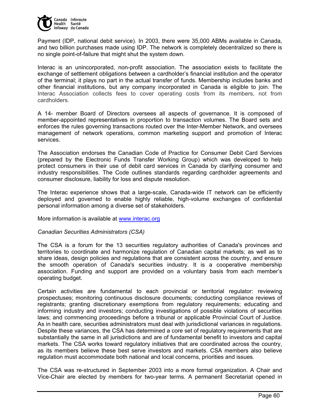

Payment (IDP, national debit service). In 2003, there were 35,000 ABMs available in Canada, and two billion purchases made using IDP. The network is completely decentralized so there is no single point-of-failure that might shut the system down.

Interac is an unincorporated, non-profit association. The association exists to facilitate the exchange of settlement obligations between a cardholder's financial institution and the operator of the terminal; it plays no part in the actual transfer of funds. Membership includes banks and other financial institutions, but any company incorporated in Canada is eligible to join. The Interac Association collects fees to cover operating costs from its members, not from cardholders.

A 14- member Board of Directors oversees all aspects of governance. It is composed of member-appointed representatives in proportion to transaction volumes. The Board sets and enforces the rules governing transactions routed over the Inter-Member Network, and oversees management of network operations, common marketing support and promotion of Interac services.

The Association endorses the Canadian Code of Practice for Consumer Debit Card Services (prepared by the Electronic Funds Transfer Working Group) which was developed to help protect consumers in their use of debit card services in Canada by clarifying consumer and industry responsibilities. The Code outlines standards regarding cardholder agreements and consumer disclosure, liability for loss and dispute resolution.

The Interac experience shows that a large-scale, Canada-wide IT network can be efficiently deployed and governed to enable highly reliable, high-volume exchanges of confidential personal information among a diverse set of stakeholders.

More information is available at www.interac.org

#### *Canadian Securities Administrators (CSA)*

The CSA is a forum for the 13 securities regulatory authorities of Canada's provinces and territories to coordinate and harmonize regulation of Canadian capital markets; as well as to share ideas, design policies and regulations that are consistent across the country, and ensure the smooth operation of Canada's securities industry. It is a cooperative membership association. Funding and support are provided on a voluntary basis from each member's operating budget.

Certain activities are fundamental to each provincial or territorial regulator: reviewing prospectuses; monitoring continuous disclosure documents; conducting compliance reviews of registrants; granting discretionary exemptions from regulatory requirements; educating and informing industry and investors; conducting investigations of possible violations of securities laws; and commencing proceedings before a tribunal or applicable Provincial Court of Justice. As in health care, securities administrators must deal with jurisdictional variances in regulations. Despite these variances, the CSA has determined a core set of regulatory requirements that are substantially the same in all jurisdictions and are of fundamental benefit to investors and capital markets. The CSA works toward regulatory initiatives that are coordinated across the country, as its members believe these best serve investors and markets. CSA members also believe regulation must accommodate both national and local concerns, priorities and issues.

The CSA was re-structured in September 2003 into a more formal organization. A Chair and Vice-Chair are elected by members for two-year terms. A permanent Secretariat opened in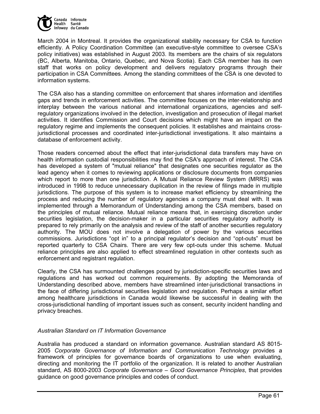

March 2004 in Montreal. It provides the organizational stability necessary for CSA to function efficiently. A Policy Coordination Committee (an executive-style committee to oversee CSA's policy initiatives) was established in August 2003. Its members are the chairs of six regulators (BC, Alberta, Manitoba, Ontario, Quebec, and Nova Scotia). Each CSA member has its own staff that works on policy development and delivers regulatory programs through their participation in CSA Committees. Among the standing committees of the CSA is one devoted to information systems.

The CSA also has a standing committee on enforcement that shares information and identifies gaps and trends in enforcement activities. The committee focuses on the inter-relationship and interplay between the various national and international organizations, agencies and selfregulatory organizations involved in the detection, investigation and prosecution of illegal market activities. It identifies Commission and Court decisions which might have an impact on the regulatory regime and implements the consequent policies. It establishes and maintains crossjurisdictional processes and coordinated inter-jurisdictional investigations. It also maintains a database of enforcement activity.

Those readers concerned about the effect that inter-jurisdictional data transfers may have on health information custodial responsibilities may find the CSA's approach of interest. The CSA has developed a system of "mutual reliance" that designates one securities regulator as the lead agency when it comes to reviewing applications or disclosure documents from companies which report to more than one jurisdiction. A Mutual Reliance Review System (MRRS) was introduced in 1998 to reduce unnecessary duplication in the review of filings made in multiple jurisdictions. The purpose of this system is to increase market efficiency by streamlining the process and reducing the number of regulatory agencies a company must deal with. It was implemented through a Memorandum of Understanding among the CSA members, based on the principles of mutual reliance. Mutual reliance means that, in exercising discretion under securities legislation, the decision-maker in a particular securities regulatory authority is prepared to rely primarily on the analysis and review of the staff of another securities regulatory authority. The MOU does not involve a delegation of power by the various securities commissions. Jurisdictions "opt in" to a principal regulator's decision and "opt-outs" must be reported quarterly to CSA Chairs. There are very few opt-outs under this scheme. Mutual reliance principles are also applied to effect streamlined regulation in other contexts such as enforcement and registrant regulation.

Clearly, the CSA has surmounted challenges posed by jurisdiction-specific securities laws and regulations and has worked out common requirements. By adopting the Memoranda of Understanding described above, members have streamlined inter-jurisdictional transactions in the face of differing jurisdictional securities legislation and regulation. Perhaps a similar effort among healthcare jurisdictions in Canada would likewise be successful in dealing with the cross-jurisdictional handling of important issues such as consent, security incident handling and privacy breaches.

# *Australian Standard on IT Information Governance*

Australia has produced a standard on information governance. Australian standard AS 8015- 2005 *Corporate Governance of Information and Communication Technology* provides a framework of principles for governance boards of organizations to use when evaluating, directing and monitoring the IT portfolio of the organization. It is related to another Australian standard, AS 8000-2003 *Corporate Governance – Good Governance Principles*, that provides guidance on good governance principles and codes of conduct.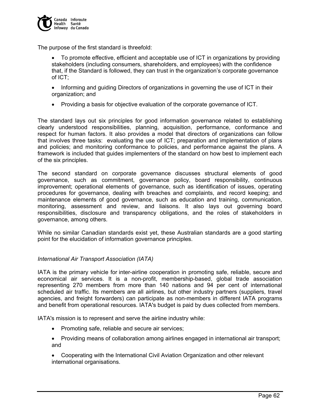

The purpose of the first standard is threefold:

- To promote effective, efficient and acceptable use of ICT in organizations by providing stakeholders (including consumers, shareholders, and employees) with the confidence that, if the Standard is followed, they can trust in the organization's corporate governance of ICT;
- Informing and guiding Directors of organizations in governing the use of ICT in their organization; and
- Providing a basis for objective evaluation of the corporate governance of ICT.

The standard lays out six principles for good information governance related to establishing clearly understood responsibilities, planning, acquisition, performance, conformance and respect for human factors. It also provides a model that directors of organizations can follow that involves three tasks: evaluating the use of ICT; preparation and implementation of plans and policies; and monitoring conformance to policies, and performance against the plans. A framework is included that guides implementers of the standard on how best to implement each of the six principles.

The second standard on corporate governance discusses structural elements of good governance, such as commitment, governance policy, board responsibility, continuous improvement; operational elements of governance, such as identification of issues, operating procedures for governance, dealing with breaches and complaints, and record keeping; and maintenance elements of good governance, such as education and training, communication, monitoring, assessment and review, and liaisons. It also lays out governing board responsibilities, disclosure and transparency obligations, and the roles of stakeholders in governance, among others.

While no similar Canadian standards exist yet, these Australian standards are a good starting point for the elucidation of information governance principles.

# *International Air Transport Association (IATA)*

IATA is the primary vehicle for inter-airline cooperation in promoting safe, reliable, secure and economical air services. It is a non-profit, membership-based, global trade association representing 270 members from more than 140 nations and 94 per cent of international scheduled air traffic. Its members are all airlines, but other industry partners (suppliers, travel agencies, and freight forwarders) can participate as non-members in different IATA programs and benefit from operational resources. IATA's budget is paid by dues collected from members.

IATA's mission is to represent and serve the airline industry while:

- Promoting safe, reliable and secure air services;
- Providing means of collaboration among airlines engaged in international air transport; and
- Cooperating with the International Civil Aviation Organization and other relevant international organisations.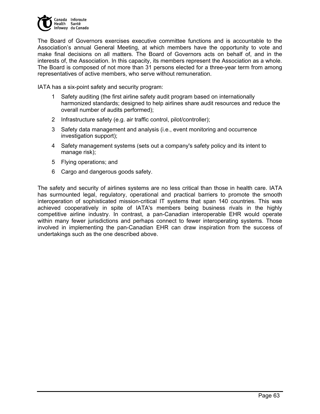

The Board of Governors exercises executive committee functions and is accountable to the Association's annual General Meeting, at which members have the opportunity to vote and make final decisions on all matters. The Board of Governors acts on behalf of, and in the interests of, the Association. In this capacity, its members represent the Association as a whole. The Board is composed of not more than 31 persons elected for a three-year term from among representatives of active members, who serve without remuneration.

IATA has a six-point safety and security program:

- 1 Safety auditing (the first airline safety audit program based on internationally harmonized standards; designed to help airlines share audit resources and reduce the overall number of audits performed);
- 2 Infrastructure safety (e.g. air traffic control, pilot/controller);
- 3 Safety data management and analysis (i.e., event monitoring and occurrence investigation support);
- 4 Safety management systems (sets out a company's safety policy and its intent to manage risk);
- 5 Flying operations; and
- 6 Cargo and dangerous goods safety.

The safety and security of airlines systems are no less critical than those in health care. IATA has surmounted legal, regulatory, operational and practical barriers to promote the smooth interoperation of sophisticated mission-critical IT systems that span 140 countries. This was achieved cooperatively in spite of IATA's members being business rivals in the highly competitive airline industry. In contrast, a pan-Canadian interoperable EHR would operate within many fewer jurisdictions and perhaps connect to fewer interoperating systems. Those involved in implementing the pan-Canadian EHR can draw inspiration from the success of undertakings such as the one described above.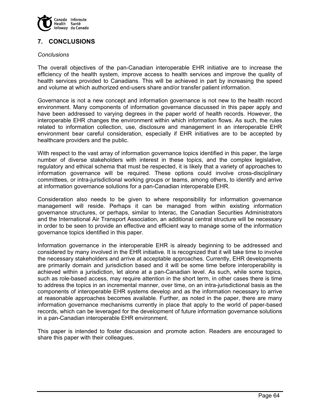

# **7. CONCLUSIONS**

#### *Conclusions*

The overall objectives of the pan-Canadian interoperable EHR initiative are to increase the efficiency of the health system, improve access to health services and improve the quality of health services provided to Canadians. This will be achieved in part by increasing the speed and volume at which authorized end-users share and/or transfer patient information.

Governance is not a new concept and information governance is not new to the health record environment. Many components of information governance discussed in this paper apply and have been addressed to varying degrees in the paper world of health records. However, the interoperable EHR changes the environment within which information flows. As such, the rules related to information collection, use, disclosure and management in an interoperable EHR environment bear careful consideration, especially if EHR initiatives are to be accepted by healthcare providers and the public.

With respect to the vast array of information governance topics identified in this paper, the large number of diverse stakeholders with interest in these topics, and the complex legislative, regulatory and ethical schema that must be respected, it is likely that a variety of approaches to information governance will be required. These options could involve cross-disciplinary committees, or intra-jurisdictional working groups or teams, among others, to identify and arrive at information governance solutions for a pan-Canadian interoperable EHR.

Consideration also needs to be given to where responsibility for information governance management will reside. Perhaps it can be managed from within existing information governance structures, or perhaps, similar to Interac, the Canadian Securities Administrators and the International Air Transport Association, an additional central structure will be necessary in order to be seen to provide an effective and efficient way to manage some of the information governance topics identified in this paper.

Information governance in the interoperable EHR is already beginning to be addressed and considered by many involved in the EHR initiative. It is recognized that it will take time to involve the necessary stakeholders and arrive at acceptable approaches. Currently, EHR developments are primarily domain and jurisdiction based and it will be some time before interoperability is achieved within a jurisdiction, let alone at a pan-Canadian level. As such, while some topics, such as role-based access, may require attention in the short term, in other cases there is time to address the topics in an incremental manner, over time, on an intra-jurisdictional basis as the components of interoperable EHR systems develop and as the information necessary to arrive at reasonable approaches becomes available. Further, as noted in the paper, there are many information governance mechanisms currently in place that apply to the world of paper-based records, which can be leveraged for the development of future information governance solutions in a pan-Canadian interoperable EHR environment.

This paper is intended to foster discussion and promote action. Readers are encouraged to share this paper with their colleagues.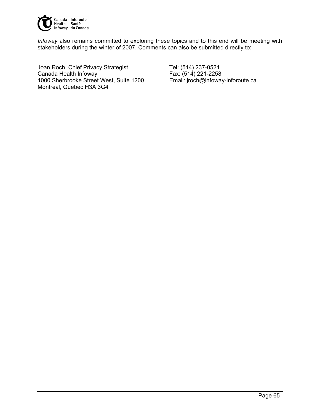

*Infoway* also remains committed to exploring these topics and to this end will be meeting with stakeholders during the winter of 2007. Comments can also be submitted directly to:

Joan Roch, Chief Privacy Strategist Tel: (514) 237-0521 Canada Health Infoway Fax: (514) 221-2258 1000 Sherbrooke Street West, Suite 1200 Email: jroch@infoway-inforoute.ca Montreal, Quebec H3A 3G4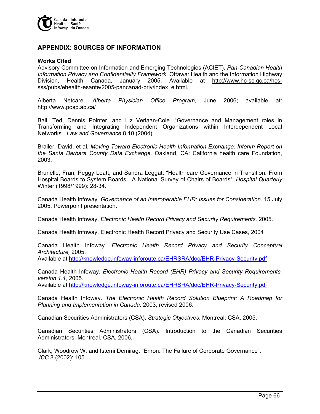

# **APPENDIX: SOURCES OF INFORMATION**

#### **Works Cited**

Advisory Committee on Information and Emerging Technologies (ACIET), *Pan-Canadian Health Information Privacy and Confidentiality Framework*, Ottawa: Health and the Information Highway Division, Health Canada, January 2005. Available at http://www.hc-sc.gc.ca/hcssss/pubs/ehealth-esante/2005-pancanad-priv/index\_e.html.

Alberta Netcare. *Alberta Physician Office Program*, June 2006; available at: http://www.posp.ab.ca/

Ball, Ted, Dennis Pointer, and Liz Verlaan-Cole. "Governance and Management roles in Transforming and Integrating Independent Organizations within Interdependent Local Networks". *Law and Governance* 8.10 (2004).

Brailer, David, et al. *Moving Toward Electronic Health Information Exchange: Interim Report on the Santa Barbara County Data Exchange*. Oakland, CA: California health care Foundation, 2003.

Brunelle, Fran, Peggy Leatt, and Sandra Leggat. "Health care Governance in Transition: From Hospital Boards to System Boards…A National Survey of Chairs of Boards". *Hospital Quarterly*  Winter (1998/1999): 28-34.

Canada Health Infoway. *Governance of an Interoperable EHR: Issues for Consideration.* 15 July 2005. Powerpoint presentation.

Canada Health Infoway. *Electronic Health Record Privacy and Security Requirements,* 2005.

Canada Health Infoway. Electronic Health Record Privacy and Security Use Cases, 2004

Canada Health Infoway. *Electronic Health Record Privacy and Security Conceptual Architecture,* 2005.

Available at http://knowledge.infoway-inforoute.ca/EHRSRA/doc/EHR-Privacy-Security.pdf

Canada Health Infoway. *Electronic Health Record (EHR) Privacy and Security Requirements, version 1.1,* 2005.

Available at http://knowledge.infoway-inforoute.ca/EHRSRA/doc/EHR-Privacy-Security.pdf

Canada Health Infoway. *The Electronic Health Record Solution Blueprint: A Roadmap for Planning and Implementation in Canada*. 2003, revised 2006.

Canadian Securities Administrators (CSA). *Strategic Objectives*. Montreal: CSA, 2005.

Canadian Securities Administrators (CSA). Introduction to the Canadian Securities Administrators. Montreal, CSA, 2006.

Clark, Woodrow W, and Istemi Demirag. "Enron: The Failure of Corporate Governance". *JCC* 8 (2002): 105.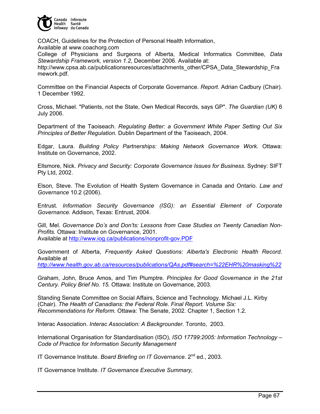

COACH, Guidelines for the Protection of Personal Health Information, Available at www.coachorg.com

College of Physicians and Surgeons of Alberta, Medical Informatics Committee, *Data Stewardship Framework, version 1.2,* December 2006. Available at:

http://www.cpsa.ab.ca/publicationsresources/attachments\_other/CPSA\_Data\_Stewardship\_Fra mework.pdf.

Committee on the Financial Aspects of Corporate Governance. *Report*. Adrian Cadbury (Chair). 1 December 1992.

Cross, Michael. "Patients, not the State, Own Medical Records, says GP". *The Guardian (UK)* 6 July 2006.

Department of the Taoiseach. *Regulating Better: a Government White Paper Setting Out Six Principles of Better Regulation.* Dublin Department of the Taoiseach, 2004.

Edgar, Laura. *Building Policy Partnerships: Making Network Governance Work.* Ottawa: Institute on Governance, 2002.

Ellsmore, Nick. *Privacy and Security: Corporate Governance Issues for Business.* Sydney: SIFT Pty Ltd, 2002.

Elson, Steve. The Evolution of Health System Governance in Canada and Ontario. *Law and Governance* 10.2 (2006).

Entrust. *Information Security Governance (ISG): an Essential Element of Corporate Governance.* Addison, Texas: Entrust, 2004.

Gill, Mel. *Governance Do's and Don'ts: Lessons from Case Studies on Twenty Canadian Non-Profits.* Ottawa: Institute on Governance, 2001. Available at http://www.iog.ca/publications/nonprofit-gov.PDF

Government of Alberta, *Frequently Asked Questions: Alberta's Electronic Health Record.* Available at

*http://www.health.gov.ab.ca/resources/publications/QAs.pdf#search=%22EHR%20masking%22*

Graham, John, Bruce Amos, and Tim Plumptre. *Principles for Good Governance in the 21st Century. Policy Brief No. 15.* Ottawa: Institute on Governance, 2003.

Standing Senate Committee on Social Affairs, Science and Technology. Michael J.L. Kirby (Chair). *The Health of Canadians: the Federal Role. Final Report. Volume Six: Recommendations for Reform.* Ottawa: The Senate, 2002. Chapter 1, Section 1.2.

Interac Association. *Interac Association: A Backgrounder.* Toronto, 2003.

International Organisation for Standardisation (ISO), *ISO 17799:2005: Information Technology – Code of Practice for Information Security Management*

IT Governance Institute. *Board Briefing on IT Governance*. 2<sup>nd</sup> ed., 2003.

IT Governance Institute. *IT Governance Executive Summary,*